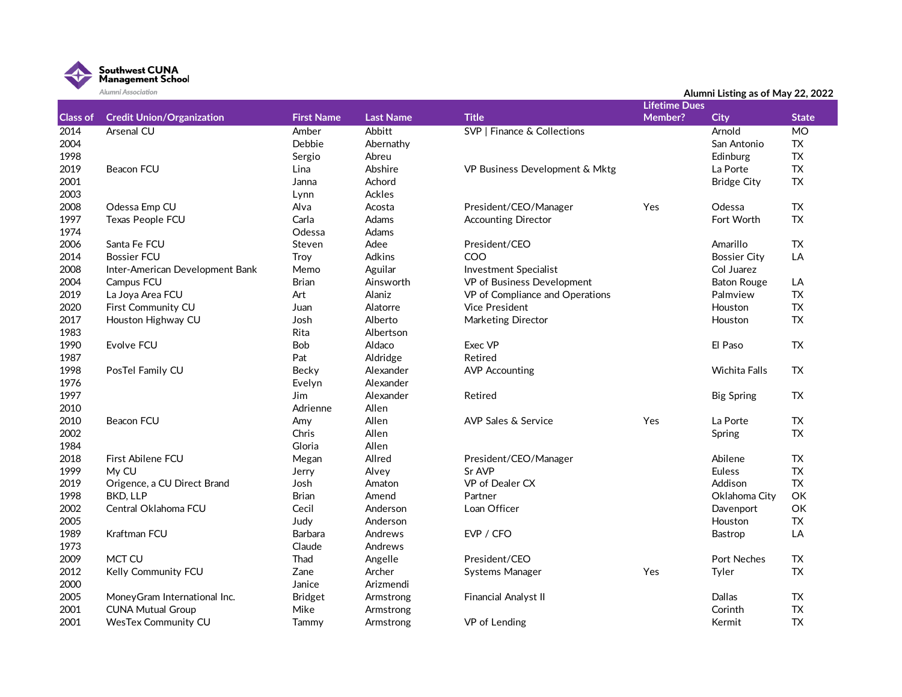

|                 | <b>PUULLEL PISSUULLUIL</b>       |                   |                  |                                        | Alumni Listing as of May 22, 2022<br><b>Lifetime Dues</b> |                      |              |  |
|-----------------|----------------------------------|-------------------|------------------|----------------------------------------|-----------------------------------------------------------|----------------------|--------------|--|
| <b>Class of</b> | <b>Credit Union/Organization</b> | <b>First Name</b> | <b>Last Name</b> | <b>Title</b>                           | Member?                                                   | <b>City</b>          | <b>State</b> |  |
| 2014            | Arsenal CU                       | Amber             | Abbitt           | <b>SVP   Finance &amp; Collections</b> |                                                           | Arnold               | MO           |  |
| 2004            |                                  | Debbie            | Abernathy        |                                        |                                                           | San Antonio          | TX           |  |
| 1998            |                                  | Sergio            | Abreu            |                                        |                                                           | Edinburg             | <b>TX</b>    |  |
| 2019            | <b>Beacon FCU</b>                | Lina              | Abshire          | VP Business Development & Mktg         |                                                           | La Porte             | <b>TX</b>    |  |
| 2001            |                                  | Janna             | Achord           |                                        |                                                           | <b>Bridge City</b>   | <b>TX</b>    |  |
| 2003            |                                  | Lynn              | Ackles           |                                        |                                                           |                      |              |  |
| 2008            | Odessa Emp CU                    | Alva              | Acosta           | President/CEO/Manager                  | Yes                                                       | Odessa               | <b>TX</b>    |  |
| 1997            | Texas People FCU                 | Carla             | Adams            | <b>Accounting Director</b>             |                                                           | Fort Worth           | <b>TX</b>    |  |
| 1974            |                                  | Odessa            | Adams            |                                        |                                                           |                      |              |  |
| 2006            | Santa Fe FCU                     | Steven            | Adee             | President/CEO                          |                                                           | Amarillo             | <b>TX</b>    |  |
| 2014            | <b>Bossier FCU</b>               | Troy              | Adkins           | COO                                    |                                                           | <b>Bossier City</b>  | LA           |  |
| 2008            | Inter-American Development Bank  | Memo              | Aguilar          | <b>Investment Specialist</b>           |                                                           | Col Juarez           |              |  |
| 2004            | Campus FCU                       | <b>Brian</b>      | Ainsworth        | VP of Business Development             |                                                           | <b>Baton Rouge</b>   | LA           |  |
| 2019            | La Joya Area FCU                 | Art               | Alaniz           | VP of Compliance and Operations        |                                                           | Palmview             | <b>TX</b>    |  |
| 2020            | First Community CU               | Juan              | Alatorre         | <b>Vice President</b>                  |                                                           | Houston              | TX           |  |
| 2017            | Houston Highway CU               | Josh              | Alberto          | Marketing Director                     |                                                           | Houston              | <b>TX</b>    |  |
| 1983            |                                  | Rita              | Albertson        |                                        |                                                           |                      |              |  |
| 1990            | Evolve FCU                       | <b>Bob</b>        | Aldaco           | Exec VP                                |                                                           | El Paso              | <b>TX</b>    |  |
| 1987            |                                  | Pat               | Aldridge         | Retired                                |                                                           |                      |              |  |
| 1998            | PosTel Family CU                 | Becky             | Alexander        | <b>AVP Accounting</b>                  |                                                           | <b>Wichita Falls</b> | TX           |  |
| 1976            |                                  | Evelyn            | Alexander        |                                        |                                                           |                      |              |  |
| 1997            |                                  | Jim               | Alexander        | Retired                                |                                                           | <b>Big Spring</b>    | TX           |  |
| 2010            |                                  | Adrienne          | Allen            |                                        |                                                           |                      |              |  |
| 2010            | <b>Beacon FCU</b>                | Amy               | Allen            | <b>AVP Sales &amp; Service</b>         | Yes                                                       | La Porte             | TX           |  |
| 2002            |                                  | Chris             | Allen            |                                        |                                                           | Spring               | <b>TX</b>    |  |
| 1984            |                                  | Gloria            | Allen            |                                        |                                                           |                      |              |  |
| 2018            | First Abilene FCU                | Megan             | Allred           | President/CEO/Manager                  |                                                           | Abilene              | <b>TX</b>    |  |
| 1999            | My CU                            | Jerry             | Alvey            | Sr AVP                                 |                                                           | Euless               | <b>TX</b>    |  |
| 2019            | Origence, a CU Direct Brand      | Josh              | Amaton           | VP of Dealer CX                        |                                                           | Addison              | <b>TX</b>    |  |
| 1998            | BKD, LLP                         | <b>Brian</b>      | Amend            | Partner                                |                                                           | Oklahoma City        | OK           |  |
| 2002            | Central Oklahoma FCU             | Cecil             | Anderson         | Loan Officer                           |                                                           | Davenport            | OK           |  |
| 2005            |                                  | Judy              | Anderson         |                                        |                                                           | Houston              | TX           |  |
| 1989            | Kraftman FCU                     | Barbara           | Andrews          | EVP / CFO                              |                                                           | Bastrop              | LA           |  |
| 1973            |                                  | Claude            | Andrews          |                                        |                                                           |                      |              |  |
| 2009            | MCT CU                           | Thad              | Angelle          | President/CEO                          |                                                           | <b>Port Neches</b>   | <b>TX</b>    |  |
| 2012            | Kelly Community FCU              | Zane              | Archer           | Systems Manager                        | Yes                                                       | Tyler                | <b>TX</b>    |  |
| 2000            |                                  | Janice            | Arizmendi        |                                        |                                                           |                      |              |  |
| 2005            | MoneyGram International Inc.     | <b>Bridget</b>    | Armstrong        | Financial Analyst II                   |                                                           | Dallas               | TX           |  |
| 2001            | <b>CUNA Mutual Group</b>         | Mike              | Armstrong        |                                        |                                                           | Corinth              | <b>TX</b>    |  |
| 2001            | <b>WesTex Community CU</b>       | Tammv             | Armstrong        | VP of Lending                          |                                                           | Kermit               | <b>TX</b>    |  |

## **Alumni Listing as of May 22, 2022**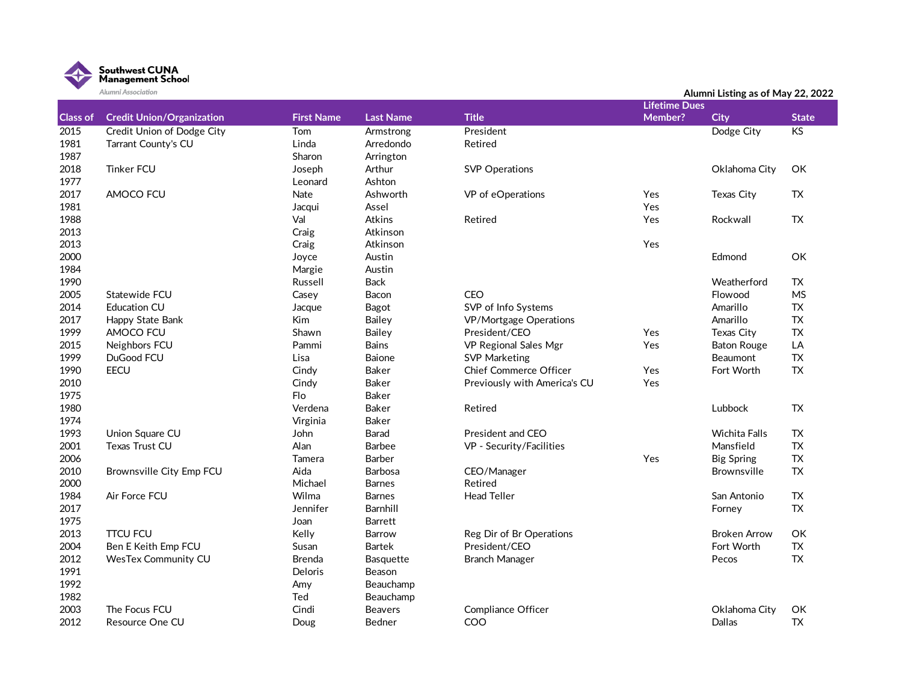

|                 | Alumni Association               |                   |                  |                               | Alumni Listing as of May 22, 2022 |                     |                |  |  |
|-----------------|----------------------------------|-------------------|------------------|-------------------------------|-----------------------------------|---------------------|----------------|--|--|
|                 |                                  |                   |                  |                               | <b>Lifetime Dues</b>              |                     |                |  |  |
| <b>Class of</b> | <b>Credit Union/Organization</b> | <b>First Name</b> | <b>Last Name</b> | <b>Title</b>                  | Member?                           | <b>City</b>         | <b>State</b>   |  |  |
| 2015            | Credit Union of Dodge City       | Tom               | Armstrong        | President                     |                                   | Dodge City          | K <sub>S</sub> |  |  |
| 1981            | Tarrant County's CU              | Linda             | Arredondo        | Retired                       |                                   |                     |                |  |  |
| 1987            |                                  | Sharon            | Arrington        |                               |                                   |                     |                |  |  |
| 2018            | <b>Tinker FCU</b>                | Joseph            | Arthur           | <b>SVP Operations</b>         |                                   | Oklahoma City       | OK             |  |  |
| 1977            |                                  | Leonard           | Ashton           |                               |                                   |                     |                |  |  |
| 2017            | AMOCO FCU                        | Nate              | Ashworth         | VP of eOperations             | Yes                               | Texas City          | TX             |  |  |
| 1981            |                                  | Jacqui            | Assel            |                               | Yes                               |                     |                |  |  |
| 1988            |                                  | Val               | Atkins           | Retired                       | Yes                               | Rockwall            | <b>TX</b>      |  |  |
| 2013            |                                  | Craig             | Atkinson         |                               |                                   |                     |                |  |  |
| 2013            |                                  | Craig             | Atkinson         |                               | Yes                               |                     |                |  |  |
| 2000            |                                  | Joyce             | Austin           |                               |                                   | Edmond              | OK             |  |  |
| 1984            |                                  | Margie            | Austin           |                               |                                   |                     |                |  |  |
| 1990            |                                  | Russell           | <b>Back</b>      |                               |                                   | Weatherford         | <b>TX</b>      |  |  |
| 2005            | Statewide FCU                    | Casey             | Bacon            | <b>CEO</b>                    |                                   | Flowood             | <b>MS</b>      |  |  |
| 2014            | <b>Education CU</b>              | Jacque            | Bagot            | SVP of Info Systems           |                                   | Amarillo            | <b>TX</b>      |  |  |
| 2017            | Happy State Bank                 | Kim               | <b>Bailey</b>    | VP/Mortgage Operations        |                                   | Amarillo            | <b>TX</b>      |  |  |
| 1999            | AMOCO FCU                        | Shawn             | Bailey           | President/CEO                 | Yes                               | Texas City          | <b>TX</b>      |  |  |
| 2015            | Neighbors FCU                    | Pammi             | <b>Bains</b>     | VP Regional Sales Mgr         | Yes                               | <b>Baton Rouge</b>  | LA             |  |  |
| 1999            | DuGood FCU                       | Lisa              | Baione           | <b>SVP Marketing</b>          |                                   | Beaumont            | TX             |  |  |
| 1990            | <b>EECU</b>                      | Cindy             | Baker            | <b>Chief Commerce Officer</b> | Yes                               | Fort Worth          | <b>TX</b>      |  |  |
| 2010            |                                  | Cindy             | Baker            | Previously with America's CU  | Yes                               |                     |                |  |  |
| 1975            |                                  | Flo               | Baker            |                               |                                   |                     |                |  |  |
| 1980            |                                  | Verdena           | Baker            | Retired                       |                                   | Lubbock             | <b>TX</b>      |  |  |
| 1974            |                                  | Virginia          | Baker            |                               |                                   |                     |                |  |  |
| 1993            | Union Square CU                  | John              | Barad            | President and CEO             |                                   | Wichita Falls       | TX             |  |  |
| 2001            | Texas Trust CU                   | Alan              | <b>Barbee</b>    | VP - Security/Facilities      |                                   | Mansfield           | <b>TX</b>      |  |  |
| 2006            |                                  | Tamera            | Barber           |                               | Yes                               | <b>Big Spring</b>   | <b>TX</b>      |  |  |
| 2010            | Brownsville City Emp FCU         | Aida              | Barbosa          | CEO/Manager                   |                                   | Brownsville         | <b>TX</b>      |  |  |
| 2000            |                                  | Michael           | <b>Barnes</b>    | Retired                       |                                   |                     |                |  |  |
| 1984            | Air Force FCU                    | Wilma             | <b>Barnes</b>    | <b>Head Teller</b>            |                                   | San Antonio         | <b>TX</b>      |  |  |
| 2017            |                                  | Jennifer          | Barnhill         |                               |                                   | Forney              | <b>TX</b>      |  |  |
| 1975            |                                  | Joan              | <b>Barrett</b>   |                               |                                   |                     |                |  |  |
| 2013            | <b>TTCU FCU</b>                  | Kelly             | <b>Barrow</b>    | Reg Dir of Br Operations      |                                   | <b>Broken Arrow</b> | OK             |  |  |
| 2004            | Ben E Keith Emp FCU              | Susan             | <b>Bartek</b>    | President/CEO                 |                                   | Fort Worth          | <b>TX</b>      |  |  |
| 2012            | <b>WesTex Community CU</b>       | <b>Brenda</b>     | Basquette        | <b>Branch Manager</b>         |                                   | Pecos               | TX             |  |  |
| 1991            |                                  | Deloris           | Beason           |                               |                                   |                     |                |  |  |
| 1992            |                                  | Amy               | Beauchamp        |                               |                                   |                     |                |  |  |
| 1982            |                                  | Ted               | Beauchamp        |                               |                                   |                     |                |  |  |
| 2003            | The Focus FCU                    | Cindi             | <b>Beavers</b>   | Compliance Officer            |                                   | Oklahoma City       | OK             |  |  |
| 2012            | Resource One CU                  | Doug              | Bedner           | COO                           |                                   | <b>Dallas</b>       | <b>TX</b>      |  |  |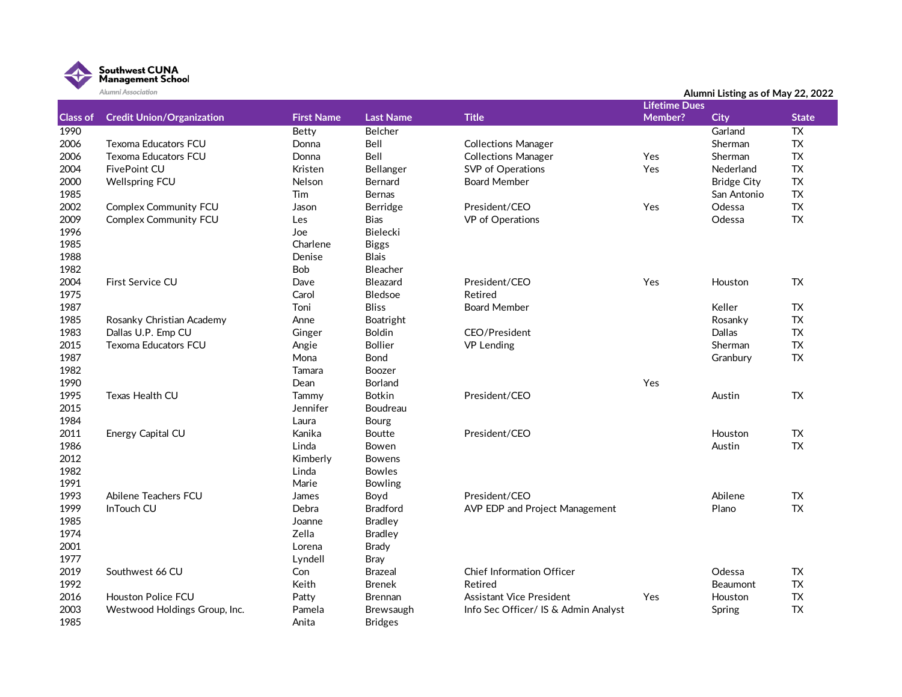

|                 | Alumni Association               |                   |                  |                                      |                      | Alumni Listing as of May 22, 2022 |                 |
|-----------------|----------------------------------|-------------------|------------------|--------------------------------------|----------------------|-----------------------------------|-----------------|
|                 |                                  |                   |                  |                                      | <b>Lifetime Dues</b> |                                   |                 |
| <b>Class of</b> | <b>Credit Union/Organization</b> | <b>First Name</b> | <b>Last Name</b> | <b>Title</b>                         | <b>Member?</b>       | <b>City</b>                       | <b>State</b>    |
| 1990            |                                  | Betty             | Belcher          |                                      |                      | Garland                           | $\overline{TX}$ |
| 2006            | <b>Texoma Educators FCU</b>      | Donna             | Bell             | <b>Collections Manager</b>           |                      | Sherman                           | TX              |
| 2006            | <b>Texoma Educators FCU</b>      | Donna             | Bell             | <b>Collections Manager</b>           | Yes                  | Sherman                           | <b>TX</b>       |
| 2004            | FivePoint CU                     | Kristen           | Bellanger        | SVP of Operations                    | Yes                  | Nederland                         | <b>TX</b>       |
| 2000            | <b>Wellspring FCU</b>            | Nelson            | Bernard          | <b>Board Member</b>                  |                      | <b>Bridge City</b>                | ${\sf TX}$      |
| 1985            |                                  | Tim               | <b>Bernas</b>    |                                      |                      | San Antonio                       | <b>TX</b>       |
| 2002            | <b>Complex Community FCU</b>     | Jason             | Berridge         | President/CEO                        | Yes                  | Odessa                            | <b>TX</b>       |
| 2009            | Complex Community FCU            | Les               | Bias             | VP of Operations                     |                      | Odessa                            | <b>TX</b>       |
| 1996            |                                  | Joe               | Bielecki         |                                      |                      |                                   |                 |
| 1985            |                                  | Charlene          | <b>Biggs</b>     |                                      |                      |                                   |                 |
| 1988            |                                  | Denise            | <b>Blais</b>     |                                      |                      |                                   |                 |
| 1982            |                                  | <b>Bob</b>        | Bleacher         |                                      |                      |                                   |                 |
| 2004            | First Service CU                 | Dave              | <b>Bleazard</b>  | President/CEO                        | Yes                  | Houston                           | TX              |
| 1975            |                                  | Carol             | Bledsoe          | Retired                              |                      |                                   |                 |
| 1987            |                                  | Toni              | <b>Bliss</b>     | <b>Board Member</b>                  |                      | Keller                            | <b>TX</b>       |
| 1985            | Rosanky Christian Academy        | Anne              | Boatright        |                                      |                      | Rosanky                           | ${\sf TX}$      |
| 1983            | Dallas U.P. Emp CU               | Ginger            | Boldin           | CEO/President                        |                      | Dallas                            | TX              |
| 2015            | <b>Texoma Educators FCU</b>      | Angie             | <b>Bollier</b>   | <b>VP Lending</b>                    |                      | Sherman                           | ${\sf TX}$      |
| 1987            |                                  | Mona              | <b>Bond</b>      |                                      |                      | Granbury                          | ${\sf TX}$      |
| 1982            |                                  | Tamara            | Boozer           |                                      |                      |                                   |                 |
| 1990            |                                  | Dean              | <b>Borland</b>   |                                      | Yes                  |                                   |                 |
| 1995            | Texas Health CU                  | Tammy             | <b>Botkin</b>    | President/CEO                        |                      | Austin                            | <b>TX</b>       |
| 2015            |                                  | Jennifer          | Boudreau         |                                      |                      |                                   |                 |
| 1984            |                                  | Laura             | Bourg            |                                      |                      |                                   |                 |
| 2011            | Energy Capital CU                | Kanika            | Boutte           | President/CEO                        |                      | Houston                           | TX              |
| 1986            |                                  | Linda             | Bowen            |                                      |                      | Austin                            | TX              |
| 2012            |                                  | Kimberly          | <b>Bowens</b>    |                                      |                      |                                   |                 |
| 1982            |                                  | Linda             | <b>Bowles</b>    |                                      |                      |                                   |                 |
| 1991            |                                  | Marie             | <b>Bowling</b>   |                                      |                      |                                   |                 |
| 1993            | Abilene Teachers FCU             | James             | Boyd             | President/CEO                        |                      | Abilene                           | TX              |
| 1999            | InTouch CU                       | Debra             | <b>Bradford</b>  | AVP EDP and Project Management       |                      | Plano                             | <b>TX</b>       |
| 1985            |                                  | Joanne            | <b>Bradley</b>   |                                      |                      |                                   |                 |
| 1974            |                                  | Zella             | <b>Bradley</b>   |                                      |                      |                                   |                 |
| 2001            |                                  | Lorena            | <b>Brady</b>     |                                      |                      |                                   |                 |
| 1977            |                                  | Lyndell           | <b>Bray</b>      |                                      |                      |                                   |                 |
| 2019            | Southwest 66 CU                  | Con               | <b>Brazeal</b>   | <b>Chief Information Officer</b>     |                      | Odessa                            | TX              |
| 1992            |                                  | Keith             | <b>Brenek</b>    | Retired                              |                      | <b>Beaumont</b>                   | TX              |
| 2016            | <b>Houston Police FCU</b>        | Patty             | <b>Brennan</b>   | Assistant Vice President             | Yes                  | Houston                           | <b>TX</b>       |
| 2003            | Westwood Holdings Group, Inc.    | Pamela            | Brewsaugh        | Info Sec Officer/ IS & Admin Analyst |                      | Spring                            | <b>TX</b>       |
| 1985            |                                  | Anita             | <b>Bridges</b>   |                                      |                      |                                   |                 |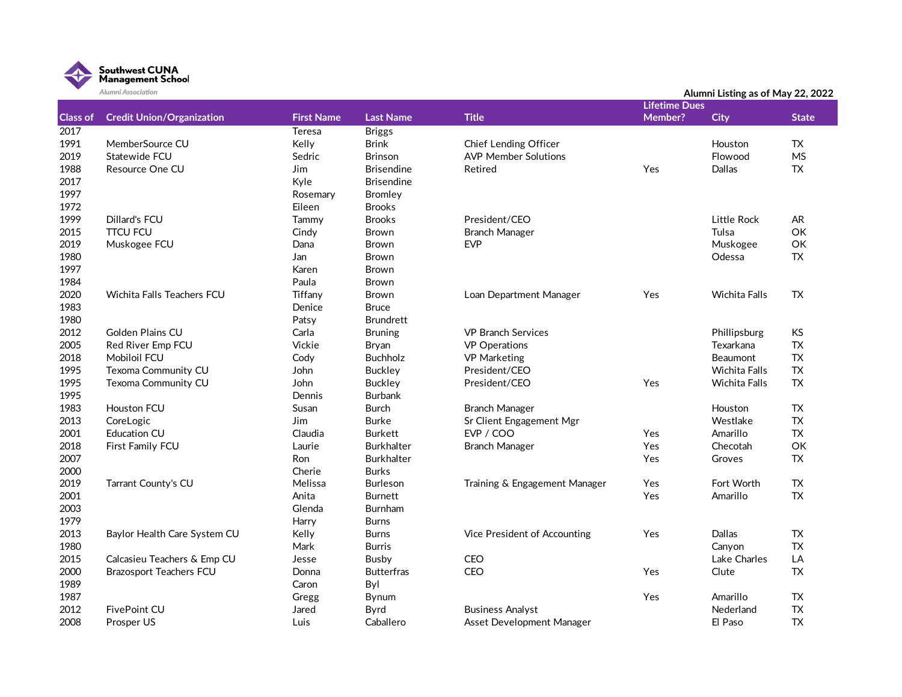

| <b>Lifetime Dues</b><br><b>Class of</b><br><b>Credit Union/Organization</b><br><b>First Name</b><br><b>Last Name</b><br><b>Title</b><br>Member?<br><b>City</b><br><b>State</b><br>2017<br>Teresa<br><b>Briggs</b><br>1991<br>MemberSource CU<br>Kelly<br><b>Brink</b><br><b>TX</b><br>Chief Lending Officer<br>Houston<br>2019<br>Sedric<br><b>Brinson</b><br><b>MS</b><br>Statewide FCU<br><b>AVP Member Solutions</b><br>Flowood<br>1988<br>TX<br>Resource One CU<br>Jim<br><b>Brisendine</b><br>Retired<br>Yes<br><b>Dallas</b><br>2017<br>Kyle<br><b>Brisendine</b><br>1997<br>Rosemary<br>Bromley<br>1972<br>Eileen<br><b>Brooks</b><br>1999<br>Dillard's FCU<br><b>Brooks</b><br>President/CEO<br>Little Rock<br>AR.<br>Tammy<br><b>TTCU FCU</b><br>Tulsa<br>OK<br>2015<br>Cindy<br><b>Branch Manager</b><br>Brown<br>2019<br><b>EVP</b><br>Muskogee<br>OK<br>Muskogee FCU<br>Dana<br>Brown<br>1980<br>Odessa<br><b>TX</b><br>Jan<br><b>Brown</b><br>1997<br>Karen<br>Brown<br>Paula<br>1984<br><b>Brown</b><br>2020<br>Wichita Falls Teachers FCU<br>Tiffany<br>Yes<br>Wichita Falls<br>TX<br><b>Brown</b><br>Loan Department Manager<br>1983<br>Denice<br><b>Bruce</b> | Alumni Listing as of May 22, 2022 |  |
|--------------------------------------------------------------------------------------------------------------------------------------------------------------------------------------------------------------------------------------------------------------------------------------------------------------------------------------------------------------------------------------------------------------------------------------------------------------------------------------------------------------------------------------------------------------------------------------------------------------------------------------------------------------------------------------------------------------------------------------------------------------------------------------------------------------------------------------------------------------------------------------------------------------------------------------------------------------------------------------------------------------------------------------------------------------------------------------------------------------------------------------------------------------------------------|-----------------------------------|--|
|                                                                                                                                                                                                                                                                                                                                                                                                                                                                                                                                                                                                                                                                                                                                                                                                                                                                                                                                                                                                                                                                                                                                                                                |                                   |  |
|                                                                                                                                                                                                                                                                                                                                                                                                                                                                                                                                                                                                                                                                                                                                                                                                                                                                                                                                                                                                                                                                                                                                                                                |                                   |  |
|                                                                                                                                                                                                                                                                                                                                                                                                                                                                                                                                                                                                                                                                                                                                                                                                                                                                                                                                                                                                                                                                                                                                                                                |                                   |  |
|                                                                                                                                                                                                                                                                                                                                                                                                                                                                                                                                                                                                                                                                                                                                                                                                                                                                                                                                                                                                                                                                                                                                                                                |                                   |  |
|                                                                                                                                                                                                                                                                                                                                                                                                                                                                                                                                                                                                                                                                                                                                                                                                                                                                                                                                                                                                                                                                                                                                                                                |                                   |  |
|                                                                                                                                                                                                                                                                                                                                                                                                                                                                                                                                                                                                                                                                                                                                                                                                                                                                                                                                                                                                                                                                                                                                                                                |                                   |  |
|                                                                                                                                                                                                                                                                                                                                                                                                                                                                                                                                                                                                                                                                                                                                                                                                                                                                                                                                                                                                                                                                                                                                                                                |                                   |  |
|                                                                                                                                                                                                                                                                                                                                                                                                                                                                                                                                                                                                                                                                                                                                                                                                                                                                                                                                                                                                                                                                                                                                                                                |                                   |  |
|                                                                                                                                                                                                                                                                                                                                                                                                                                                                                                                                                                                                                                                                                                                                                                                                                                                                                                                                                                                                                                                                                                                                                                                |                                   |  |
|                                                                                                                                                                                                                                                                                                                                                                                                                                                                                                                                                                                                                                                                                                                                                                                                                                                                                                                                                                                                                                                                                                                                                                                |                                   |  |
|                                                                                                                                                                                                                                                                                                                                                                                                                                                                                                                                                                                                                                                                                                                                                                                                                                                                                                                                                                                                                                                                                                                                                                                |                                   |  |
|                                                                                                                                                                                                                                                                                                                                                                                                                                                                                                                                                                                                                                                                                                                                                                                                                                                                                                                                                                                                                                                                                                                                                                                |                                   |  |
|                                                                                                                                                                                                                                                                                                                                                                                                                                                                                                                                                                                                                                                                                                                                                                                                                                                                                                                                                                                                                                                                                                                                                                                |                                   |  |
|                                                                                                                                                                                                                                                                                                                                                                                                                                                                                                                                                                                                                                                                                                                                                                                                                                                                                                                                                                                                                                                                                                                                                                                |                                   |  |
|                                                                                                                                                                                                                                                                                                                                                                                                                                                                                                                                                                                                                                                                                                                                                                                                                                                                                                                                                                                                                                                                                                                                                                                |                                   |  |
|                                                                                                                                                                                                                                                                                                                                                                                                                                                                                                                                                                                                                                                                                                                                                                                                                                                                                                                                                                                                                                                                                                                                                                                |                                   |  |
|                                                                                                                                                                                                                                                                                                                                                                                                                                                                                                                                                                                                                                                                                                                                                                                                                                                                                                                                                                                                                                                                                                                                                                                |                                   |  |
| 1980<br><b>Brundrett</b><br>Patsy                                                                                                                                                                                                                                                                                                                                                                                                                                                                                                                                                                                                                                                                                                                                                                                                                                                                                                                                                                                                                                                                                                                                              |                                   |  |
| 2012<br><b>KS</b><br><b>Golden Plains CU</b><br>Carla<br><b>Bruning</b><br><b>VP Branch Services</b><br>Phillipsburg                                                                                                                                                                                                                                                                                                                                                                                                                                                                                                                                                                                                                                                                                                                                                                                                                                                                                                                                                                                                                                                           |                                   |  |
| 2005<br><b>TX</b><br>Vickie<br><b>VP</b> Operations<br>Texarkana<br>Red River Emp FCU<br><b>Bryan</b>                                                                                                                                                                                                                                                                                                                                                                                                                                                                                                                                                                                                                                                                                                                                                                                                                                                                                                                                                                                                                                                                          |                                   |  |
| <b>TX</b><br>2018<br>Mobiloil FCU<br><b>Buchholz</b><br><b>VP Marketing</b><br>Cody<br><b>Beaumont</b>                                                                                                                                                                                                                                                                                                                                                                                                                                                                                                                                                                                                                                                                                                                                                                                                                                                                                                                                                                                                                                                                         |                                   |  |
| 1995<br><b>TX</b><br>Texoma Community CU<br>President/CEO<br>John<br><b>Buckley</b><br><b>Wichita Falls</b>                                                                                                                                                                                                                                                                                                                                                                                                                                                                                                                                                                                                                                                                                                                                                                                                                                                                                                                                                                                                                                                                    |                                   |  |
| 1995<br>John<br>Yes<br><b>TX</b><br>Texoma Community CU<br><b>Buckley</b><br>President/CEO<br><b>Wichita Falls</b>                                                                                                                                                                                                                                                                                                                                                                                                                                                                                                                                                                                                                                                                                                                                                                                                                                                                                                                                                                                                                                                             |                                   |  |
| 1995<br>Dennis<br><b>Burbank</b>                                                                                                                                                                                                                                                                                                                                                                                                                                                                                                                                                                                                                                                                                                                                                                                                                                                                                                                                                                                                                                                                                                                                               |                                   |  |
| 1983<br>Houston FCU<br>Susan<br><b>Burch</b><br><b>Branch Manager</b><br>TX<br>Houston                                                                                                                                                                                                                                                                                                                                                                                                                                                                                                                                                                                                                                                                                                                                                                                                                                                                                                                                                                                                                                                                                         |                                   |  |
| <b>TX</b><br>2013<br>CoreLogic<br><b>Burke</b><br>Westlake<br><b>Jim</b><br>Sr Client Engagement Mgr                                                                                                                                                                                                                                                                                                                                                                                                                                                                                                                                                                                                                                                                                                                                                                                                                                                                                                                                                                                                                                                                           |                                   |  |
| <b>TX</b><br>2001<br>Claudia<br>EVP / COO<br>Amarillo<br><b>Education CU</b><br><b>Burkett</b><br><b>Yes</b>                                                                                                                                                                                                                                                                                                                                                                                                                                                                                                                                                                                                                                                                                                                                                                                                                                                                                                                                                                                                                                                                   |                                   |  |
| 2018<br>Laurie<br>Yes<br>OK<br>First Family FCU<br><b>Burkhalter</b><br><b>Branch Manager</b><br>Checotah                                                                                                                                                                                                                                                                                                                                                                                                                                                                                                                                                                                                                                                                                                                                                                                                                                                                                                                                                                                                                                                                      |                                   |  |
| 2007<br><b>TX</b><br><b>Burkhalter</b><br>Yes<br><b>Ron</b><br>Groves                                                                                                                                                                                                                                                                                                                                                                                                                                                                                                                                                                                                                                                                                                                                                                                                                                                                                                                                                                                                                                                                                                          |                                   |  |
| 2000<br>Cherie<br><b>Burks</b>                                                                                                                                                                                                                                                                                                                                                                                                                                                                                                                                                                                                                                                                                                                                                                                                                                                                                                                                                                                                                                                                                                                                                 |                                   |  |
| 2019<br>Melissa<br>Yes<br><b>TX</b><br>Tarrant County's CU<br><b>Burleson</b><br>Training & Engagement Manager<br>Fort Worth                                                                                                                                                                                                                                                                                                                                                                                                                                                                                                                                                                                                                                                                                                                                                                                                                                                                                                                                                                                                                                                   |                                   |  |
| 2001<br>Anita<br>Yes<br><b>TX</b><br><b>Burnett</b><br>Amarillo                                                                                                                                                                                                                                                                                                                                                                                                                                                                                                                                                                                                                                                                                                                                                                                                                                                                                                                                                                                                                                                                                                                |                                   |  |
| 2003<br><b>Burnham</b><br>Glenda                                                                                                                                                                                                                                                                                                                                                                                                                                                                                                                                                                                                                                                                                                                                                                                                                                                                                                                                                                                                                                                                                                                                               |                                   |  |
| 1979<br>Harry<br><b>Burns</b>                                                                                                                                                                                                                                                                                                                                                                                                                                                                                                                                                                                                                                                                                                                                                                                                                                                                                                                                                                                                                                                                                                                                                  |                                   |  |
| 2013<br>Dallas<br><b>TX</b><br>Baylor Health Care System CU<br>Kelly<br><b>Burns</b><br>Vice President of Accounting<br>Yes                                                                                                                                                                                                                                                                                                                                                                                                                                                                                                                                                                                                                                                                                                                                                                                                                                                                                                                                                                                                                                                    |                                   |  |
| 1980<br><b>TX</b><br>Mark<br><b>Burris</b><br>Canyon                                                                                                                                                                                                                                                                                                                                                                                                                                                                                                                                                                                                                                                                                                                                                                                                                                                                                                                                                                                                                                                                                                                           |                                   |  |
| 2015<br>Calcasieu Teachers & Emp CU<br>CEO<br>LA<br><b>Busby</b><br>Lake Charles<br>Jesse                                                                                                                                                                                                                                                                                                                                                                                                                                                                                                                                                                                                                                                                                                                                                                                                                                                                                                                                                                                                                                                                                      |                                   |  |
| 2000<br><b>Brazosport Teachers FCU</b><br><b>Butterfras</b><br>CEO<br>Yes<br>TX<br>Donna<br>Clute                                                                                                                                                                                                                                                                                                                                                                                                                                                                                                                                                                                                                                                                                                                                                                                                                                                                                                                                                                                                                                                                              |                                   |  |
| 1989<br>Caron<br>Byl                                                                                                                                                                                                                                                                                                                                                                                                                                                                                                                                                                                                                                                                                                                                                                                                                                                                                                                                                                                                                                                                                                                                                           |                                   |  |
| 1987<br>Yes<br>Amarillo<br>TX<br>Gregg<br>Bynum                                                                                                                                                                                                                                                                                                                                                                                                                                                                                                                                                                                                                                                                                                                                                                                                                                                                                                                                                                                                                                                                                                                                |                                   |  |
| <b>TX</b><br>2012<br><b>FivePoint CU</b><br><b>Business Analyst</b><br>Nederland<br>Jared<br>Byrd                                                                                                                                                                                                                                                                                                                                                                                                                                                                                                                                                                                                                                                                                                                                                                                                                                                                                                                                                                                                                                                                              |                                   |  |
| <b>TX</b><br>2008<br>El Paso<br>Prosper US<br>Luis<br>Caballero<br>Asset Development Manager                                                                                                                                                                                                                                                                                                                                                                                                                                                                                                                                                                                                                                                                                                                                                                                                                                                                                                                                                                                                                                                                                   |                                   |  |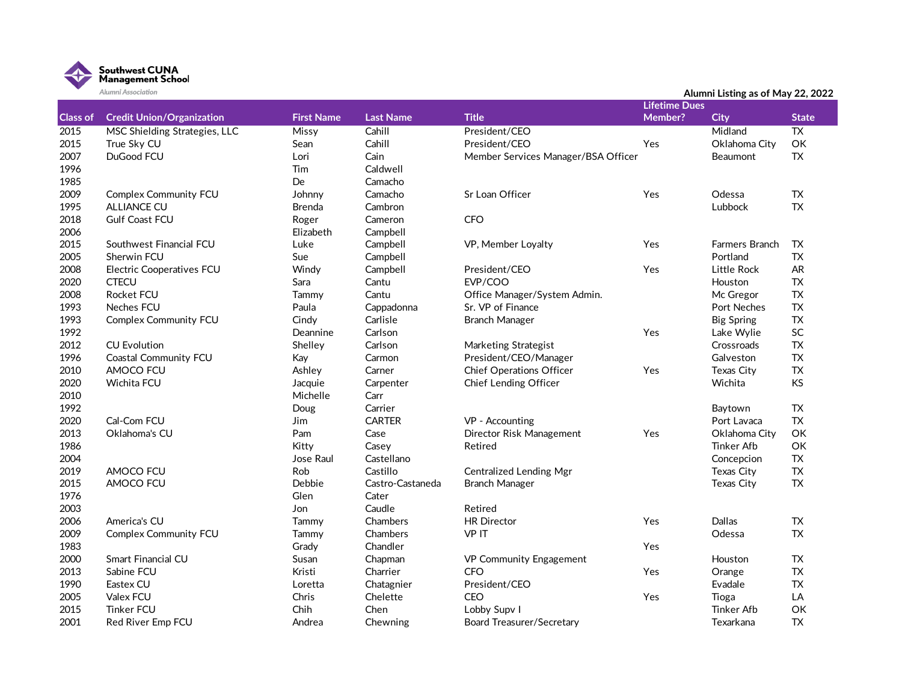

|                 | Alumni Association                   | Alumni Listing as of May 22, 2022 |                        |                                     |                      |                   |                 |
|-----------------|--------------------------------------|-----------------------------------|------------------------|-------------------------------------|----------------------|-------------------|-----------------|
|                 |                                      |                                   |                        |                                     | <b>Lifetime Dues</b> |                   |                 |
| <b>Class of</b> | <b>Credit Union/Organization</b>     | <b>First Name</b>                 | <b>Last Name</b>       | <b>Title</b>                        | Member?              | <b>City</b>       | <b>State</b>    |
| 2015            | <b>MSC Shielding Strategies, LLC</b> | <b>Missy</b>                      | Cahill                 | President/CEO                       |                      | Midland           | $\overline{TX}$ |
| 2015            | True Sky CU                          | Sean                              | Cahill                 | President/CEO                       | Yes                  | Oklahoma City     | OK              |
| 2007            | DuGood FCU                           | Lori                              | Cain                   | Member Services Manager/BSA Officer |                      | <b>Beaumont</b>   | TX              |
| 1996            |                                      | Tim                               | Caldwell               |                                     |                      |                   |                 |
| 1985            |                                      | De                                | Camacho                |                                     |                      |                   |                 |
| 2009            | <b>Complex Community FCU</b>         | Johnny                            | Camacho                | Sr Loan Officer                     | Yes                  | Odessa            | <b>TX</b>       |
| 1995            | <b>ALLIANCE CU</b>                   | <b>Brenda</b>                     | Cambron                |                                     |                      | Lubbock           | <b>TX</b>       |
| 2018            | <b>Gulf Coast FCU</b>                | Roger                             | Cameron                | <b>CFO</b>                          |                      |                   |                 |
| 2006            |                                      | Elizabeth                         | Campbell               |                                     |                      |                   |                 |
| 2015            | Southwest Financial FCU              | Luke                              | Campbell               | VP, Member Loyalty                  | Yes                  | Farmers Branch    | TX              |
| 2005            | Sherwin FCU                          | Sue                               | Campbell               |                                     |                      | Portland          | <b>TX</b>       |
| 2008            | <b>Electric Cooperatives FCU</b>     | Windy                             | Campbell               | President/CEO                       | Yes                  | Little Rock       | <b>AR</b>       |
| 2020            | <b>CTECU</b>                         | Sara                              | Cantu                  | EVP/COO                             |                      | Houston           | <b>TX</b>       |
| 2008            | <b>Rocket FCU</b>                    | Tammy                             | Cantu                  | Office Manager/System Admin.        |                      | Mc Gregor         | <b>TX</b>       |
| 1993            | <b>Neches FCU</b>                    | Paula                             | Cappadonna             | Sr. VP of Finance                   |                      | Port Neches       | <b>TX</b>       |
| 1993            | <b>Complex Community FCU</b>         | Cindy                             | Carlisle               | <b>Branch Manager</b>               |                      | <b>Big Spring</b> | <b>TX</b>       |
| 1992            |                                      | Deannine                          | Carlson                |                                     | Yes                  | Lake Wylie        | SC              |
| 2012            | <b>CU Evolution</b>                  | Shelley                           | Carlson                | Marketing Strategist                |                      | Crossroads        | <b>TX</b>       |
| 1996            | Coastal Community FCU                | Kay                               | Carmon                 | President/CEO/Manager               |                      | Galveston         | <b>TX</b>       |
| 2010            | AMOCO FCU                            | Ashley                            | Carner                 | <b>Chief Operations Officer</b>     | Yes                  | Texas City        | <b>TX</b>       |
| 2020            | Wichita FCU                          | Jacquie                           | Carpenter              | Chief Lending Officer               |                      | Wichita           | <b>KS</b>       |
| 2010            |                                      | Michelle                          | Carr                   |                                     |                      |                   |                 |
| 1992            |                                      | Doug                              | Carrier                |                                     |                      | Baytown           | TX              |
| 2020            | Cal-Com FCU                          | <b>Jim</b>                        | <b>CARTER</b>          | VP - Accounting                     |                      | Port Lavaca       | <b>TX</b>       |
| 2013            | Oklahoma's CU                        | Pam                               | Case                   | Director Risk Management            | Yes                  | Oklahoma City     | OK              |
| 1986            |                                      | Kitty                             | Casey                  | Retired                             |                      | Tinker Afb        | OK              |
| 2004            |                                      | Jose Raul                         | Castellano             |                                     |                      | Concepcion        | <b>TX</b>       |
| 2019            | AMOCO FCU                            | Rob                               | Castillo               | <b>Centralized Lending Mgr</b>      |                      | Texas City        | <b>TX</b>       |
| 2015            | AMOCO FCU                            | Debbie                            | Castro-Castaneda       | <b>Branch Manager</b>               |                      | Texas City        | <b>TX</b>       |
| 1976            |                                      | Glen                              | Cater                  |                                     |                      |                   |                 |
| 2003            |                                      | Jon                               | Caudle                 | Retired                             |                      |                   |                 |
| 2006            | America's CU                         | Tammy                             | Chambers               | <b>HR Director</b>                  | Yes                  | Dallas            | <b>TX</b>       |
| 2009            | <b>Complex Community FCU</b>         | Tammy                             | Chambers               | VP IT                               |                      | Odessa            | <b>TX</b>       |
| 1983            |                                      | Grady                             | Chandler               |                                     | Yes                  |                   |                 |
| 2000            | Smart Financial CU                   | Susan                             | Chapman                | VP Community Engagement             |                      | Houston           | TX              |
| 2013            | Sabine FCU                           | Kristi                            | Charrier               | <b>CFO</b>                          | Yes                  | Orange            | <b>TX</b>       |
| 1990            | Eastex CU                            |                                   |                        | President/CEO                       |                      | Evadale           | <b>TX</b>       |
| 2005            | Valex FCU                            | Loretta<br>Chris                  | Chatagnier<br>Chelette | <b>CEO</b>                          | Yes                  | Tioga             | LA              |
| 2015            | <b>Tinker FCU</b>                    | Chih                              | Chen                   |                                     |                      | <b>Tinker Afb</b> | OK              |
| 2001            |                                      |                                   |                        | Lobby Supv I                        |                      |                   | <b>TX</b>       |
|                 | Red River Emp FCU                    | Andrea                            | Chewning               | <b>Board Treasurer/Secretary</b>    |                      | Texarkana         |                 |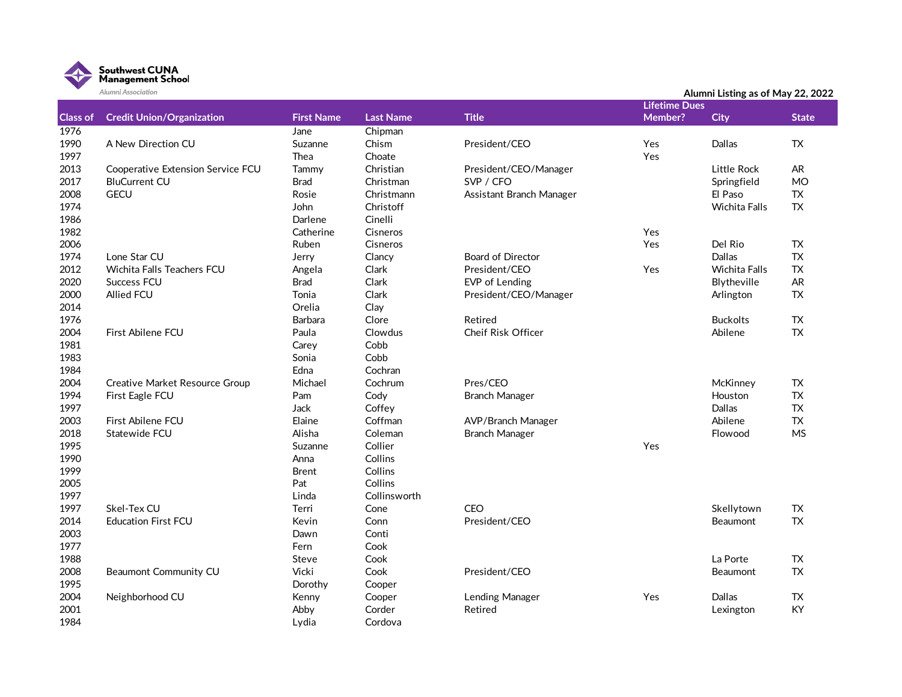

|                 | Alumni Association                    |                   |                  |                          |                      | Alumni Listing as of May 22, 2022 |              |  |
|-----------------|---------------------------------------|-------------------|------------------|--------------------------|----------------------|-----------------------------------|--------------|--|
|                 |                                       |                   |                  |                          | <b>Lifetime Dues</b> |                                   |              |  |
| <b>Class of</b> | <b>Credit Union/Organization</b>      | <b>First Name</b> | <b>Last Name</b> | <b>Title</b>             | <b>Member?</b>       | <b>City</b>                       | <b>State</b> |  |
| 1976            |                                       | Jane              | Chipman          |                          |                      |                                   |              |  |
| 1990            | A New Direction CU                    | Suzanne           | Chism            | President/CEO            | Yes                  | Dallas                            | <b>TX</b>    |  |
| 1997            |                                       | Thea              | Choate           |                          | Yes                  |                                   |              |  |
| 2013            | Cooperative Extension Service FCU     | Tammy             | Christian        | President/CEO/Manager    |                      | Little Rock                       | <b>AR</b>    |  |
| 2017            | <b>BluCurrent CU</b>                  | <b>Brad</b>       | Christman        | SVP / CFO                |                      | Springfield                       | <b>MO</b>    |  |
| 2008            | <b>GECU</b>                           | Rosie             | Christmann       | Assistant Branch Manager |                      | El Paso                           | <b>TX</b>    |  |
| 1974            |                                       | John              | Christoff        |                          |                      | <b>Wichita Falls</b>              | <b>TX</b>    |  |
| 1986            |                                       | Darlene           | Cinelli          |                          |                      |                                   |              |  |
| 1982            |                                       | Catherine         | Cisneros         |                          | Yes                  |                                   |              |  |
| 2006            |                                       | Ruben             | Cisneros         |                          | Yes                  | Del Rio                           | <b>TX</b>    |  |
| 1974            | Lone Star CU                          | Jerry             | Clancy           | <b>Board of Director</b> |                      | Dallas                            | <b>TX</b>    |  |
| 2012            | Wichita Falls Teachers FCU            | Angela            | Clark            | President/CEO            | Yes                  | <b>Wichita Falls</b>              | <b>TX</b>    |  |
| 2020            | <b>Success FCU</b>                    | <b>Brad</b>       | Clark            | EVP of Lending           |                      | Blytheville                       | <b>AR</b>    |  |
| 2000            | Allied FCU                            | Tonia             | Clark            | President/CEO/Manager    |                      | Arlington                         | <b>TX</b>    |  |
| 2014            |                                       | Orelia            | Clay             |                          |                      |                                   |              |  |
| 1976            |                                       | <b>Barbara</b>    | Clore            | Retired                  |                      | <b>Buckolts</b>                   | <b>TX</b>    |  |
| 2004            | First Abilene FCU                     | Paula             | Clowdus          | Cheif Risk Officer       |                      | Abilene                           | <b>TX</b>    |  |
| 1981            |                                       | Carey             | Cobb             |                          |                      |                                   |              |  |
| 1983            |                                       | Sonia             | Cobb             |                          |                      |                                   |              |  |
| 1984            |                                       | Edna              | Cochran          |                          |                      |                                   |              |  |
| 2004            | <b>Creative Market Resource Group</b> | Michael           | Cochrum          | Pres/CEO                 |                      | McKinney                          | TX           |  |
| 1994            | First Eagle FCU                       | Pam               | Cody             | <b>Branch Manager</b>    |                      | Houston                           | <b>TX</b>    |  |
| 1997            |                                       | Jack              | Coffey           |                          |                      | Dallas                            | <b>TX</b>    |  |
| 2003            | First Abilene FCU                     | Elaine            | Coffman          | AVP/Branch Manager       |                      | Abilene                           | <b>TX</b>    |  |
| 2018            | Statewide FCU                         | Alisha            | Coleman          | <b>Branch Manager</b>    |                      | Flowood                           | <b>MS</b>    |  |
| 1995            |                                       | Suzanne           | Collier          |                          | Yes                  |                                   |              |  |
| 1990            |                                       | Anna              | Collins          |                          |                      |                                   |              |  |
| 1999            |                                       | <b>Brent</b>      | Collins          |                          |                      |                                   |              |  |
| 2005            |                                       | Pat               | Collins          |                          |                      |                                   |              |  |
| 1997            |                                       | Linda             | Collinsworth     |                          |                      |                                   |              |  |
| 1997            | Skel-Tex CU                           | Terri             | Cone             | CEO                      |                      | Skellytown                        | <b>TX</b>    |  |
| 2014            | <b>Education First FCU</b>            | Kevin             | Conn             | President/CEO            |                      | Beaumont                          | <b>TX</b>    |  |
| 2003            |                                       | Dawn              | Conti            |                          |                      |                                   |              |  |
| 1977            |                                       | Fern              | Cook             |                          |                      |                                   |              |  |
| 1988            |                                       | Steve             | Cook             |                          |                      | La Porte                          | ${\sf TX}$   |  |
| 2008            | Beaumont Community CU                 | Vicki             | Cook             | President/CEO            |                      | Beaumont                          | <b>TX</b>    |  |
| 1995            |                                       | Dorothy           | Cooper           |                          |                      |                                   |              |  |
| 2004            | Neighborhood CU                       | Kenny             | Cooper           | Lending Manager          | Yes                  | Dallas                            | <b>TX</b>    |  |
| 2001            |                                       | Abby              | Corder           | Retired                  |                      | Lexington                         | KY           |  |
| 1984            |                                       | Lydia             | Cordova          |                          |                      |                                   |              |  |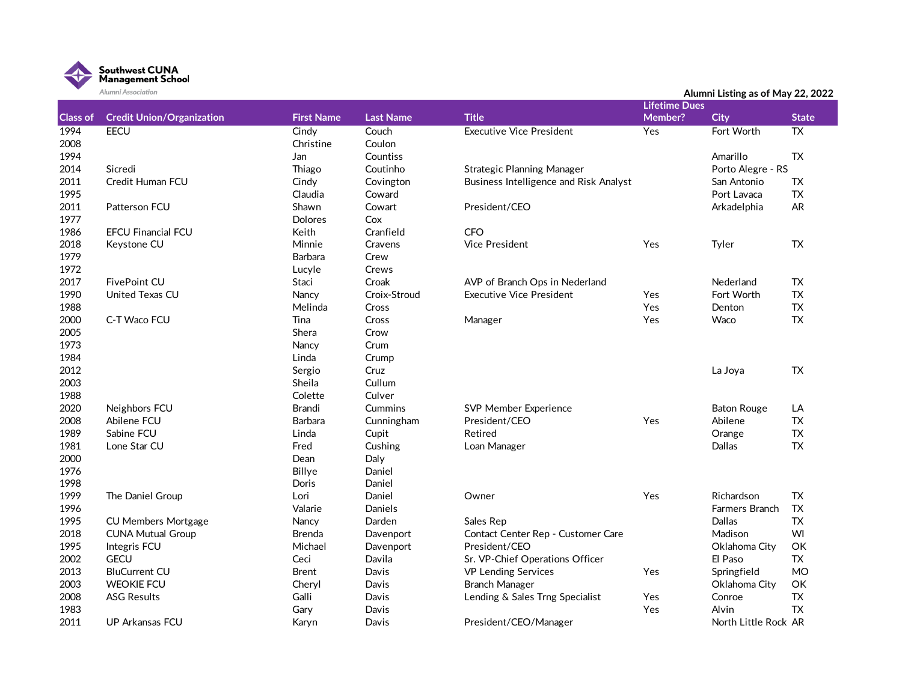

|                 | Alumni Association               |                   |                  |                                               | Alumni Listing as of May 22, 2022<br><b>Lifetime Dues</b> |                       |              |  |
|-----------------|----------------------------------|-------------------|------------------|-----------------------------------------------|-----------------------------------------------------------|-----------------------|--------------|--|
| <b>Class of</b> | <b>Credit Union/Organization</b> | <b>First Name</b> | <b>Last Name</b> | <b>Title</b>                                  | Member?                                                   |                       | <b>State</b> |  |
|                 |                                  |                   |                  |                                               |                                                           | <b>City</b>           |              |  |
| 1994            | <b>EECU</b>                      | Cindy             | Couch            | <b>Executive Vice President</b>               | Yes                                                       | Fort Worth            | <b>TX</b>    |  |
| 2008            |                                  | Christine         | Coulon           |                                               |                                                           |                       |              |  |
| 1994            |                                  | Jan               | Countiss         |                                               |                                                           | Amarillo              | TX           |  |
| 2014            | Sicredi                          | Thiago            | Coutinho         | <b>Strategic Planning Manager</b>             |                                                           | Porto Alegre - RS     |              |  |
| 2011            | Credit Human FCU                 | Cindy             | Covington        | <b>Business Intelligence and Risk Analyst</b> |                                                           | San Antonio           | TX           |  |
| 1995            |                                  | Claudia           | Coward           |                                               |                                                           | Port Lavaca           | <b>TX</b>    |  |
| 2011            | Patterson FCU                    | Shawn             | Cowart           | President/CEO                                 |                                                           | Arkadelphia           | AR           |  |
| 1977            |                                  | <b>Dolores</b>    | Cox              |                                               |                                                           |                       |              |  |
| 1986            | <b>EFCU Financial FCU</b>        | Keith             | Cranfield        | <b>CFO</b>                                    |                                                           |                       |              |  |
| 2018            | Keystone CU                      | Minnie            | Cravens          | <b>Vice President</b>                         | Yes                                                       | Tyler                 | TX           |  |
| 1979            |                                  | Barbara           | Crew             |                                               |                                                           |                       |              |  |
| 1972            |                                  | Lucyle            | Crews            |                                               |                                                           |                       |              |  |
| 2017            | <b>FivePoint CU</b>              | Staci             | Croak            | AVP of Branch Ops in Nederland                |                                                           | Nederland             | <b>TX</b>    |  |
| 1990            | United Texas CU                  | Nancy             | Croix-Stroud     | <b>Executive Vice President</b>               | Yes                                                       | Fort Worth            | <b>TX</b>    |  |
| 1988            |                                  | Melinda           | Cross            |                                               | Yes                                                       | Denton                | <b>TX</b>    |  |
| 2000            | C-T Waco FCU                     | Tina              | Cross            | Manager                                       | Yes                                                       | Waco                  | <b>TX</b>    |  |
| 2005            |                                  | Shera             | Crow             |                                               |                                                           |                       |              |  |
| 1973            |                                  | Nancy             | Crum             |                                               |                                                           |                       |              |  |
| 1984            |                                  | Linda             | Crump            |                                               |                                                           |                       |              |  |
| 2012            |                                  | Sergio            | Cruz             |                                               |                                                           | La Joya               | <b>TX</b>    |  |
| 2003            |                                  | Sheila            | Cullum           |                                               |                                                           |                       |              |  |
| 1988            |                                  | Colette           | Culver           |                                               |                                                           |                       |              |  |
| 2020            | Neighbors FCU                    | Brandi            | Cummins          | SVP Member Experience                         |                                                           | <b>Baton Rouge</b>    | LA           |  |
| 2008            | Abilene FCU                      | Barbara           | Cunningham       | President/CEO                                 | Yes                                                       | Abilene               | <b>TX</b>    |  |
| 1989            | Sabine FCU                       | Linda             | Cupit            | Retired                                       |                                                           | Orange                | ${\sf TX}$   |  |
| 1981            | Lone Star CU                     | Fred              | Cushing          | Loan Manager                                  |                                                           | Dallas                | <b>TX</b>    |  |
| 2000            |                                  | Dean              | Daly             |                                               |                                                           |                       |              |  |
| 1976            |                                  | Billye            | Daniel           |                                               |                                                           |                       |              |  |
| 1998            |                                  | Doris             | Daniel           |                                               |                                                           |                       |              |  |
| 1999            | The Daniel Group                 | Lori              | Daniel           | Owner                                         | Yes                                                       | Richardson            | <b>TX</b>    |  |
| 1996            |                                  | Valarie           | Daniels          |                                               |                                                           | <b>Farmers Branch</b> | <b>TX</b>    |  |
| 1995            | <b>CU Members Mortgage</b>       | Nancy             | Darden           | Sales Rep                                     |                                                           | Dallas                | TX           |  |
| 2018            | <b>CUNA Mutual Group</b>         | <b>Brenda</b>     | Davenport        | Contact Center Rep - Customer Care            |                                                           | Madison               | WI           |  |
| 1995            | Integris FCU                     | Michael           | Davenport        | President/CEO                                 |                                                           | Oklahoma City         | OK           |  |
| 2002            | <b>GECU</b>                      | Ceci              | Davila           | Sr. VP-Chief Operations Officer               |                                                           | El Paso               | <b>TX</b>    |  |
| 2013            | <b>BluCurrent CU</b>             | <b>Brent</b>      | Davis            | <b>VP Lending Services</b>                    | Yes                                                       | Springfield           | <b>MO</b>    |  |
| 2003            | <b>WEOKIE FCU</b>                | Cheryl            | Davis            | <b>Branch Manager</b>                         |                                                           | Oklahoma City         | OK           |  |
| 2008            | <b>ASG Results</b>               | Galli             | Davis            | Lending & Sales Trng Specialist               | Yes                                                       | Conroe                | ${\sf TX}$   |  |
| 1983            |                                  | Gary              | Davis            |                                               | Yes                                                       | Alvin                 | <b>TX</b>    |  |
| 2011            | UP Arkansas FCU                  | Karyn             | Davis            | President/CEO/Manager                         |                                                           | North Little Rock AR  |              |  |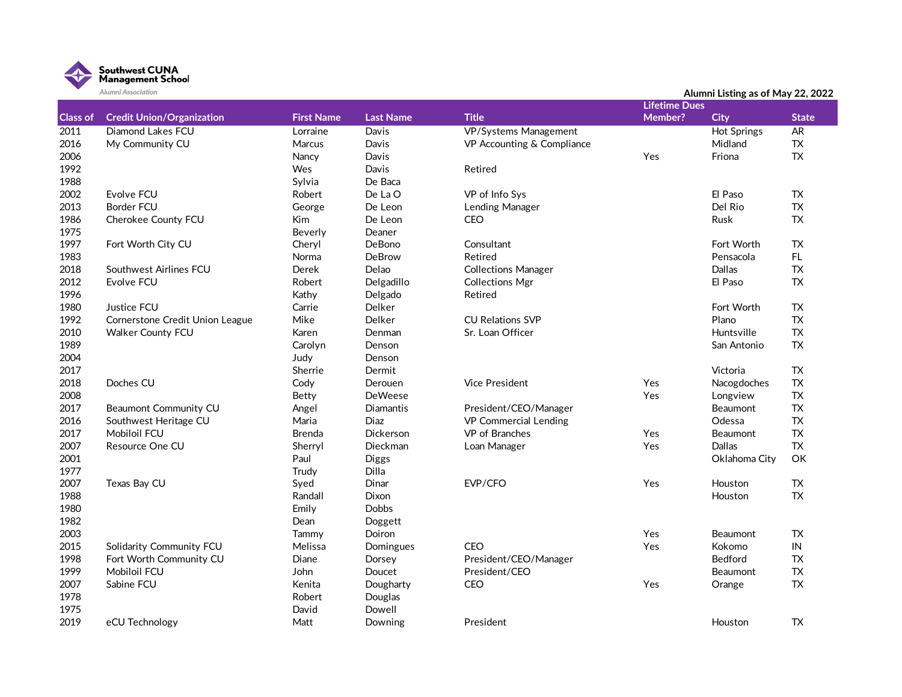

|                 | Alumni Association               |                   | Alumni Listing as of May 22, 2022 |                              |                      |                    |              |
|-----------------|----------------------------------|-------------------|-----------------------------------|------------------------------|----------------------|--------------------|--------------|
|                 |                                  |                   |                                   |                              | <b>Lifetime Dues</b> |                    |              |
| <b>Class of</b> | <b>Credit Union/Organization</b> | <b>First Name</b> | <b>Last Name</b>                  | <b>Title</b>                 | Member?              | <b>City</b>        | <b>State</b> |
| 2011            | Diamond Lakes FCU                | Lorraine          | Davis                             | <b>VP/Systems Management</b> |                      | <b>Hot Springs</b> | AR           |
| 2016            | My Community CU                  | Marcus            | Davis                             | VP Accounting & Compliance   |                      | Midland            | <b>TX</b>    |
| 2006            |                                  | Nancy             | Davis                             |                              | Yes                  | Friona             | <b>TX</b>    |
| 1992            |                                  | Wes               | Davis                             | Retired                      |                      |                    |              |
| 1988            |                                  | Sylvia            | De Baca                           |                              |                      |                    |              |
| 2002            | Evolve FCU                       | Robert            | De La O                           | VP of Info Sys               |                      | El Paso            | <b>TX</b>    |
| 2013            | <b>Border FCU</b>                | George            | De Leon                           | Lending Manager              |                      | Del Rio            | <b>TX</b>    |
| 1986            | Cherokee County FCU              | Kim               | De Leon                           | <b>CEO</b>                   |                      | Rusk               | <b>TX</b>    |
| 1975            |                                  | Beverly           | Deaner                            |                              |                      |                    |              |
| 1997            | Fort Worth City CU               | Cheryl            | DeBono                            | Consultant                   |                      | Fort Worth         | <b>TX</b>    |
| 1983            |                                  | Norma             | DeBrow                            | Retired                      |                      | Pensacola          | FL.          |
| 2018            | Southwest Airlines FCU           | Derek             | Delao                             | <b>Collections Manager</b>   |                      | Dallas             | <b>TX</b>    |
| 2012            | Evolve FCU                       | Robert            | Delgadillo                        | <b>Collections Mgr</b>       |                      | El Paso            | <b>TX</b>    |
| 1996            |                                  | Kathy             | Delgado                           | Retired                      |                      |                    |              |
| 1980            | Justice FCU                      | Carrie            | Delker                            |                              |                      | Fort Worth         | <b>TX</b>    |
| 1992            | Cornerstone Credit Union League  | Mike              | Delker                            | <b>CU Relations SVP</b>      |                      | Plano              | <b>TX</b>    |
| 2010            | <b>Walker County FCU</b>         | Karen             | Denman                            | Sr. Loan Officer             |                      | Huntsville         | <b>TX</b>    |
| 1989            |                                  | Carolyn           | Denson                            |                              |                      | San Antonio        | <b>TX</b>    |
| 2004            |                                  | Judy              | Denson                            |                              |                      |                    |              |
| 2017            |                                  | Sherrie           | Dermit                            |                              |                      | Victoria           | <b>TX</b>    |
| 2018            | Doches CU                        | Cody              | Derouen                           | <b>Vice President</b>        | Yes                  | Nacogdoches        | <b>TX</b>    |
| 2008            |                                  | Betty             | <b>DeWeese</b>                    |                              | Yes                  | Longview           | <b>TX</b>    |
| 2017            | Beaumont Community CU            | Angel             | Diamantis                         | President/CEO/Manager        |                      | Beaumont           | <b>TX</b>    |
| 2016            | Southwest Heritage CU            | Maria             | Diaz                              | VP Commercial Lending        |                      | Odessa             | <b>TX</b>    |
| 2017            | <b>Mobiloil FCU</b>              | <b>Brenda</b>     | <b>Dickerson</b>                  | VP of Branches               | Yes                  | Beaumont           | <b>TX</b>    |
| 2007            | Resource One CU                  | Sherryl           | Dieckman                          | Loan Manager                 | Yes                  | Dallas             | <b>TX</b>    |
| 2001            |                                  | Paul              | <b>Diggs</b>                      |                              |                      | Oklahoma City      | OK           |
| 1977            |                                  | Trudy             | Dilla                             |                              |                      |                    |              |
| 2007            | Texas Bay CU                     | Syed              | Dinar                             | EVP/CFO                      | Yes                  | Houston            | <b>TX</b>    |
| 1988            |                                  | Randall           | Dixon                             |                              |                      | Houston            | <b>TX</b>    |
| 1980            |                                  | Emily             | Dobbs                             |                              |                      |                    |              |
| 1982            |                                  | Dean              | Doggett                           |                              |                      |                    |              |
| 2003            |                                  | Tammy             | Doiron                            |                              | Yes                  | <b>Beaumont</b>    | <b>TX</b>    |
| 2015            | Solidarity Community FCU         | Melissa           | Domingues                         | <b>CEO</b>                   | Yes                  | Kokomo             | IN           |
| 1998            | Fort Worth Community CU          | Diane             | Dorsey                            | President/CEO/Manager        |                      | Bedford            | <b>TX</b>    |
| 1999            | Mobiloil FCU                     | John              | Doucet                            | President/CEO                |                      | Beaumont           | <b>TX</b>    |
| 2007            | Sabine FCU                       | Kenita            | Dougharty                         | <b>CEO</b>                   | Yes                  | Orange             | <b>TX</b>    |
| 1978            |                                  | Robert            | Douglas                           |                              |                      |                    |              |
| 1975            |                                  | David             | Dowell                            |                              |                      |                    |              |
| 2019            | eCU Technology                   | Matt              | Downing                           | President                    |                      | Houston            | <b>TX</b>    |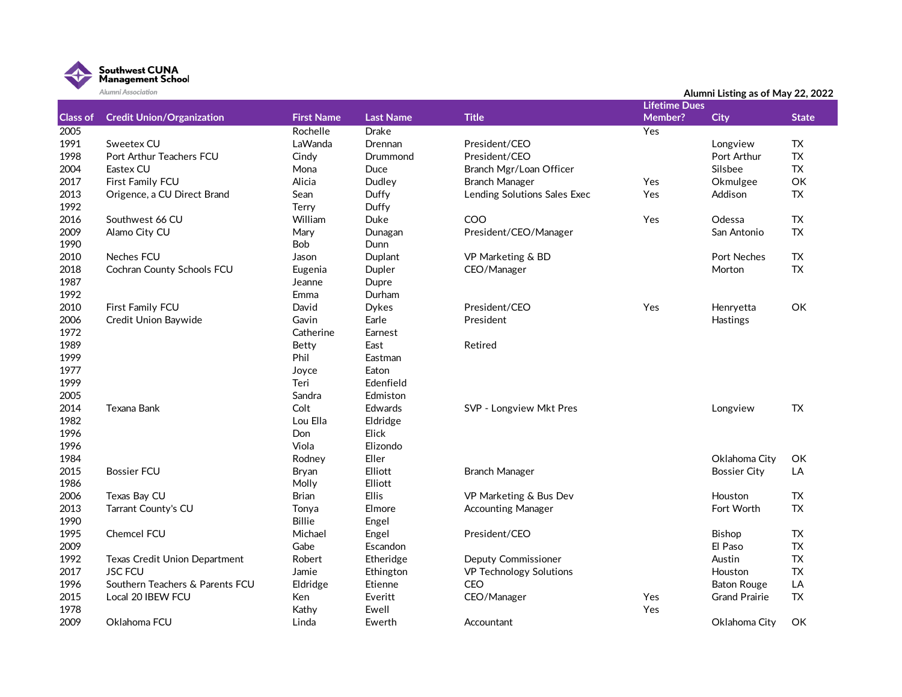

|                 | Alumni Association               |                   |                  |                              |                      | Alumni Listing as of May 22, 2022 |              |
|-----------------|----------------------------------|-------------------|------------------|------------------------------|----------------------|-----------------------------------|--------------|
|                 |                                  |                   |                  |                              | <b>Lifetime Dues</b> |                                   |              |
| <b>Class of</b> | <b>Credit Union/Organization</b> | <b>First Name</b> | <b>Last Name</b> | <b>Title</b>                 | Member?              | <b>City</b>                       | <b>State</b> |
| 2005            |                                  | Rochelle          | <b>Drake</b>     |                              | Yes                  |                                   |              |
| 1991            | Sweetex CU                       | LaWanda           | Drennan          | President/CEO                |                      | Longview                          | TX           |
| 1998            | Port Arthur Teachers FCU         | Cindy             | Drummond         | President/CEO                |                      | Port Arthur                       | <b>TX</b>    |
| 2004            | Eastex CU                        | Mona              | Duce             | Branch Mgr/Loan Officer      |                      | Silsbee                           | <b>TX</b>    |
| 2017            | First Family FCU                 | Alicia            | Dudley           | <b>Branch Manager</b>        | Yes                  | Okmulgee                          | OK           |
| 2013            | Origence, a CU Direct Brand      | Sean              | Duffy            | Lending Solutions Sales Exec | Yes                  | Addison                           | <b>TX</b>    |
| 1992            |                                  | Terry             | Duffy            |                              |                      |                                   |              |
| 2016            | Southwest 66 CU                  | William           | Duke             | COO                          | Yes                  | Odessa                            | ${\sf TX}$   |
| 2009            | Alamo City CU                    | Mary              | Dunagan          | President/CEO/Manager        |                      | San Antonio                       | <b>TX</b>    |
| 1990            |                                  | Bob               | Dunn             |                              |                      |                                   |              |
| 2010            | Neches FCU                       | Jason             | Duplant          | VP Marketing & BD            |                      | Port Neches                       | ${\sf TX}$   |
| 2018            | Cochran County Schools FCU       | Eugenia           | Dupler           | CEO/Manager                  |                      | Morton                            | <b>TX</b>    |
| 1987            |                                  | Jeanne            | Dupre            |                              |                      |                                   |              |
| 1992            |                                  | Emma              | Durham           |                              |                      |                                   |              |
| 2010            | First Family FCU                 | David             | <b>Dykes</b>     | President/CEO                | Yes                  | Henryetta                         | OK           |
| 2006            | Credit Union Baywide             | Gavin             | Earle            | President                    |                      | Hastings                          |              |
| 1972            |                                  | Catherine         | Earnest          |                              |                      |                                   |              |
| 1989            |                                  | Betty             | East             | Retired                      |                      |                                   |              |
| 1999            |                                  | Phil              | Eastman          |                              |                      |                                   |              |
| 1977            |                                  | Joyce             | Eaton            |                              |                      |                                   |              |
| 1999            |                                  | Teri              | Edenfield        |                              |                      |                                   |              |
| 2005            |                                  | Sandra            | Edmiston         |                              |                      |                                   |              |
| 2014            | Texana Bank                      | Colt              | <b>Edwards</b>   | SVP - Longview Mkt Pres      |                      | Longview                          | <b>TX</b>    |
| 1982            |                                  | Lou Ella          | Eldridge         |                              |                      |                                   |              |
| 1996            |                                  | Don               | Elick            |                              |                      |                                   |              |
| 1996            |                                  | Viola             | Elizondo         |                              |                      |                                   |              |
| 1984            |                                  | Rodnev            | Eller            |                              |                      | Oklahoma City                     | ОK           |
| 2015            | <b>Bossier FCU</b>               | Bryan             | Elliott          | <b>Branch Manager</b>        |                      | <b>Bossier City</b>               | LA           |
| 1986            |                                  | Molly             | Elliott          |                              |                      |                                   |              |
| 2006            | Texas Bay CU                     | <b>Brian</b>      | <b>Ellis</b>     | VP Marketing & Bus Dev       |                      | Houston                           | <b>TX</b>    |
| 2013            | Tarrant County's CU              | Tonya             | Elmore           | <b>Accounting Manager</b>    |                      | Fort Worth                        | <b>TX</b>    |
| 1990            |                                  | <b>Billie</b>     | Engel            |                              |                      |                                   |              |
| 1995            | Chemcel FCU                      | Michael           | Engel            | President/CEO                |                      | <b>Bishop</b>                     | <b>TX</b>    |
| 2009            |                                  | Gabe              | Escandon         |                              |                      | El Paso                           | <b>TX</b>    |
| 1992            | Texas Credit Union Department    | Robert            | Etheridge        | Deputy Commissioner          |                      | Austin                            | <b>TX</b>    |
| 2017            | <b>JSC FCU</b>                   | Jamie             | Ethington        | VP Technology Solutions      |                      | Houston                           | <b>TX</b>    |
| 1996            | Southern Teachers & Parents FCU  | Eldridge          | Etienne          | <b>CEO</b>                   |                      | <b>Baton Rouge</b>                | LA           |
| 2015            | Local 20 IBEW FCU                | Ken               | Everitt          | CEO/Manager                  | Yes                  | <b>Grand Prairie</b>              | TX           |
| 1978            |                                  | Kathy             | Ewell            |                              | Yes                  |                                   |              |
| 2009            | Oklahoma FCU                     | Linda             | Ewerth           | Accountant                   |                      | Oklahoma City                     | OK           |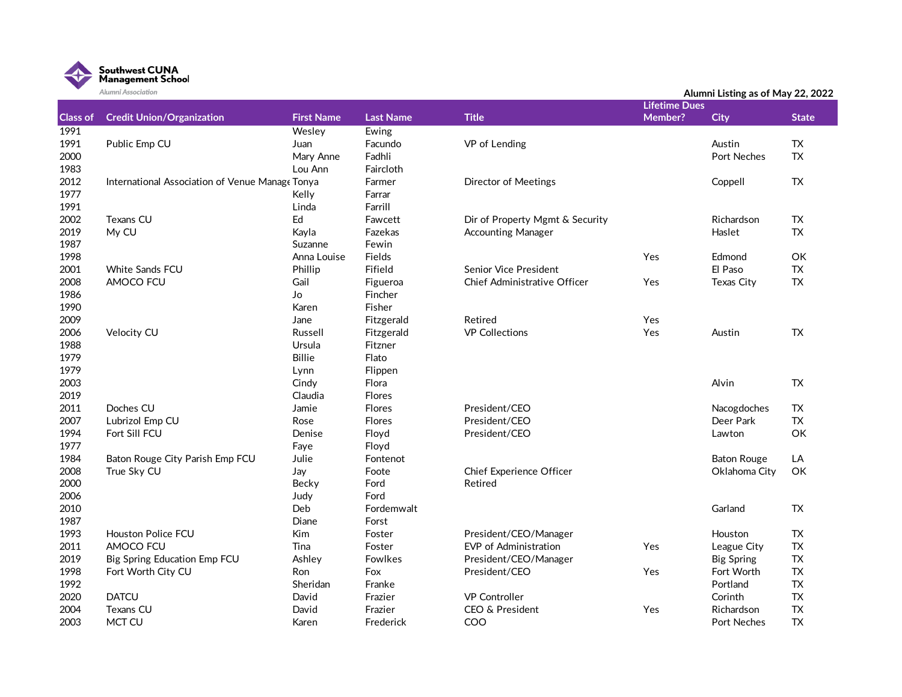

|                 | Alumni Association                              |                   |                  |                                     |                                 | Alumni Listing as of May 22, 2022 |              |
|-----------------|-------------------------------------------------|-------------------|------------------|-------------------------------------|---------------------------------|-----------------------------------|--------------|
| <b>Class of</b> | <b>Credit Union/Organization</b>                | <b>First Name</b> | <b>Last Name</b> | <b>Title</b>                        | <b>Lifetime Dues</b><br>Member? | <b>City</b>                       | <b>State</b> |
| 1991            |                                                 | Wesley            | Ewing            |                                     |                                 |                                   |              |
| 1991            | Public Emp CU                                   | Juan              | Facundo          | VP of Lending                       |                                 | Austin                            | <b>TX</b>    |
| 2000            |                                                 | Mary Anne         | Fadhli           |                                     |                                 | Port Neches                       | <b>TX</b>    |
| 1983            |                                                 | Lou Ann           | Faircloth        |                                     |                                 |                                   |              |
| 2012            | International Association of Venue Manage Tonya |                   | Farmer           | <b>Director of Meetings</b>         |                                 | Coppell                           | TX           |
| 1977            |                                                 | Kelly             | Farrar           |                                     |                                 |                                   |              |
| 1991            |                                                 | Linda             | Farrill          |                                     |                                 |                                   |              |
| 2002            | <b>Texans CU</b>                                | Ed                | Fawcett          | Dir of Property Mgmt & Security     |                                 | Richardson                        | TX           |
| 2019            | My CU                                           | Kayla             | Fazekas          | <b>Accounting Manager</b>           |                                 | Haslet                            | <b>TX</b>    |
| 1987            |                                                 | Suzanne           | Fewin            |                                     |                                 |                                   |              |
| 1998            |                                                 | Anna Louise       | Fields           |                                     | Yes                             | Edmond                            | OK           |
| 2001            | <b>White Sands FCU</b>                          | Phillip           | Fifield          | <b>Senior Vice President</b>        |                                 | El Paso                           | <b>TX</b>    |
| 2008            | AMOCO FCU                                       | Gail              | Figueroa         | <b>Chief Administrative Officer</b> | Yes                             | <b>Texas City</b>                 | <b>TX</b>    |
| 1986            |                                                 | Jo                | Fincher          |                                     |                                 |                                   |              |
| 1990            |                                                 | Karen             | Fisher           |                                     |                                 |                                   |              |
| 2009            |                                                 | Jane              | Fitzgerald       | Retired                             | Yes                             |                                   |              |
| 2006            | Velocity CU                                     | Russell           | Fitzgerald       | <b>VP Collections</b>               | Yes                             | Austin                            | <b>TX</b>    |
| 1988            |                                                 | Ursula            | Fitzner          |                                     |                                 |                                   |              |
| 1979            |                                                 | Billie            | Flato            |                                     |                                 |                                   |              |
| 1979            |                                                 | Lynn              | Flippen          |                                     |                                 |                                   |              |
| 2003            |                                                 | Cindy             | Flora            |                                     |                                 | Alvin                             | TX           |
| 2019            |                                                 | Claudia           | <b>Flores</b>    |                                     |                                 |                                   |              |
| 2011            | Doches CU                                       | Jamie             | <b>Flores</b>    | President/CEO                       |                                 | Nacogdoches                       | TX           |
| 2007            | Lubrizol Emp CU                                 | Rose              | Flores           | President/CEO                       |                                 | Deer Park                         | <b>TX</b>    |
| 1994            | Fort Sill FCU                                   | Denise            | Floyd            | President/CEO                       |                                 | Lawton                            | OK           |
| 1977            |                                                 | Faye              | Floyd            |                                     |                                 |                                   |              |
| 1984            | Baton Rouge City Parish Emp FCU                 | Julie             | Fontenot         |                                     |                                 | <b>Baton Rouge</b>                | LA           |
| 2008            | True Sky CU                                     | Jay               | Foote            | Chief Experience Officer            |                                 | Oklahoma City                     | OK           |
| 2000            |                                                 | Becky             | Ford             | Retired                             |                                 |                                   |              |
| 2006            |                                                 | Judy              | Ford             |                                     |                                 |                                   |              |
| 2010            |                                                 | Deb               | Fordemwalt       |                                     |                                 | Garland                           | TX           |
| 1987            |                                                 | Diane             | Forst            |                                     |                                 |                                   |              |
| 1993            | <b>Houston Police FCU</b>                       | Kim               | Foster           | President/CEO/Manager               |                                 | Houston                           | TX           |
| 2011            | AMOCO FCU                                       | Tina              | Foster           | <b>EVP</b> of Administration        | Yes                             | League City                       | <b>TX</b>    |
| 2019            | Big Spring Education Emp FCU                    | Ashley            | Fowlkes          | President/CEO/Manager               |                                 | <b>Big Spring</b>                 | <b>TX</b>    |
| 1998            | Fort Worth City CU                              | Ron               | Fox              | President/CEO                       | Yes                             | Fort Worth                        | <b>TX</b>    |
| 1992            |                                                 | Sheridan          | Franke           |                                     |                                 | Portland                          | <b>TX</b>    |
| 2020            | <b>DATCU</b>                                    | David             | Frazier          | <b>VP Controller</b>                |                                 | Corinth                           | <b>TX</b>    |
| 2004            | <b>Texans CU</b>                                | David             | Frazier          | CEO & President                     | Yes                             | Richardson                        | <b>TX</b>    |
| 2003            | <b>MCT CU</b>                                   | Karen             | Frederick        | COO                                 |                                 | <b>Port Neches</b>                | <b>TX</b>    |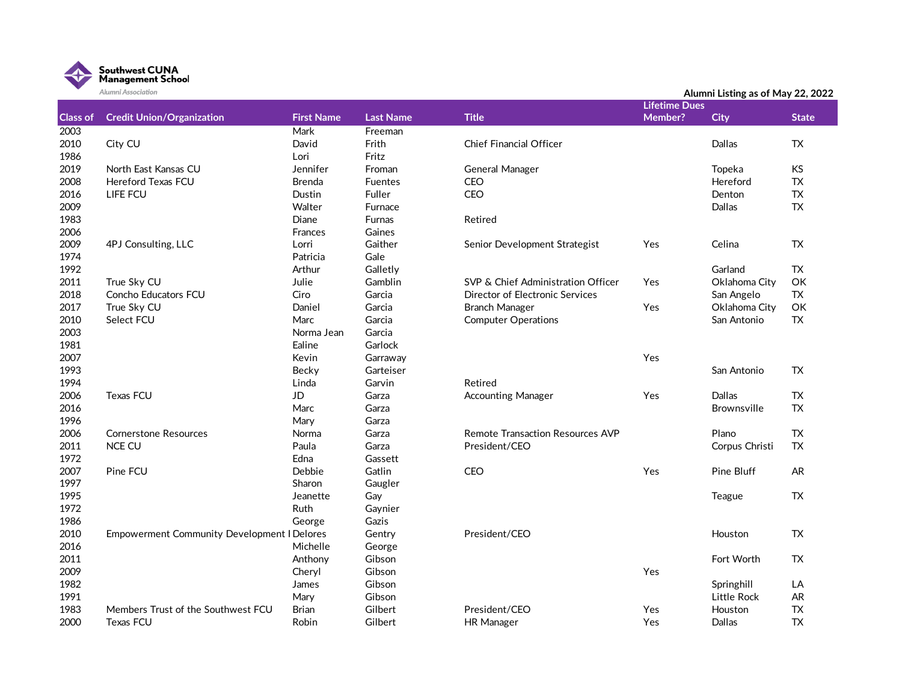

|                 | Alumni Association                                 |                   |                  |                                         |                      | Alumni Listing as of May 22, 2022 |              |
|-----------------|----------------------------------------------------|-------------------|------------------|-----------------------------------------|----------------------|-----------------------------------|--------------|
|                 |                                                    |                   |                  |                                         | <b>Lifetime Dues</b> |                                   |              |
| <b>Class of</b> | <b>Credit Union/Organization</b>                   | <b>First Name</b> | <b>Last Name</b> | <b>Title</b>                            | Member?              | <b>City</b>                       | <b>State</b> |
| 2003            |                                                    | Mark              | Freeman          |                                         |                      |                                   |              |
| 2010            | City CU                                            | David             | Frith            | <b>Chief Financial Officer</b>          |                      | Dallas                            | <b>TX</b>    |
| 1986            |                                                    | Lori              | Fritz            |                                         |                      |                                   |              |
| 2019            | North East Kansas CU                               | Jennifer          | Froman           | General Manager                         |                      | Topeka                            | <b>KS</b>    |
| 2008            | <b>Hereford Texas FCU</b>                          | <b>Brenda</b>     | <b>Fuentes</b>   | CEO                                     |                      | Hereford                          | <b>TX</b>    |
| 2016            | LIFE FCU                                           | Dustin            | Fuller           | CEO                                     |                      | Denton                            | TX           |
| 2009            |                                                    | Walter            | Furnace          |                                         |                      | Dallas                            | TX           |
| 1983            |                                                    | Diane             | <b>Furnas</b>    | Retired                                 |                      |                                   |              |
| 2006            |                                                    | Frances           | Gaines           |                                         |                      |                                   |              |
| 2009            | 4PJ Consulting, LLC                                | Lorri             | Gaither          | Senior Development Strategist           | Yes                  | Celina                            | TX           |
| 1974            |                                                    | Patricia          | Gale             |                                         |                      |                                   |              |
| 1992            |                                                    | Arthur            | Galletly         |                                         |                      | Garland                           | TX           |
| 2011            | True Sky CU                                        | Julie             | Gamblin          | SVP & Chief Administration Officer      | Yes                  | Oklahoma City                     | OK           |
| 2018            | Concho Educators FCU                               | Ciro              | Garcia           | Director of Electronic Services         |                      | San Angelo                        | <b>TX</b>    |
| 2017            | True Sky CU                                        | Daniel            | Garcia           | <b>Branch Manager</b>                   | Yes                  | Oklahoma City                     | OK           |
| 2010            | Select FCU                                         | Marc              | Garcia           | <b>Computer Operations</b>              |                      | San Antonio                       | TX           |
| 2003            |                                                    | Norma Jean        | Garcia           |                                         |                      |                                   |              |
| 1981            |                                                    | Ealine            | Garlock          |                                         |                      |                                   |              |
| 2007            |                                                    | Kevin             | Garraway         |                                         | Yes                  |                                   |              |
| 1993            |                                                    | Becky             | Garteiser        |                                         |                      | San Antonio                       | TX           |
| 1994            |                                                    | Linda             | Garvin           | Retired                                 |                      |                                   |              |
| 2006            | <b>Texas FCU</b>                                   | JD                | Garza            | <b>Accounting Manager</b>               | Yes                  | Dallas                            | TX           |
| 2016            |                                                    | Marc              | Garza            |                                         |                      | <b>Brownsville</b>                | <b>TX</b>    |
| 1996            |                                                    | Mary              | Garza            |                                         |                      |                                   |              |
| 2006            | <b>Cornerstone Resources</b>                       | Norma             | Garza            | <b>Remote Transaction Resources AVP</b> |                      | Plano                             | TX           |
| 2011            | <b>NCE CU</b>                                      | Paula             | Garza            | President/CEO                           |                      | Corpus Christi                    | <b>TX</b>    |
| 1972            |                                                    | Edna              | Gassett          |                                         |                      |                                   |              |
| 2007            | Pine FCU                                           | Debbie            | Gatlin           | CEO                                     | Yes                  | <b>Pine Bluff</b>                 | <b>AR</b>    |
| 1997            |                                                    | Sharon            | Gaugler          |                                         |                      |                                   |              |
| 1995            |                                                    | Jeanette          | Gay              |                                         |                      | Teague                            | TX           |
| 1972            |                                                    | Ruth              | Gaynier          |                                         |                      |                                   |              |
| 1986            |                                                    | George            | Gazis            |                                         |                      |                                   |              |
| 2010            | <b>Empowerment Community Development I Delores</b> |                   | Gentry           | President/CEO                           |                      | Houston                           | TX           |
| 2016            |                                                    | Michelle          | George           |                                         |                      |                                   |              |
| 2011            |                                                    | Anthony           | Gibson           |                                         |                      | Fort Worth                        | TX           |
| 2009            |                                                    | Cheryl            | Gibson           |                                         | Yes                  |                                   |              |
| 1982            |                                                    | James             | Gibson           |                                         |                      | Springhill                        | LA           |
| 1991            |                                                    | Mary              | Gibson           |                                         |                      | Little Rock                       | AR.          |
| 1983            | Members Trust of the Southwest FCU                 | <b>Brian</b>      | Gilbert          | President/CEO                           | Yes                  | Houston                           | <b>TX</b>    |
| 2000            | <b>Texas FCU</b>                                   | Robin             | Gilbert          | <b>HR Manager</b>                       | Yes                  | <b>Dallas</b>                     | <b>TX</b>    |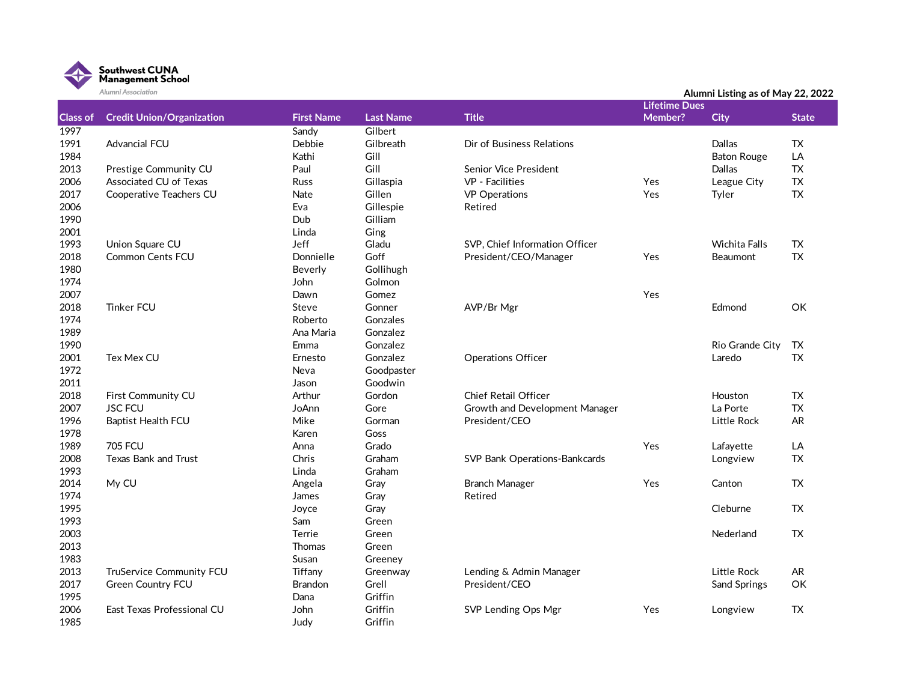

|                 | Alumni Association               |                   |                  |                                | Alumni Listing as of May 22, 2022 |                      |              |  |
|-----------------|----------------------------------|-------------------|------------------|--------------------------------|-----------------------------------|----------------------|--------------|--|
|                 |                                  |                   |                  |                                | <b>Lifetime Dues</b>              |                      |              |  |
| <b>Class of</b> | <b>Credit Union/Organization</b> | <b>First Name</b> | <b>Last Name</b> | <b>Title</b>                   | Member?                           | <b>City</b>          | <b>State</b> |  |
| 1997            |                                  | Sandy             | Gilbert          |                                |                                   |                      |              |  |
| 1991            | <b>Advancial FCU</b>             | Debbie            | Gilbreath        | Dir of Business Relations      |                                   | <b>Dallas</b>        | TX.          |  |
| 1984            |                                  | Kathi             | Gill             |                                |                                   | <b>Baton Rouge</b>   | LA           |  |
| 2013            | Prestige Community CU            | Paul              | Gill             | <b>Senior Vice President</b>   |                                   | Dallas               | <b>TX</b>    |  |
| 2006            | Associated CU of Texas           | <b>Russ</b>       | Gillaspia        | VP - Facilities                | Yes                               | League City          | <b>TX</b>    |  |
| 2017            | Cooperative Teachers CU          | Nate              | Gillen           | <b>VP</b> Operations           | Yes                               | Tyler                | TX           |  |
| 2006            |                                  | Eva               | Gillespie        | Retired                        |                                   |                      |              |  |
| 1990            |                                  | Dub               | Gilliam          |                                |                                   |                      |              |  |
| 2001            |                                  | Linda             | Ging             |                                |                                   |                      |              |  |
| 1993            | Union Square CU                  | Jeff              | Gladu            | SVP, Chief Information Officer |                                   | <b>Wichita Falls</b> | TX           |  |
| 2018            | <b>Common Cents FCU</b>          | Donnielle         | Goff             | President/CEO/Manager          | Yes                               | Beaumont             | TX           |  |
| 1980            |                                  | Beverly           | Gollihugh        |                                |                                   |                      |              |  |
| 1974            |                                  | John              | Golmon           |                                |                                   |                      |              |  |
| 2007            |                                  | Dawn              | Gomez            |                                | Yes                               |                      |              |  |
| 2018            | <b>Tinker FCU</b>                | Steve             | Gonner           | AVP/Br Mgr                     |                                   | Edmond               | OK           |  |
| 1974            |                                  | Roberto           | Gonzales         |                                |                                   |                      |              |  |
| 1989            |                                  | Ana Maria         | Gonzalez         |                                |                                   |                      |              |  |
| 1990            |                                  | Emma              | Gonzalez         |                                |                                   | Rio Grande City      | TX           |  |
| 2001            | Tex Mex CU                       | Ernesto           | Gonzalez         | <b>Operations Officer</b>      |                                   | Laredo               | TX           |  |
| 1972            |                                  | Neva              | Goodpaster       |                                |                                   |                      |              |  |
| 2011            |                                  | Jason             | Goodwin          |                                |                                   |                      |              |  |
| 2018            | First Community CU               | Arthur            | Gordon           | Chief Retail Officer           |                                   | Houston              | TX           |  |
| 2007            | <b>JSC FCU</b>                   | JoAnn             | Gore             | Growth and Development Manager |                                   | La Porte             | <b>TX</b>    |  |
| 1996            | <b>Baptist Health FCU</b>        | Mike              | Gorman           | President/CEO                  |                                   | Little Rock          | <b>AR</b>    |  |
| 1978            |                                  | Karen             | Goss             |                                |                                   |                      |              |  |
| 1989            | <b>705 FCU</b>                   | Anna              | Grado            |                                | Yes                               | Lafayette            | LA           |  |
| 2008            | Texas Bank and Trust             | Chris             | Graham           | SVP Bank Operations-Bankcards  |                                   | Longview             | <b>TX</b>    |  |
| 1993            |                                  | Linda             | Graham           |                                |                                   |                      |              |  |
| 2014            | My CU                            | Angela            | Gray             | <b>Branch Manager</b>          | Yes                               | Canton               | <b>TX</b>    |  |
| 1974            |                                  | James             | Gray             | Retired                        |                                   |                      |              |  |
| 1995            |                                  | Joyce             | Gray             |                                |                                   | Cleburne             | <b>TX</b>    |  |
| 1993            |                                  | Sam               | Green            |                                |                                   |                      |              |  |
| 2003            |                                  | Terrie            | Green            |                                |                                   | Nederland            | <b>TX</b>    |  |
| 2013            |                                  | <b>Thomas</b>     | Green            |                                |                                   |                      |              |  |
| 1983            |                                  | Susan             | Greeney          |                                |                                   |                      |              |  |
| 2013            | TruService Community FCU         | Tiffany           | Greenway         | Lending & Admin Manager        |                                   | Little Rock          | <b>AR</b>    |  |
| 2017            | Green Country FCU                | <b>Brandon</b>    | Grell            | President/CEO                  |                                   | Sand Springs         | OK           |  |
| 1995            |                                  | Dana              | Griffin          |                                |                                   |                      |              |  |
| 2006            | East Texas Professional CU       | John              | Griffin          | SVP Lending Ops Mgr            | Yes                               | Longview             | TX.          |  |
| 1985            |                                  | Judy              | Griffin          |                                |                                   |                      |              |  |
|                 |                                  |                   |                  |                                |                                   |                      |              |  |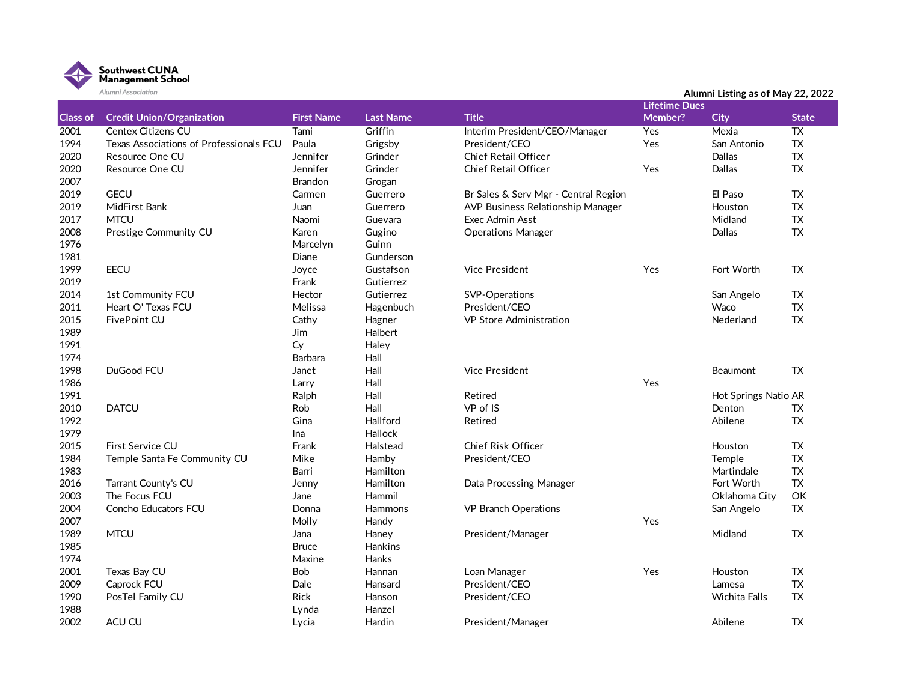

|                 | Alumni Association                      |                   |                  |                                      |                      | Alumni Listing as of May 22, 2022 |              |
|-----------------|-----------------------------------------|-------------------|------------------|--------------------------------------|----------------------|-----------------------------------|--------------|
|                 |                                         |                   |                  |                                      | <b>Lifetime Dues</b> |                                   |              |
| <b>Class of</b> | <b>Credit Union/Organization</b>        | <b>First Name</b> | <b>Last Name</b> | <b>Title</b>                         | <b>Member?</b>       | <b>City</b>                       | <b>State</b> |
| 2001            | Centex Citizens CU                      | Tami              | Griffin          | Interim President/CEO/Manager        | Yes                  | Mexia                             | <b>TX</b>    |
| 1994            | Texas Associations of Professionals FCU | Paula             | Grigsby          | President/CEO                        | Yes                  | San Antonio                       | TX           |
| 2020            | Resource One CU                         | Jennifer          | Grinder          | Chief Retail Officer                 |                      | Dallas                            | TX           |
| 2020            | Resource One CU                         | Jennifer          | Grinder          | <b>Chief Retail Officer</b>          | Yes                  | Dallas                            | ${\sf TX}$   |
| 2007            |                                         | <b>Brandon</b>    | Grogan           |                                      |                      |                                   |              |
| 2019            | <b>GECU</b>                             | Carmen            | Guerrero         | Br Sales & Serv Mgr - Central Region |                      | El Paso                           | TX           |
| 2019            | MidFirst Bank                           | Juan              | Guerrero         | AVP Business Relationship Manager    |                      | Houston                           | <b>TX</b>    |
| 2017            | <b>MTCU</b>                             | Naomi             | Guevara          | Exec Admin Asst                      |                      | Midland                           | TX           |
| 2008            | Prestige Community CU                   | Karen             | Gugino           | <b>Operations Manager</b>            |                      | Dallas                            | <b>TX</b>    |
| 1976            |                                         | Marcelyn          | Guinn            |                                      |                      |                                   |              |
| 1981            |                                         | Diane             | Gunderson        |                                      |                      |                                   |              |
| 1999            | <b>EECU</b>                             | Joyce             | Gustafson        | <b>Vice President</b>                | Yes                  | Fort Worth                        | <b>TX</b>    |
| 2019            |                                         | Frank             | Gutierrez        |                                      |                      |                                   |              |
| 2014            | 1st Community FCU                       | Hector            | Gutierrez        | SVP-Operations                       |                      | San Angelo                        | TX           |
| 2011            | Heart O' Texas FCU                      | Melissa           | Hagenbuch        | President/CEO                        |                      | Waco                              | ${\sf TX}$   |
| 2015            | FivePoint CU                            | Cathy             | Hagner           | <b>VP Store Administration</b>       |                      | Nederland                         | <b>TX</b>    |
| 1989            |                                         | <b>Jim</b>        | Halbert          |                                      |                      |                                   |              |
| 1991            |                                         | Cy                | Haley            |                                      |                      |                                   |              |
| 1974            |                                         | Barbara           | Hall             |                                      |                      |                                   |              |
| 1998            | DuGood FCU                              | Janet             | Hall             | <b>Vice President</b>                |                      | <b>Beaumont</b>                   | <b>TX</b>    |
| 1986            |                                         | Larry             | Hall             |                                      | Yes                  |                                   |              |
| 1991            |                                         | Ralph             | Hall             | Retired                              |                      | Hot Springs Natio AR              |              |
| 2010            | <b>DATCU</b>                            | Rob               | Hall             | VP of IS                             |                      | Denton                            | TX           |
| 1992            |                                         | Gina              | Hallford         | Retired                              |                      | Abilene                           | <b>TX</b>    |
| 1979            |                                         | Ina               | <b>Hallock</b>   |                                      |                      |                                   |              |
| 2015            | First Service CU                        | Frank             | Halstead         | <b>Chief Risk Officer</b>            |                      | Houston                           | TX           |
| 1984            | Temple Santa Fe Community CU            | Mike              | Hamby            | President/CEO                        |                      | Temple                            | TX           |
| 1983            |                                         | Barri             | Hamilton         |                                      |                      | Martindale                        | <b>TX</b>    |
| 2016            | Tarrant County's CU                     | Jenny             | Hamilton         | Data Processing Manager              |                      | Fort Worth                        | <b>TX</b>    |
| 2003            | The Focus FCU                           | Jane              | Hammil           |                                      |                      | Oklahoma City                     | OK           |
| 2004            | Concho Educators FCU                    | Donna             | <b>Hammons</b>   | <b>VP Branch Operations</b>          |                      | San Angelo                        | <b>TX</b>    |
| 2007            |                                         | Molly             | Handy            |                                      | Yes                  |                                   |              |
| 1989            | <b>MTCU</b>                             | Jana              | Haney            | President/Manager                    |                      | Midland                           | <b>TX</b>    |
| 1985            |                                         | <b>Bruce</b>      | <b>Hankins</b>   |                                      |                      |                                   |              |
| 1974            |                                         | Maxine            | <b>Hanks</b>     |                                      |                      |                                   |              |
| 2001            | Texas Bay CU                            | Bob               | Hannan           | Loan Manager                         | Yes                  | Houston                           | TX           |
| 2009            | Caprock FCU                             | Dale              | Hansard          | President/CEO                        |                      | Lamesa                            | TX           |
| 1990            | PosTel Family CU                        | Rick              | Hanson           | President/CEO                        |                      | Wichita Falls                     | <b>TX</b>    |
| 1988            |                                         | Lynda             | Hanzel           |                                      |                      |                                   |              |
| 2002            | ACU CU                                  | Lycia             | Hardin           | President/Manager                    |                      | Abilene                           | TX           |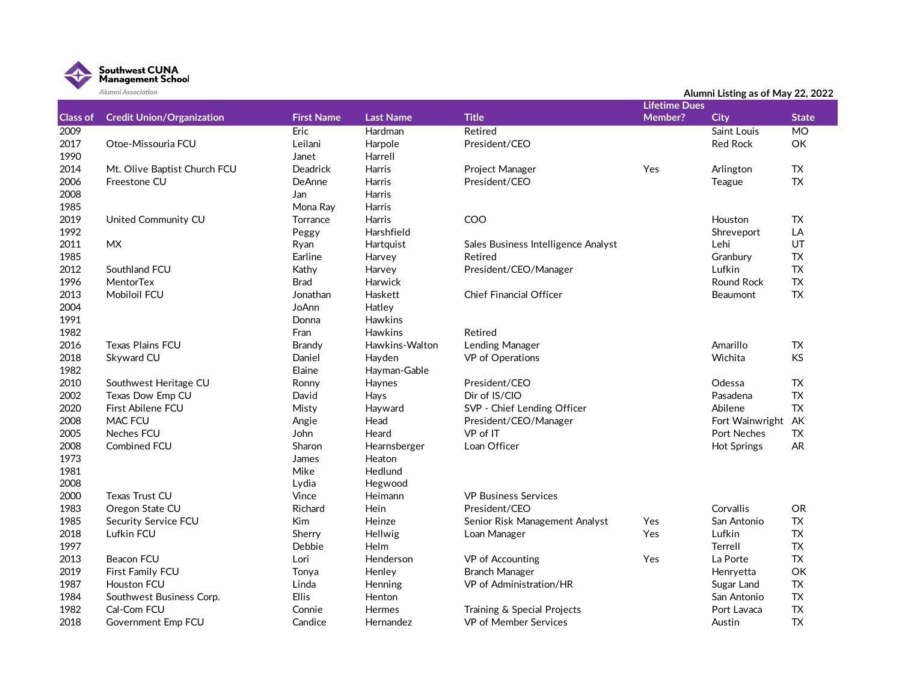

| <b>Lifetime Dues</b><br>Class of<br><b>Credit Union/Organization</b><br><b>First Name</b><br><b>Last Name</b><br><b>Title</b><br>Member?<br>City<br><b>State</b><br>Eric<br>2009<br>Hardman<br>Saint Louis<br>$\overline{MO}$<br>Retired<br>2017<br>Leilani<br>Harpole<br>President/CEO<br>OK<br>Otoe-Missouria FCU<br><b>Red Rock</b><br>1990<br>Janet<br>Harrell<br>2014<br>Deadrick<br>Harris<br><b>TX</b><br>Mt. Olive Baptist Church FCU<br><b>Project Manager</b><br>Yes<br>Arlington<br>TX<br>2006<br>Freestone CU<br><b>DeAnne</b><br>Harris<br>President/CEO<br>Teague<br>2008<br>Jan<br><b>Harris</b><br>1985<br>Harris<br>Mona Ray<br>2019<br>COO<br><b>TX</b><br>United Community CU<br>Torrance<br><b>Harris</b><br>Houston<br>1992<br>Harshfield<br>LA<br>Peggy<br>Shreveport<br><b>MX</b><br>UT<br>2011<br>Hartquist<br>Lehi<br>Ryan<br>Sales Business Intelligence Analyst<br>1985<br><b>TX</b><br>Earline<br>Retired<br>Granbury<br>Harvey<br><b>TX</b><br>2012<br>Southland FCU<br>Kathy<br>President/CEO/Manager<br>Lufkin<br>Harvey<br>${\sf TX}$<br>1996<br><b>MentorTex</b><br>Round Rock<br><b>Brad</b><br><b>Harwick</b><br><b>TX</b><br>2013<br><b>Mobiloil FCU</b><br>Jonathan<br>Haskett<br><b>Chief Financial Officer</b><br>Beaumont<br>2004<br>JoAnn<br>Hatley<br>1991<br>Hawkins<br>Donna<br>1982<br>Hawkins<br>Fran<br>Retired<br>2016<br><b>Texas Plains FCU</b><br><b>Brandy</b><br>Hawkins-Walton<br>Lending Manager<br>Amarillo<br><b>TX</b><br>2018<br>Skyward CU<br><b>KS</b><br>Daniel<br>Hayden<br>VP of Operations<br>Wichita<br>1982<br>Elaine<br>Hayman-Gable<br>2010<br><b>TX</b><br>Southwest Heritage CU<br>President/CEO<br>Odessa<br>Ronny<br>Haynes<br>2002<br>Texas Dow Emp CU<br>David<br>Dir of IS/CIO<br><b>TX</b><br>Hays<br>Pasadena<br>2020<br><b>TX</b><br>First Abilene FCU<br>Misty<br>SVP - Chief Lending Officer<br>Abilene<br>Hayward<br>MAC FCU<br>2008<br>Head<br>President/CEO/Manager<br>Fort Wainwright<br>AK<br>Angie<br><b>TX</b><br>2005<br>Neches FCU<br>John<br>VP of IT<br>Port Neches<br>Heard<br>2008<br>Loan Officer<br><b>AR</b><br>Combined FCU<br>Sharon<br>Hearnsberger<br><b>Hot Springs</b><br>1973<br>James<br>Heaton<br>1981<br>Mike<br>Hedlund<br>2008<br>Lydia<br>Hegwood<br>2000<br><b>Texas Trust CU</b><br>Vince<br>Heimann<br><b>VP Business Services</b><br>1983<br>Oregon State CU<br>Richard<br>President/CEO<br>Corvallis<br>OR<br>Hein<br>1985<br><b>TX</b><br>Security Service FCU<br>Senior Risk Management Analyst<br>Yes<br>Kim<br>Heinze<br>San Antonio<br>${\sf TX}$<br>2018<br>Lufkin FCU<br>Yes<br>Lufkin<br>Sherry<br>Hellwig<br>Loan Manager<br>1997<br><b>TX</b><br>Debbie<br>Helm<br>Terrell<br>2013<br><b>Beacon FCU</b><br>Lori<br>La Porte<br><b>TX</b><br>Henderson<br>VP of Accounting<br>Yes<br>OK<br>2019<br>First Family FCU<br><b>Branch Manager</b><br>Tonya<br>Henley<br>Henryetta |      | Alumni Association |       |         |                         | Alumni Listing as of May 22, 2022 |           |
|----------------------------------------------------------------------------------------------------------------------------------------------------------------------------------------------------------------------------------------------------------------------------------------------------------------------------------------------------------------------------------------------------------------------------------------------------------------------------------------------------------------------------------------------------------------------------------------------------------------------------------------------------------------------------------------------------------------------------------------------------------------------------------------------------------------------------------------------------------------------------------------------------------------------------------------------------------------------------------------------------------------------------------------------------------------------------------------------------------------------------------------------------------------------------------------------------------------------------------------------------------------------------------------------------------------------------------------------------------------------------------------------------------------------------------------------------------------------------------------------------------------------------------------------------------------------------------------------------------------------------------------------------------------------------------------------------------------------------------------------------------------------------------------------------------------------------------------------------------------------------------------------------------------------------------------------------------------------------------------------------------------------------------------------------------------------------------------------------------------------------------------------------------------------------------------------------------------------------------------------------------------------------------------------------------------------------------------------------------------------------------------------------------------------------------------------------------------------------------------------------------------------------------------------------------------------------------------------------------------------------------------------------------------------------------------------------------------------------------------------------------------------------------------------------------------------------------------------------------------------------------------------------------|------|--------------------|-------|---------|-------------------------|-----------------------------------|-----------|
|                                                                                                                                                                                                                                                                                                                                                                                                                                                                                                                                                                                                                                                                                                                                                                                                                                                                                                                                                                                                                                                                                                                                                                                                                                                                                                                                                                                                                                                                                                                                                                                                                                                                                                                                                                                                                                                                                                                                                                                                                                                                                                                                                                                                                                                                                                                                                                                                                                                                                                                                                                                                                                                                                                                                                                                                                                                                                                          |      |                    |       |         |                         |                                   |           |
|                                                                                                                                                                                                                                                                                                                                                                                                                                                                                                                                                                                                                                                                                                                                                                                                                                                                                                                                                                                                                                                                                                                                                                                                                                                                                                                                                                                                                                                                                                                                                                                                                                                                                                                                                                                                                                                                                                                                                                                                                                                                                                                                                                                                                                                                                                                                                                                                                                                                                                                                                                                                                                                                                                                                                                                                                                                                                                          |      |                    |       |         |                         |                                   |           |
|                                                                                                                                                                                                                                                                                                                                                                                                                                                                                                                                                                                                                                                                                                                                                                                                                                                                                                                                                                                                                                                                                                                                                                                                                                                                                                                                                                                                                                                                                                                                                                                                                                                                                                                                                                                                                                                                                                                                                                                                                                                                                                                                                                                                                                                                                                                                                                                                                                                                                                                                                                                                                                                                                                                                                                                                                                                                                                          |      |                    |       |         |                         |                                   |           |
|                                                                                                                                                                                                                                                                                                                                                                                                                                                                                                                                                                                                                                                                                                                                                                                                                                                                                                                                                                                                                                                                                                                                                                                                                                                                                                                                                                                                                                                                                                                                                                                                                                                                                                                                                                                                                                                                                                                                                                                                                                                                                                                                                                                                                                                                                                                                                                                                                                                                                                                                                                                                                                                                                                                                                                                                                                                                                                          |      |                    |       |         |                         |                                   |           |
|                                                                                                                                                                                                                                                                                                                                                                                                                                                                                                                                                                                                                                                                                                                                                                                                                                                                                                                                                                                                                                                                                                                                                                                                                                                                                                                                                                                                                                                                                                                                                                                                                                                                                                                                                                                                                                                                                                                                                                                                                                                                                                                                                                                                                                                                                                                                                                                                                                                                                                                                                                                                                                                                                                                                                                                                                                                                                                          |      |                    |       |         |                         |                                   |           |
|                                                                                                                                                                                                                                                                                                                                                                                                                                                                                                                                                                                                                                                                                                                                                                                                                                                                                                                                                                                                                                                                                                                                                                                                                                                                                                                                                                                                                                                                                                                                                                                                                                                                                                                                                                                                                                                                                                                                                                                                                                                                                                                                                                                                                                                                                                                                                                                                                                                                                                                                                                                                                                                                                                                                                                                                                                                                                                          |      |                    |       |         |                         |                                   |           |
|                                                                                                                                                                                                                                                                                                                                                                                                                                                                                                                                                                                                                                                                                                                                                                                                                                                                                                                                                                                                                                                                                                                                                                                                                                                                                                                                                                                                                                                                                                                                                                                                                                                                                                                                                                                                                                                                                                                                                                                                                                                                                                                                                                                                                                                                                                                                                                                                                                                                                                                                                                                                                                                                                                                                                                                                                                                                                                          |      |                    |       |         |                         |                                   |           |
|                                                                                                                                                                                                                                                                                                                                                                                                                                                                                                                                                                                                                                                                                                                                                                                                                                                                                                                                                                                                                                                                                                                                                                                                                                                                                                                                                                                                                                                                                                                                                                                                                                                                                                                                                                                                                                                                                                                                                                                                                                                                                                                                                                                                                                                                                                                                                                                                                                                                                                                                                                                                                                                                                                                                                                                                                                                                                                          |      |                    |       |         |                         |                                   |           |
|                                                                                                                                                                                                                                                                                                                                                                                                                                                                                                                                                                                                                                                                                                                                                                                                                                                                                                                                                                                                                                                                                                                                                                                                                                                                                                                                                                                                                                                                                                                                                                                                                                                                                                                                                                                                                                                                                                                                                                                                                                                                                                                                                                                                                                                                                                                                                                                                                                                                                                                                                                                                                                                                                                                                                                                                                                                                                                          |      |                    |       |         |                         |                                   |           |
|                                                                                                                                                                                                                                                                                                                                                                                                                                                                                                                                                                                                                                                                                                                                                                                                                                                                                                                                                                                                                                                                                                                                                                                                                                                                                                                                                                                                                                                                                                                                                                                                                                                                                                                                                                                                                                                                                                                                                                                                                                                                                                                                                                                                                                                                                                                                                                                                                                                                                                                                                                                                                                                                                                                                                                                                                                                                                                          |      |                    |       |         |                         |                                   |           |
|                                                                                                                                                                                                                                                                                                                                                                                                                                                                                                                                                                                                                                                                                                                                                                                                                                                                                                                                                                                                                                                                                                                                                                                                                                                                                                                                                                                                                                                                                                                                                                                                                                                                                                                                                                                                                                                                                                                                                                                                                                                                                                                                                                                                                                                                                                                                                                                                                                                                                                                                                                                                                                                                                                                                                                                                                                                                                                          |      |                    |       |         |                         |                                   |           |
|                                                                                                                                                                                                                                                                                                                                                                                                                                                                                                                                                                                                                                                                                                                                                                                                                                                                                                                                                                                                                                                                                                                                                                                                                                                                                                                                                                                                                                                                                                                                                                                                                                                                                                                                                                                                                                                                                                                                                                                                                                                                                                                                                                                                                                                                                                                                                                                                                                                                                                                                                                                                                                                                                                                                                                                                                                                                                                          |      |                    |       |         |                         |                                   |           |
|                                                                                                                                                                                                                                                                                                                                                                                                                                                                                                                                                                                                                                                                                                                                                                                                                                                                                                                                                                                                                                                                                                                                                                                                                                                                                                                                                                                                                                                                                                                                                                                                                                                                                                                                                                                                                                                                                                                                                                                                                                                                                                                                                                                                                                                                                                                                                                                                                                                                                                                                                                                                                                                                                                                                                                                                                                                                                                          |      |                    |       |         |                         |                                   |           |
|                                                                                                                                                                                                                                                                                                                                                                                                                                                                                                                                                                                                                                                                                                                                                                                                                                                                                                                                                                                                                                                                                                                                                                                                                                                                                                                                                                                                                                                                                                                                                                                                                                                                                                                                                                                                                                                                                                                                                                                                                                                                                                                                                                                                                                                                                                                                                                                                                                                                                                                                                                                                                                                                                                                                                                                                                                                                                                          |      |                    |       |         |                         |                                   |           |
|                                                                                                                                                                                                                                                                                                                                                                                                                                                                                                                                                                                                                                                                                                                                                                                                                                                                                                                                                                                                                                                                                                                                                                                                                                                                                                                                                                                                                                                                                                                                                                                                                                                                                                                                                                                                                                                                                                                                                                                                                                                                                                                                                                                                                                                                                                                                                                                                                                                                                                                                                                                                                                                                                                                                                                                                                                                                                                          |      |                    |       |         |                         |                                   |           |
|                                                                                                                                                                                                                                                                                                                                                                                                                                                                                                                                                                                                                                                                                                                                                                                                                                                                                                                                                                                                                                                                                                                                                                                                                                                                                                                                                                                                                                                                                                                                                                                                                                                                                                                                                                                                                                                                                                                                                                                                                                                                                                                                                                                                                                                                                                                                                                                                                                                                                                                                                                                                                                                                                                                                                                                                                                                                                                          |      |                    |       |         |                         |                                   |           |
|                                                                                                                                                                                                                                                                                                                                                                                                                                                                                                                                                                                                                                                                                                                                                                                                                                                                                                                                                                                                                                                                                                                                                                                                                                                                                                                                                                                                                                                                                                                                                                                                                                                                                                                                                                                                                                                                                                                                                                                                                                                                                                                                                                                                                                                                                                                                                                                                                                                                                                                                                                                                                                                                                                                                                                                                                                                                                                          |      |                    |       |         |                         |                                   |           |
|                                                                                                                                                                                                                                                                                                                                                                                                                                                                                                                                                                                                                                                                                                                                                                                                                                                                                                                                                                                                                                                                                                                                                                                                                                                                                                                                                                                                                                                                                                                                                                                                                                                                                                                                                                                                                                                                                                                                                                                                                                                                                                                                                                                                                                                                                                                                                                                                                                                                                                                                                                                                                                                                                                                                                                                                                                                                                                          |      |                    |       |         |                         |                                   |           |
|                                                                                                                                                                                                                                                                                                                                                                                                                                                                                                                                                                                                                                                                                                                                                                                                                                                                                                                                                                                                                                                                                                                                                                                                                                                                                                                                                                                                                                                                                                                                                                                                                                                                                                                                                                                                                                                                                                                                                                                                                                                                                                                                                                                                                                                                                                                                                                                                                                                                                                                                                                                                                                                                                                                                                                                                                                                                                                          |      |                    |       |         |                         |                                   |           |
|                                                                                                                                                                                                                                                                                                                                                                                                                                                                                                                                                                                                                                                                                                                                                                                                                                                                                                                                                                                                                                                                                                                                                                                                                                                                                                                                                                                                                                                                                                                                                                                                                                                                                                                                                                                                                                                                                                                                                                                                                                                                                                                                                                                                                                                                                                                                                                                                                                                                                                                                                                                                                                                                                                                                                                                                                                                                                                          |      |                    |       |         |                         |                                   |           |
|                                                                                                                                                                                                                                                                                                                                                                                                                                                                                                                                                                                                                                                                                                                                                                                                                                                                                                                                                                                                                                                                                                                                                                                                                                                                                                                                                                                                                                                                                                                                                                                                                                                                                                                                                                                                                                                                                                                                                                                                                                                                                                                                                                                                                                                                                                                                                                                                                                                                                                                                                                                                                                                                                                                                                                                                                                                                                                          |      |                    |       |         |                         |                                   |           |
|                                                                                                                                                                                                                                                                                                                                                                                                                                                                                                                                                                                                                                                                                                                                                                                                                                                                                                                                                                                                                                                                                                                                                                                                                                                                                                                                                                                                                                                                                                                                                                                                                                                                                                                                                                                                                                                                                                                                                                                                                                                                                                                                                                                                                                                                                                                                                                                                                                                                                                                                                                                                                                                                                                                                                                                                                                                                                                          |      |                    |       |         |                         |                                   |           |
|                                                                                                                                                                                                                                                                                                                                                                                                                                                                                                                                                                                                                                                                                                                                                                                                                                                                                                                                                                                                                                                                                                                                                                                                                                                                                                                                                                                                                                                                                                                                                                                                                                                                                                                                                                                                                                                                                                                                                                                                                                                                                                                                                                                                                                                                                                                                                                                                                                                                                                                                                                                                                                                                                                                                                                                                                                                                                                          |      |                    |       |         |                         |                                   |           |
|                                                                                                                                                                                                                                                                                                                                                                                                                                                                                                                                                                                                                                                                                                                                                                                                                                                                                                                                                                                                                                                                                                                                                                                                                                                                                                                                                                                                                                                                                                                                                                                                                                                                                                                                                                                                                                                                                                                                                                                                                                                                                                                                                                                                                                                                                                                                                                                                                                                                                                                                                                                                                                                                                                                                                                                                                                                                                                          |      |                    |       |         |                         |                                   |           |
|                                                                                                                                                                                                                                                                                                                                                                                                                                                                                                                                                                                                                                                                                                                                                                                                                                                                                                                                                                                                                                                                                                                                                                                                                                                                                                                                                                                                                                                                                                                                                                                                                                                                                                                                                                                                                                                                                                                                                                                                                                                                                                                                                                                                                                                                                                                                                                                                                                                                                                                                                                                                                                                                                                                                                                                                                                                                                                          |      |                    |       |         |                         |                                   |           |
|                                                                                                                                                                                                                                                                                                                                                                                                                                                                                                                                                                                                                                                                                                                                                                                                                                                                                                                                                                                                                                                                                                                                                                                                                                                                                                                                                                                                                                                                                                                                                                                                                                                                                                                                                                                                                                                                                                                                                                                                                                                                                                                                                                                                                                                                                                                                                                                                                                                                                                                                                                                                                                                                                                                                                                                                                                                                                                          |      |                    |       |         |                         |                                   |           |
|                                                                                                                                                                                                                                                                                                                                                                                                                                                                                                                                                                                                                                                                                                                                                                                                                                                                                                                                                                                                                                                                                                                                                                                                                                                                                                                                                                                                                                                                                                                                                                                                                                                                                                                                                                                                                                                                                                                                                                                                                                                                                                                                                                                                                                                                                                                                                                                                                                                                                                                                                                                                                                                                                                                                                                                                                                                                                                          |      |                    |       |         |                         |                                   |           |
|                                                                                                                                                                                                                                                                                                                                                                                                                                                                                                                                                                                                                                                                                                                                                                                                                                                                                                                                                                                                                                                                                                                                                                                                                                                                                                                                                                                                                                                                                                                                                                                                                                                                                                                                                                                                                                                                                                                                                                                                                                                                                                                                                                                                                                                                                                                                                                                                                                                                                                                                                                                                                                                                                                                                                                                                                                                                                                          |      |                    |       |         |                         |                                   |           |
|                                                                                                                                                                                                                                                                                                                                                                                                                                                                                                                                                                                                                                                                                                                                                                                                                                                                                                                                                                                                                                                                                                                                                                                                                                                                                                                                                                                                                                                                                                                                                                                                                                                                                                                                                                                                                                                                                                                                                                                                                                                                                                                                                                                                                                                                                                                                                                                                                                                                                                                                                                                                                                                                                                                                                                                                                                                                                                          |      |                    |       |         |                         |                                   |           |
|                                                                                                                                                                                                                                                                                                                                                                                                                                                                                                                                                                                                                                                                                                                                                                                                                                                                                                                                                                                                                                                                                                                                                                                                                                                                                                                                                                                                                                                                                                                                                                                                                                                                                                                                                                                                                                                                                                                                                                                                                                                                                                                                                                                                                                                                                                                                                                                                                                                                                                                                                                                                                                                                                                                                                                                                                                                                                                          |      |                    |       |         |                         |                                   |           |
|                                                                                                                                                                                                                                                                                                                                                                                                                                                                                                                                                                                                                                                                                                                                                                                                                                                                                                                                                                                                                                                                                                                                                                                                                                                                                                                                                                                                                                                                                                                                                                                                                                                                                                                                                                                                                                                                                                                                                                                                                                                                                                                                                                                                                                                                                                                                                                                                                                                                                                                                                                                                                                                                                                                                                                                                                                                                                                          |      |                    |       |         |                         |                                   |           |
|                                                                                                                                                                                                                                                                                                                                                                                                                                                                                                                                                                                                                                                                                                                                                                                                                                                                                                                                                                                                                                                                                                                                                                                                                                                                                                                                                                                                                                                                                                                                                                                                                                                                                                                                                                                                                                                                                                                                                                                                                                                                                                                                                                                                                                                                                                                                                                                                                                                                                                                                                                                                                                                                                                                                                                                                                                                                                                          |      |                    |       |         |                         |                                   |           |
|                                                                                                                                                                                                                                                                                                                                                                                                                                                                                                                                                                                                                                                                                                                                                                                                                                                                                                                                                                                                                                                                                                                                                                                                                                                                                                                                                                                                                                                                                                                                                                                                                                                                                                                                                                                                                                                                                                                                                                                                                                                                                                                                                                                                                                                                                                                                                                                                                                                                                                                                                                                                                                                                                                                                                                                                                                                                                                          |      |                    |       |         |                         |                                   |           |
|                                                                                                                                                                                                                                                                                                                                                                                                                                                                                                                                                                                                                                                                                                                                                                                                                                                                                                                                                                                                                                                                                                                                                                                                                                                                                                                                                                                                                                                                                                                                                                                                                                                                                                                                                                                                                                                                                                                                                                                                                                                                                                                                                                                                                                                                                                                                                                                                                                                                                                                                                                                                                                                                                                                                                                                                                                                                                                          |      |                    |       |         |                         |                                   |           |
|                                                                                                                                                                                                                                                                                                                                                                                                                                                                                                                                                                                                                                                                                                                                                                                                                                                                                                                                                                                                                                                                                                                                                                                                                                                                                                                                                                                                                                                                                                                                                                                                                                                                                                                                                                                                                                                                                                                                                                                                                                                                                                                                                                                                                                                                                                                                                                                                                                                                                                                                                                                                                                                                                                                                                                                                                                                                                                          |      |                    |       |         |                         |                                   |           |
|                                                                                                                                                                                                                                                                                                                                                                                                                                                                                                                                                                                                                                                                                                                                                                                                                                                                                                                                                                                                                                                                                                                                                                                                                                                                                                                                                                                                                                                                                                                                                                                                                                                                                                                                                                                                                                                                                                                                                                                                                                                                                                                                                                                                                                                                                                                                                                                                                                                                                                                                                                                                                                                                                                                                                                                                                                                                                                          |      |                    |       |         |                         |                                   |           |
|                                                                                                                                                                                                                                                                                                                                                                                                                                                                                                                                                                                                                                                                                                                                                                                                                                                                                                                                                                                                                                                                                                                                                                                                                                                                                                                                                                                                                                                                                                                                                                                                                                                                                                                                                                                                                                                                                                                                                                                                                                                                                                                                                                                                                                                                                                                                                                                                                                                                                                                                                                                                                                                                                                                                                                                                                                                                                                          |      |                    |       |         |                         |                                   |           |
|                                                                                                                                                                                                                                                                                                                                                                                                                                                                                                                                                                                                                                                                                                                                                                                                                                                                                                                                                                                                                                                                                                                                                                                                                                                                                                                                                                                                                                                                                                                                                                                                                                                                                                                                                                                                                                                                                                                                                                                                                                                                                                                                                                                                                                                                                                                                                                                                                                                                                                                                                                                                                                                                                                                                                                                                                                                                                                          |      |                    |       |         |                         |                                   |           |
|                                                                                                                                                                                                                                                                                                                                                                                                                                                                                                                                                                                                                                                                                                                                                                                                                                                                                                                                                                                                                                                                                                                                                                                                                                                                                                                                                                                                                                                                                                                                                                                                                                                                                                                                                                                                                                                                                                                                                                                                                                                                                                                                                                                                                                                                                                                                                                                                                                                                                                                                                                                                                                                                                                                                                                                                                                                                                                          | 1987 | Houston FCU        | Linda | Henning | VP of Administration/HR | Sugar Land                        | <b>TX</b> |
| Ellis<br>1984<br>Southwest Business Corp.<br><b>TX</b><br>Henton<br>San Antonio                                                                                                                                                                                                                                                                                                                                                                                                                                                                                                                                                                                                                                                                                                                                                                                                                                                                                                                                                                                                                                                                                                                                                                                                                                                                                                                                                                                                                                                                                                                                                                                                                                                                                                                                                                                                                                                                                                                                                                                                                                                                                                                                                                                                                                                                                                                                                                                                                                                                                                                                                                                                                                                                                                                                                                                                                          |      |                    |       |         |                         |                                   |           |
| 1982<br>Cal-Com FCU<br><b>TX</b><br>Connie<br>Hermes<br>Training & Special Projects<br>Port Lavaca                                                                                                                                                                                                                                                                                                                                                                                                                                                                                                                                                                                                                                                                                                                                                                                                                                                                                                                                                                                                                                                                                                                                                                                                                                                                                                                                                                                                                                                                                                                                                                                                                                                                                                                                                                                                                                                                                                                                                                                                                                                                                                                                                                                                                                                                                                                                                                                                                                                                                                                                                                                                                                                                                                                                                                                                       |      |                    |       |         |                         |                                   |           |
| <b>TX</b><br>2018<br>Government Emp FCU<br>Candice<br>VP of Member Services<br>Hernandez<br>Austin                                                                                                                                                                                                                                                                                                                                                                                                                                                                                                                                                                                                                                                                                                                                                                                                                                                                                                                                                                                                                                                                                                                                                                                                                                                                                                                                                                                                                                                                                                                                                                                                                                                                                                                                                                                                                                                                                                                                                                                                                                                                                                                                                                                                                                                                                                                                                                                                                                                                                                                                                                                                                                                                                                                                                                                                       |      |                    |       |         |                         |                                   |           |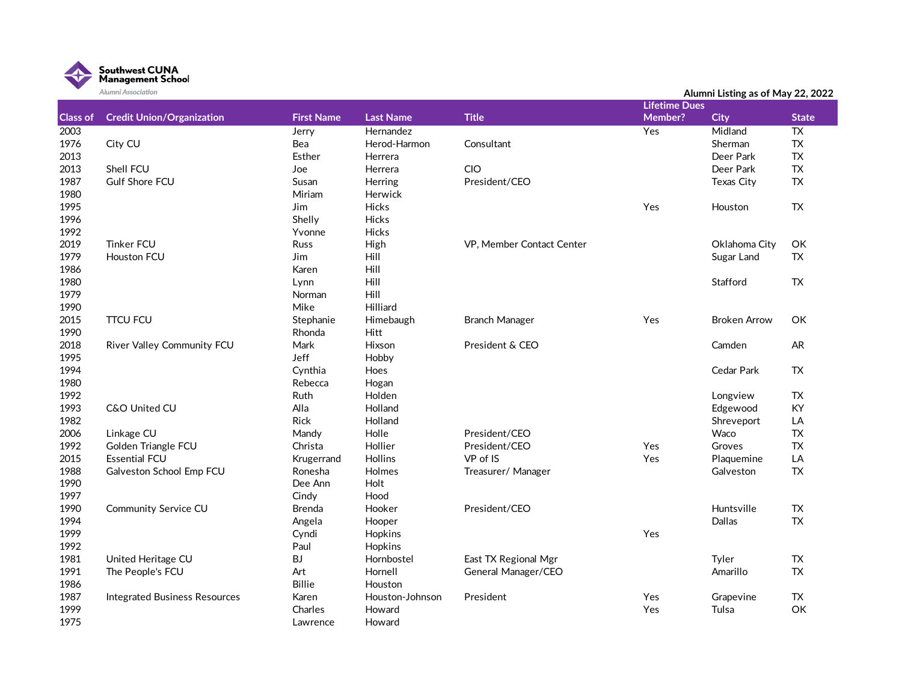

|                 | Alumni Association                   |                   |                  |                           |                      | Alumni Listing as of May 22, 2022 |              |
|-----------------|--------------------------------------|-------------------|------------------|---------------------------|----------------------|-----------------------------------|--------------|
|                 |                                      |                   |                  |                           | <b>Lifetime Dues</b> |                                   |              |
| <b>Class of</b> | <b>Credit Union/Organization</b>     | <b>First Name</b> | <b>Last Name</b> | <b>Title</b>              | Member?              | <b>City</b>                       | <b>State</b> |
| 2003            |                                      | Jerry             | Hernandez        |                           | Yes                  | Midland                           | <b>TX</b>    |
| 1976            | City CU                              | Bea               | Herod-Harmon     | Consultant                |                      | Sherman                           | <b>TX</b>    |
| 2013            |                                      | Esther            | Herrera          |                           |                      | Deer Park                         | <b>TX</b>    |
| 2013            | Shell FCU                            | Joe               | Herrera          | CIO                       |                      | Deer Park                         | <b>TX</b>    |
| 1987            | <b>Gulf Shore FCU</b>                | Susan             | Herring          | President/CEO             |                      | Texas City                        | <b>TX</b>    |
| 1980            |                                      | Miriam            | Herwick          |                           |                      |                                   |              |
| 1995            |                                      | Jim               | Hicks            |                           | Yes                  | Houston                           | <b>TX</b>    |
| 1996            |                                      | Shelly            | Hicks            |                           |                      |                                   |              |
| 1992            |                                      | Yvonne            | Hicks            |                           |                      |                                   |              |
| 2019            | <b>Tinker FCU</b>                    | Russ              | High             | VP, Member Contact Center |                      | Oklahoma City                     | OK           |
| 1979            | Houston FCU                          | Jim               | Hill             |                           |                      | Sugar Land                        | <b>TX</b>    |
| 1986            |                                      | Karen             | Hill             |                           |                      |                                   |              |
| 1980            |                                      | Lynn              | Hill             |                           |                      | Stafford                          | <b>TX</b>    |
| 1979            |                                      | Norman            | Hill             |                           |                      |                                   |              |
| 1990            |                                      | Mike              | Hilliard         |                           |                      |                                   |              |
| 2015            | <b>TTCU FCU</b>                      | Stephanie         | Himebaugh        | <b>Branch Manager</b>     | Yes                  | <b>Broken Arrow</b>               | OK           |
| 1990            |                                      | Rhonda            | Hitt             |                           |                      |                                   |              |
| 2018            | River Valley Community FCU           | Mark              | Hixson           | President & CEO           |                      | Camden                            | <b>AR</b>    |
| 1995            |                                      | Jeff              | Hobby            |                           |                      |                                   |              |
| 1994            |                                      | Cynthia           | Hoes             |                           |                      | Cedar Park                        | TX           |
| 1980            |                                      | Rebecca           | Hogan            |                           |                      |                                   |              |
| 1992            |                                      | Ruth              | Holden           |                           |                      | Longview                          | <b>TX</b>    |
| 1993            | C&O United CU                        | Alla              | Holland          |                           |                      | Edgewood                          | KY           |
| 1982            |                                      | Rick              | Holland          |                           |                      | Shreveport                        | LA           |
| 2006            | Linkage CU                           | Mandy             | Holle            | President/CEO             |                      | Waco                              | <b>TX</b>    |
| 1992            | Golden Triangle FCU                  | Christa           | Hollier          | President/CEO             | Yes                  | Groves                            | <b>TX</b>    |
| 2015            | <b>Essential FCU</b>                 | Krugerrand        | Hollins          | VP of IS                  | Yes                  | Plaquemine                        | LA           |
| 1988            | Galveston School Emp FCU             | Ronesha           | Holmes           | Treasurer/ Manager        |                      | Galveston                         | <b>TX</b>    |
| 1990            |                                      | Dee Ann           | Holt             |                           |                      |                                   |              |
| 1997            |                                      | Cindy             | Hood             |                           |                      |                                   |              |
| 1990            | <b>Community Service CU</b>          | <b>Brenda</b>     | Hooker           | President/CEO             |                      | Huntsville                        | <b>TX</b>    |
| 1994            |                                      | Angela            | Hooper           |                           |                      | Dallas                            | <b>TX</b>    |
| 1999            |                                      | Cyndi             | Hopkins          |                           | Yes                  |                                   |              |
| 1992            |                                      | Paul              | Hopkins          |                           |                      |                                   |              |
| 1981            | United Heritage CU                   | BJ                | Hornbostel       | East TX Regional Mgr      |                      | Tyler                             | TX           |
| 1991            | The People's FCU                     | Art               | Hornell          | General Manager/CEO       |                      | Amarillo                          | <b>TX</b>    |
| 1986            |                                      | <b>Billie</b>     | Houston          |                           |                      |                                   |              |
| 1987            | <b>Integrated Business Resources</b> | Karen             | Houston-Johnson  | President                 | Yes                  | Grapevine                         | <b>TX</b>    |
| 1999            |                                      | Charles           | Howard           |                           | Yes                  | Tulsa                             | OK           |
| 1975            |                                      | Lawrence          | Howard           |                           |                      |                                   |              |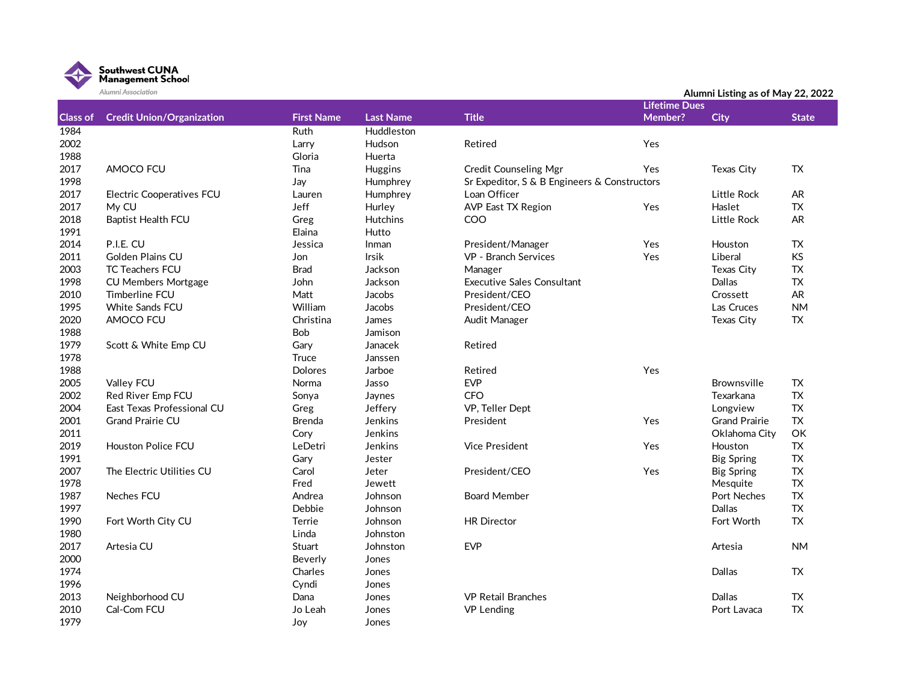

|                 | Alumni Association               |                   |                  |                                              |                      | Alumni Listing as of May 22, 2022 |              |
|-----------------|----------------------------------|-------------------|------------------|----------------------------------------------|----------------------|-----------------------------------|--------------|
|                 |                                  |                   |                  |                                              | <b>Lifetime Dues</b> |                                   |              |
| <b>Class of</b> | <b>Credit Union/Organization</b> | <b>First Name</b> | <b>Last Name</b> | <b>Title</b>                                 | Member?              | <b>City</b>                       | <b>State</b> |
| 1984            |                                  | <b>Ruth</b>       | Huddleston       |                                              |                      |                                   |              |
| 2002            |                                  | Larry             | Hudson           | Retired                                      | Yes                  |                                   |              |
| 1988            |                                  | Gloria            | Huerta           |                                              |                      |                                   |              |
| 2017            | AMOCO FCU                        | Tina              | Huggins          | <b>Credit Counseling Mgr</b>                 | Yes                  | Texas City                        | TX           |
| 1998            |                                  | Jay               | Humphrey         | Sr Expeditor, S & B Engineers & Constructors |                      |                                   |              |
| 2017            | <b>Electric Cooperatives FCU</b> | Lauren            | Humphrey         | Loan Officer                                 |                      | Little Rock                       | AR.          |
| 2017            | My CU                            | Jeff              | Hurley           | <b>AVP East TX Region</b>                    | Yes                  | Haslet                            | <b>TX</b>    |
| 2018            | <b>Baptist Health FCU</b>        | Greg              | Hutchins         | COO                                          |                      | Little Rock                       | <b>AR</b>    |
| 1991            |                                  | Elaina            | Hutto            |                                              |                      |                                   |              |
| 2014            | P.I.E. CU                        | Jessica           | Inman            | President/Manager                            | Yes                  | Houston                           | TX           |
| 2011            | Golden Plains CU                 | Jon               | Irsik            | VP - Branch Services                         | Yes                  | Liberal                           | KS           |
| 2003            | TC Teachers FCU                  | <b>Brad</b>       | Jackson          | Manager                                      |                      | Texas City                        | <b>TX</b>    |
| 1998            | <b>CU Members Mortgage</b>       | John              | Jackson          | <b>Executive Sales Consultant</b>            |                      | Dallas                            | <b>TX</b>    |
| 2010            | Timberline FCU                   | Matt              | Jacobs           | President/CEO                                |                      | Crossett                          | <b>AR</b>    |
| 1995            | White Sands FCU                  | William           | Jacobs           | President/CEO                                |                      | Las Cruces                        | <b>NM</b>    |
| 2020            | AMOCO FCU                        | Christina         | James            | Audit Manager                                |                      | Texas City                        | <b>TX</b>    |
| 1988            |                                  | Bob               | Jamison          |                                              |                      |                                   |              |
| 1979            | Scott & White Emp CU             | Gary              | Janacek          | Retired                                      |                      |                                   |              |
| 1978            |                                  | Truce             | Janssen          |                                              |                      |                                   |              |
| 1988            |                                  | <b>Dolores</b>    | Jarboe           | Retired                                      | Yes                  |                                   |              |
| 2005            | Valley FCU                       | Norma             | Jasso            | <b>EVP</b>                                   |                      | <b>Brownsville</b>                | <b>TX</b>    |
| 2002            | Red River Emp FCU                | Sonya             | Jaynes           | <b>CFO</b>                                   |                      | Texarkana                         | <b>TX</b>    |
| 2004            | East Texas Professional CU       | Greg              | Jeffery          | VP, Teller Dept                              |                      | Longview                          | <b>TX</b>    |
| 2001            | <b>Grand Prairie CU</b>          | <b>Brenda</b>     | Jenkins          | President                                    | Yes                  | <b>Grand Prairie</b>              | <b>TX</b>    |
| 2011            |                                  | Cory              | Jenkins          |                                              |                      | Oklahoma City                     | OK           |
| 2019            | Houston Police FCU               | LeDetri           | Jenkins          | <b>Vice President</b>                        | Yes                  | Houston                           | ${\sf TX}$   |
| 1991            |                                  | Gary              | Jester           |                                              |                      | <b>Big Spring</b>                 | <b>TX</b>    |
| 2007            | The Electric Utilities CU        | Carol             | Jeter            | President/CEO                                | Yes                  | <b>Big Spring</b>                 | TX           |
| 1978            |                                  | Fred              | Jewett           |                                              |                      | Mesquite                          | <b>TX</b>    |
| 1987            | <b>Neches FCU</b>                | Andrea            | Johnson          | <b>Board Member</b>                          |                      | <b>Port Neches</b>                | <b>TX</b>    |
| 1997            |                                  | Debbie            | Johnson          |                                              |                      | Dallas                            | TX           |
| 1990            | Fort Worth City CU               | Terrie            | Johnson          | <b>HR Director</b>                           |                      | Fort Worth                        | <b>TX</b>    |
| 1980            |                                  | Linda             | Johnston         |                                              |                      |                                   |              |
| 2017            | Artesia CU                       | Stuart            | Johnston         | <b>EVP</b>                                   |                      | Artesia                           | <b>NM</b>    |
| 2000            |                                  | Beverly           | Jones            |                                              |                      |                                   |              |
| 1974            |                                  | Charles           | Jones            |                                              |                      | Dallas                            | TX.          |
| 1996            |                                  | Cyndi             | Jones            |                                              |                      |                                   |              |
| 2013            | Neighborhood CU                  | Dana              | Jones            | <b>VP Retail Branches</b>                    |                      | Dallas                            | TX           |
| 2010            | Cal-Com FCU                      | Jo Leah           | Jones            | <b>VP</b> Lending                            |                      | Port Lavaca                       | <b>TX</b>    |
| 1979            |                                  | Joy               | Jones            |                                              |                      |                                   |              |
|                 |                                  |                   |                  |                                              |                      |                                   |              |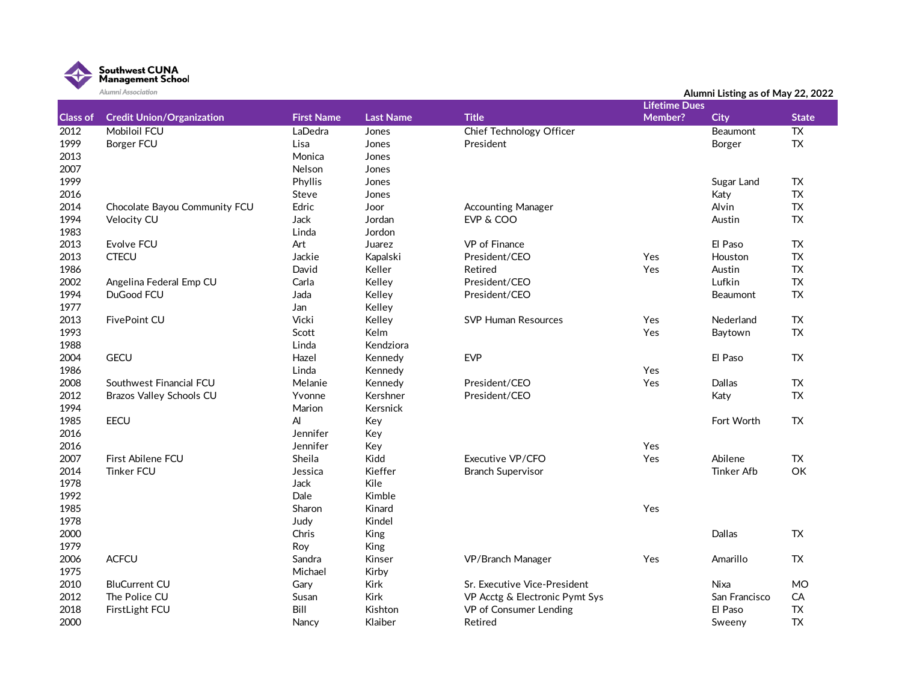

|                 | Alumni Association               |                   |                  |                                |                      | Alumni Listing as of May 22, 2022 |                 |
|-----------------|----------------------------------|-------------------|------------------|--------------------------------|----------------------|-----------------------------------|-----------------|
|                 |                                  |                   |                  |                                | <b>Lifetime Dues</b> |                                   |                 |
| <b>Class of</b> | <b>Credit Union/Organization</b> | <b>First Name</b> | <b>Last Name</b> | <b>Title</b>                   | Member?              | <b>City</b>                       | <b>State</b>    |
| 2012            | <b>Mobiloil FCU</b>              | LaDedra           | Jones            | Chief Technology Officer       |                      | Beaumont                          | $\overline{TX}$ |
| 1999            | <b>Borger FCU</b>                | Lisa              | Jones            | President                      |                      | Borger                            | <b>TX</b>       |
| 2013            |                                  | Monica            | Jones            |                                |                      |                                   |                 |
| 2007            |                                  | Nelson            | Jones            |                                |                      |                                   |                 |
| 1999            |                                  | Phyllis           | Jones            |                                |                      | Sugar Land                        | <b>TX</b>       |
| 2016            |                                  | Steve             | Jones            |                                |                      | Katy                              | <b>TX</b>       |
| 2014            | Chocolate Bayou Community FCU    | Edric             | Joor             | <b>Accounting Manager</b>      |                      | Alvin                             | <b>TX</b>       |
| 1994            | Velocity CU                      | <b>Jack</b>       | Jordan           | EVP & COO                      |                      | Austin                            | <b>TX</b>       |
| 1983            |                                  | Linda             | Jordon           |                                |                      |                                   |                 |
| 2013            | Evolve FCU                       | Art               | Juarez           | VP of Finance                  |                      | El Paso                           | <b>TX</b>       |
| 2013            | <b>CTECU</b>                     | Jackie            | Kapalski         | President/CEO                  | Yes                  | Houston                           | <b>TX</b>       |
| 1986            |                                  | David             | Keller           | Retired                        | Yes                  | Austin                            | <b>TX</b>       |
| 2002            | Angelina Federal Emp CU          | Carla             | Kelley           | President/CEO                  |                      | Lufkin                            | <b>TX</b>       |
| 1994            | DuGood FCU                       | Jada              | Kelley           | President/CEO                  |                      | Beaumont                          | <b>TX</b>       |
| 1977            |                                  | Jan               | Kelley           |                                |                      |                                   |                 |
| 2013            | FivePoint CU                     | Vicki             | Kelley           | <b>SVP Human Resources</b>     | Yes                  | Nederland                         | <b>TX</b>       |
| 1993            |                                  | Scott             | Kelm             |                                | Yes                  | Baytown                           | <b>TX</b>       |
| 1988            |                                  | Linda             | Kendziora        |                                |                      |                                   |                 |
| 2004            | <b>GECU</b>                      | Hazel             | Kennedy          | <b>EVP</b>                     |                      | El Paso                           | <b>TX</b>       |
| 1986            |                                  | Linda             | Kennedy          |                                | Yes                  |                                   |                 |
| 2008            | Southwest Financial FCU          | Melanie           | Kennedy          | President/CEO                  | Yes                  | Dallas                            | <b>TX</b>       |
| 2012            | Brazos Valley Schools CU         | Yvonne            | Kershner         | President/CEO                  |                      | Katy                              | <b>TX</b>       |
| 1994            |                                  | Marion            | Kersnick         |                                |                      |                                   |                 |
| 1985            | <b>EECU</b>                      | AI                | Key              |                                |                      | Fort Worth                        | <b>TX</b>       |
| 2016            |                                  | Jennifer          | Key              |                                |                      |                                   |                 |
| 2016            |                                  | Jennifer          | Key              |                                | Yes                  |                                   |                 |
| 2007            | First Abilene FCU                | Sheila            | Kidd             | Executive VP/CFO               | Yes                  | Abilene                           | TX.             |
| 2014            | <b>Tinker FCU</b>                | Jessica           | Kieffer          | <b>Branch Supervisor</b>       |                      | <b>Tinker Afb</b>                 | OK              |
| 1978            |                                  | Jack              | Kile             |                                |                      |                                   |                 |
| 1992            |                                  | Dale              | Kimble           |                                |                      |                                   |                 |
| 1985            |                                  | Sharon            | Kinard           |                                | Yes                  |                                   |                 |
| 1978            |                                  | Judy              | Kindel           |                                |                      |                                   |                 |
| 2000            |                                  | Chris             | King             |                                |                      | Dallas                            | <b>TX</b>       |
| 1979            |                                  | Roy               | King             |                                |                      |                                   |                 |
| 2006            | <b>ACFCU</b>                     | Sandra            | Kinser           | VP/Branch Manager              | Yes                  | Amarillo                          | TX              |
| 1975            |                                  | Michael           | Kirby            |                                |                      |                                   |                 |
| 2010            | <b>BluCurrent CU</b>             | Gary              | Kirk             | Sr. Executive Vice-President   |                      | <b>Nixa</b>                       | <b>MO</b>       |
| 2012            | The Police CU                    | Susan             | <b>Kirk</b>      | VP Acctg & Electronic Pymt Sys |                      | San Francisco                     | CA              |
| 2018            | FirstLight FCU                   | Bill              | Kishton          | VP of Consumer Lending         |                      | El Paso                           | <b>TX</b>       |
| 2000            |                                  | Nancy             | Klaiber          | Retired                        |                      | Sweeny                            | <b>TX</b>       |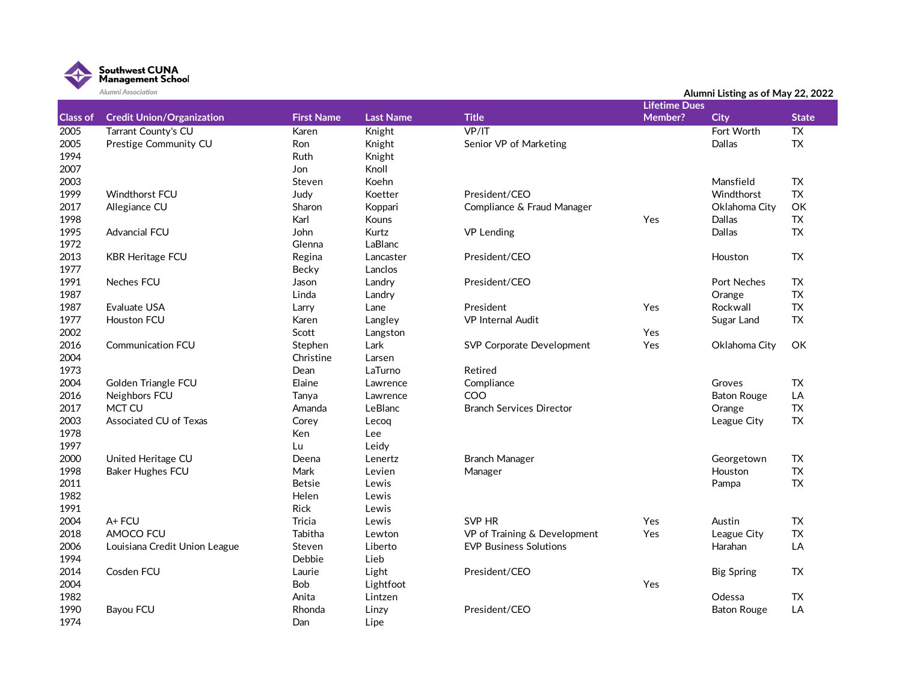

|                 | Alumni Association               |                   |                  |                                 |                      | Alumni Listing as of May 22, 2022 |                 |
|-----------------|----------------------------------|-------------------|------------------|---------------------------------|----------------------|-----------------------------------|-----------------|
|                 |                                  |                   |                  |                                 | <b>Lifetime Dues</b> |                                   |                 |
| <b>Class of</b> | <b>Credit Union/Organization</b> | <b>First Name</b> | <b>Last Name</b> | <b>Title</b>                    | Member?              | <b>City</b>                       | <b>State</b>    |
| 2005            | Tarrant County's CU              | Karen             | Knight           | VP/IT                           |                      | Fort Worth                        | $\overline{TX}$ |
| 2005            | Prestige Community CU            | Ron               | Knight           | Senior VP of Marketing          |                      | Dallas                            | TX              |
| 1994            |                                  | Ruth              | Knight           |                                 |                      |                                   |                 |
| 2007            |                                  | Jon               | Knoll            |                                 |                      |                                   |                 |
| 2003            |                                  | Steven            | Koehn            |                                 |                      | Mansfield                         | TX              |
| 1999            | Windthorst FCU                   | Judy              | Koetter          | President/CEO                   |                      | Windthorst                        | ${\sf TX}$      |
| 2017            | Allegiance CU                    | Sharon            | Koppari          | Compliance & Fraud Manager      |                      | Oklahoma City                     | OK              |
| 1998            |                                  | Karl              | Kouns            |                                 | Yes                  | Dallas                            | ${\sf TX}$      |
| 1995            | Advancial FCU                    | John              | Kurtz            | <b>VP Lending</b>               |                      | Dallas                            | TX              |
| 1972            |                                  | Glenna            | LaBlanc          |                                 |                      |                                   |                 |
| 2013            | <b>KBR Heritage FCU</b>          | Regina            | Lancaster        | President/CEO                   |                      | Houston                           | TX              |
| 1977            |                                  | Becky             | Lanclos          |                                 |                      |                                   |                 |
| 1991            | Neches FCU                       | Jason             | Landry           | President/CEO                   |                      | Port Neches                       | TX              |
| 1987            |                                  | Linda             | Landry           |                                 |                      | Orange                            | <b>TX</b>       |
| 1987            | <b>Evaluate USA</b>              | Larry             | Lane             | President                       | Yes                  | Rockwall                          | TX              |
| 1977            | Houston FCU                      | Karen             | Langley          | <b>VP</b> Internal Audit        |                      | Sugar Land                        | ${\sf TX}$      |
| 2002            |                                  | Scott             | Langston         |                                 | Yes                  |                                   |                 |
| 2016            | <b>Communication FCU</b>         | Stephen           | Lark             | SVP Corporate Development       | Yes                  | Oklahoma City                     | OK              |
| 2004            |                                  | Christine         | Larsen           |                                 |                      |                                   |                 |
| 1973            |                                  | Dean              | LaTurno          | Retired                         |                      |                                   |                 |
| 2004            | Golden Triangle FCU              | Elaine            | Lawrence         | Compliance                      |                      | Groves                            | TX              |
| 2016            | Neighbors FCU                    | Tanya             | Lawrence         | COO                             |                      | <b>Baton Rouge</b>                | LA              |
| 2017            | MCT CU                           | Amanda            | LeBlanc          | <b>Branch Services Director</b> |                      | Orange                            | TX              |
| 2003            | Associated CU of Texas           | Corey             | Lecoq            |                                 |                      | League City                       | <b>TX</b>       |
| 1978            |                                  | Ken               | Lee              |                                 |                      |                                   |                 |
| 1997            |                                  | Lu                | Leidy            |                                 |                      |                                   |                 |
| 2000            | United Heritage CU               | Deena             | Lenertz          | <b>Branch Manager</b>           |                      | Georgetown                        | <b>TX</b>       |
| 1998            | Baker Hughes FCU                 | Mark              | Levien           | Manager                         |                      | Houston                           | ${\sf TX}$      |
| 2011            |                                  | <b>Betsie</b>     | Lewis            |                                 |                      | Pampa                             | TX              |
| 1982            |                                  | Helen             | Lewis            |                                 |                      |                                   |                 |
| 1991            |                                  | Rick              | Lewis            |                                 |                      |                                   |                 |
| 2004            | A+ FCU                           | <b>Tricia</b>     | Lewis            | SVP HR                          | Yes                  | Austin                            | TX              |
| 2018            | AMOCO FCU                        | Tabitha           | Lewton           | VP of Training & Development    | Yes                  | League City                       | TX              |
| 2006            | Louisiana Credit Union League    | Steven            | Liberto          | <b>EVP Business Solutions</b>   |                      | Harahan                           | LA              |
| 1994            |                                  | Debbie            | Lieb             |                                 |                      |                                   |                 |
| 2014            | Cosden FCU                       | Laurie            | Light            | President/CEO                   |                      | <b>Big Spring</b>                 | <b>TX</b>       |
| 2004            |                                  | Bob               | Lightfoot        |                                 | Yes                  |                                   |                 |
| 1982            |                                  | Anita             | Lintzen          |                                 |                      | Odessa                            | TX              |
| 1990            | Bayou FCU                        | Rhonda            | Linzy            | President/CEO                   |                      | <b>Baton Rouge</b>                | LA              |
| 1974            |                                  | Dan               | Lipe             |                                 |                      |                                   |                 |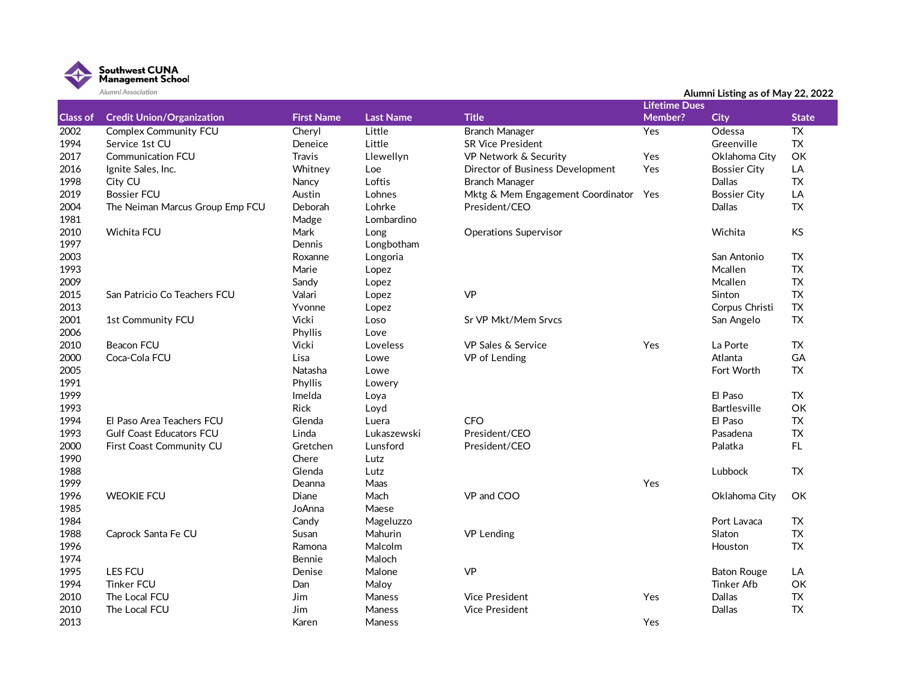

|                 | Alumni Association               |                   |                  |                                   |                      | Alumni Listing as of May 22, 2022 |                 |
|-----------------|----------------------------------|-------------------|------------------|-----------------------------------|----------------------|-----------------------------------|-----------------|
|                 |                                  |                   |                  |                                   | <b>Lifetime Dues</b> |                                   |                 |
| <b>Class of</b> | <b>Credit Union/Organization</b> | <b>First Name</b> | <b>Last Name</b> | <b>Title</b>                      | Member?              | <b>City</b>                       | <b>State</b>    |
| 2002            | <b>Complex Community FCU</b>     | Cheryl            | Little           | <b>Branch Manager</b>             | Yes                  | Odessa                            | $\overline{TX}$ |
| 1994            | Service 1st CU                   | Deneice           | Little           | <b>SR Vice President</b>          |                      | Greenville                        | ${\sf TX}$      |
| 2017            | <b>Communication FCU</b>         | <b>Travis</b>     | Llewellyn        | VP Network & Security             | Yes                  | Oklahoma City                     | OK              |
| 2016            | Ignite Sales, Inc.               | Whitney           | Loe              | Director of Business Development  | Yes                  | <b>Bossier City</b>               | LA              |
| 1998            | City CU                          | Nancy             | Loftis           | <b>Branch Manager</b>             |                      | Dallas                            | <b>TX</b>       |
| 2019            | <b>Bossier FCU</b>               | Austin            | Lohnes           | Mktg & Mem Engagement Coordinator | Yes                  | <b>Bossier City</b>               | LA              |
| 2004            | The Neiman Marcus Group Emp FCU  | Deborah           | Lohrke           | President/CEO                     |                      | Dallas                            | TX              |
| 1981            |                                  | Madge             | Lombardino       |                                   |                      |                                   |                 |
| 2010            | Wichita FCU                      | Mark              | Long             | <b>Operations Supervisor</b>      |                      | Wichita                           | <b>KS</b>       |
| 1997            |                                  | Dennis            | Longbotham       |                                   |                      |                                   |                 |
| 2003            |                                  | Roxanne           | Longoria         |                                   |                      | San Antonio                       | TX              |
| 1993            |                                  | Marie             | Lopez            |                                   |                      | Mcallen                           | <b>TX</b>       |
| 2009            |                                  | Sandy             | Lopez            |                                   |                      | Mcallen                           | <b>TX</b>       |
| 2015            | San Patricio Co Teachers FCU     | Valari            | Lopez            | <b>VP</b>                         |                      | Sinton                            | <b>TX</b>       |
| 2013            |                                  | Yvonne            | Lopez            |                                   |                      | Corpus Christi                    | <b>TX</b>       |
| 2001            | 1st Community FCU                | Vicki             | Loso             | Sr VP Mkt/Mem Srvcs               |                      | San Angelo                        | TX              |
| 2006            |                                  | Phyllis           | Love             |                                   |                      |                                   |                 |
| 2010            | <b>Beacon FCU</b>                | Vicki             | Loveless         | <b>VP Sales &amp; Service</b>     | Yes                  | La Porte                          | <b>TX</b>       |
| 2000            | Coca-Cola FCU                    | Lisa              | Lowe             | VP of Lending                     |                      | Atlanta                           | GA              |
| 2005            |                                  | Natasha           | Lowe             |                                   |                      | Fort Worth                        | TX              |
| 1991            |                                  | Phyllis           |                  |                                   |                      |                                   |                 |
| 1999            |                                  | Imelda            | Lowery           |                                   |                      | El Paso                           | <b>TX</b>       |
|                 |                                  | <b>Rick</b>       | Loya             |                                   |                      |                                   |                 |
| 1993            |                                  |                   | Loyd             |                                   |                      | <b>Bartlesville</b>               | OK              |
| 1994            | El Paso Area Teachers FCU        | Glenda            | Luera            | <b>CFO</b>                        |                      | El Paso                           | <b>TX</b>       |
| 1993            | <b>Gulf Coast Educators FCU</b>  | Linda             | Lukaszewski      | President/CEO                     |                      | Pasadena                          | <b>TX</b>       |
| 2000            | First Coast Community CU         | Gretchen          | Lunsford         | President/CEO                     |                      | Palatka                           | FL.             |
| 1990            |                                  | Chere             | Lutz             |                                   |                      |                                   |                 |
| 1988            |                                  | Glenda            | Lutz             |                                   |                      | Lubbock                           | <b>TX</b>       |
| 1999            |                                  | Deanna            | Maas             |                                   | Yes                  |                                   |                 |
| 1996            | <b>WEOKIE FCU</b>                | Diane             | Mach             | VP and COO                        |                      | Oklahoma City                     | OK              |
| 1985            |                                  | JoAnna            | Maese            |                                   |                      |                                   |                 |
| 1984            |                                  | Candy             | Mageluzzo        |                                   |                      | Port Lavaca                       | <b>TX</b>       |
| 1988            | Caprock Santa Fe CU              | Susan             | Mahurin          | <b>VP Lending</b>                 |                      | Slaton                            | <b>TX</b>       |
| 1996            |                                  | Ramona            | Malcolm          |                                   |                      | Houston                           | <b>TX</b>       |
| 1974            |                                  | Bennie            | Maloch           |                                   |                      |                                   |                 |
| 1995            | LES FCU                          | Denise            | Malone           | VP                                |                      | <b>Baton Rouge</b>                | LA              |
| 1994            | <b>Tinker FCU</b>                | Dan               | Maloy            |                                   |                      | <b>Tinker Afb</b>                 | OK              |
| 2010            | The Local FCU                    | <b>Jim</b>        | Maness           | <b>Vice President</b>             | Yes                  | Dallas                            | <b>TX</b>       |
| 2010            | The Local FCU                    | <b>Jim</b>        | Maness           | <b>Vice President</b>             |                      | Dallas                            | <b>TX</b>       |
| 2013            |                                  | Karen             | Maness           |                                   | Yes                  |                                   |                 |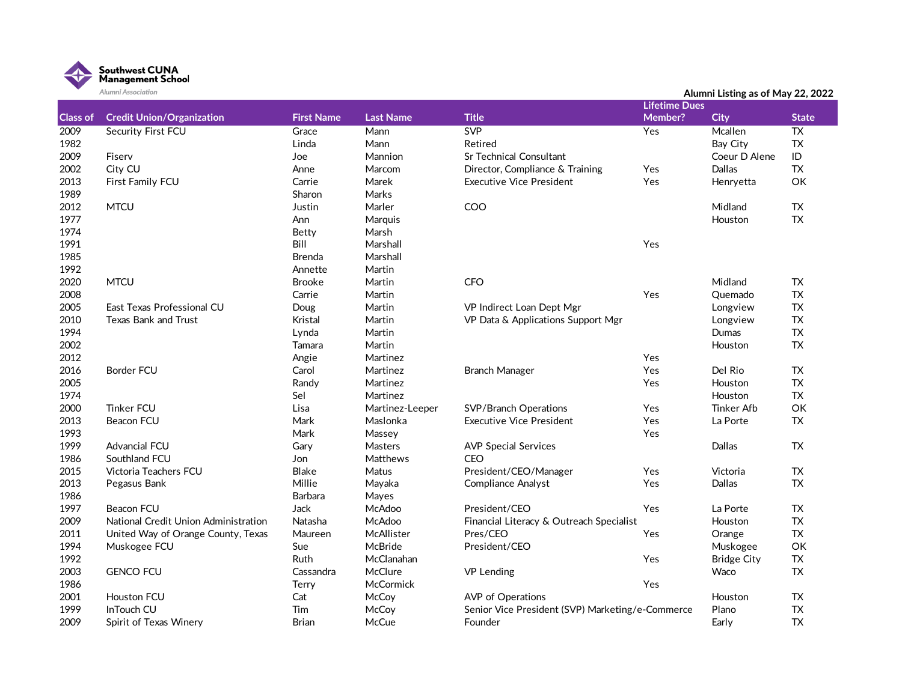

|                 | Alumni Association                   |                   |                  |                                                  |                      | Alumni Listing as of May 22, 2022 |                 |
|-----------------|--------------------------------------|-------------------|------------------|--------------------------------------------------|----------------------|-----------------------------------|-----------------|
|                 |                                      |                   |                  |                                                  | <b>Lifetime Dues</b> |                                   |                 |
| <b>Class of</b> | <b>Credit Union/Organization</b>     | <b>First Name</b> | <b>Last Name</b> | <b>Title</b>                                     | Member?              | <b>City</b>                       | <b>State</b>    |
| 2009            | <b>Security First FCU</b>            | Grace             | Mann             | <b>SVP</b>                                       | Yes                  | Mcallen                           | $\overline{TX}$ |
| 1982            |                                      | Linda             | Mann             | Retired                                          |                      | Bay City                          | <b>TX</b>       |
| 2009            | Fiserv                               | Joe               | Mannion          | <b>Sr Technical Consultant</b>                   |                      | Coeur D Alene                     | ID              |
| 2002            | City CU                              | Anne              | Marcom           | Director, Compliance & Training                  | Yes                  | Dallas                            | <b>TX</b>       |
| 2013            | First Family FCU                     | Carrie            | Marek            | <b>Executive Vice President</b>                  | Yes                  | Henryetta                         | OK              |
| 1989            |                                      | Sharon            | Marks            |                                                  |                      |                                   |                 |
| 2012            | <b>MTCU</b>                          | Justin            | Marler           | COO                                              |                      | Midland                           | TX              |
| 1977            |                                      | Ann               | Marquis          |                                                  |                      | Houston                           | <b>TX</b>       |
| 1974            |                                      | <b>Betty</b>      | Marsh            |                                                  |                      |                                   |                 |
| 1991            |                                      | Bill              | Marshall         |                                                  | Yes                  |                                   |                 |
| 1985            |                                      | <b>Brenda</b>     | Marshall         |                                                  |                      |                                   |                 |
| 1992            |                                      | Annette           | Martin           |                                                  |                      |                                   |                 |
| 2020            | <b>MTCU</b>                          | <b>Brooke</b>     | Martin           | CFO                                              |                      | Midland                           | TX              |
| 2008            |                                      | Carrie            | Martin           |                                                  | Yes                  | Quemado                           | TX              |
| 2005            | East Texas Professional CU           | Doug              | Martin           | VP Indirect Loan Dept Mgr                        |                      | Longview                          | TX              |
| 2010            | <b>Texas Bank and Trust</b>          | Kristal           | Martin           | VP Data & Applications Support Mgr               |                      | Longview                          | ${\sf TX}$      |
| 1994            |                                      | Lynda             | Martin           |                                                  |                      | Dumas                             | <b>TX</b>       |
| 2002            |                                      | Tamara            | Martin           |                                                  |                      | Houston                           | <b>TX</b>       |
| 2012            |                                      | Angie             | Martinez         |                                                  | Yes                  |                                   |                 |
| 2016            | <b>Border FCU</b>                    | Carol             | Martinez         | <b>Branch Manager</b>                            | Yes                  | Del Rio                           | <b>TX</b>       |
| 2005            |                                      | Randy             | Martinez         |                                                  | Yes                  | Houston                           | <b>TX</b>       |
| 1974            |                                      | Sel               | Martinez         |                                                  |                      | Houston                           | ${\sf TX}$      |
| 2000            | <b>Tinker FCU</b>                    | Lisa              | Martinez-Leeper  | <b>SVP/Branch Operations</b>                     | Yes                  | <b>Tinker Afb</b>                 | OK              |
| 2013            | <b>Beacon FCU</b>                    | Mark              | Maslonka         | <b>Executive Vice President</b>                  | Yes                  | La Porte                          | <b>TX</b>       |
| 1993            |                                      | Mark              | Massey           |                                                  | Yes                  |                                   |                 |
| 1999            | Advancial FCU                        | Gary              | Masters          | <b>AVP Special Services</b>                      |                      | Dallas                            | <b>TX</b>       |
| 1986            | Southland FCU                        | Jon               | <b>Matthews</b>  | <b>CEO</b>                                       |                      |                                   |                 |
| 2015            | Victoria Teachers FCU                | <b>Blake</b>      | Matus            | President/CEO/Manager                            | Yes                  | Victoria                          | TX              |
| 2013            | Pegasus Bank                         | Millie            | Mayaka           | <b>Compliance Analyst</b>                        | Yes                  | Dallas                            | <b>TX</b>       |
| 1986            |                                      | Barbara           | Mayes            |                                                  |                      |                                   |                 |
| 1997            | <b>Beacon FCU</b>                    | Jack              | McAdoo           | President/CEO                                    | Yes                  | La Porte                          | <b>TX</b>       |
| 2009            | National Credit Union Administration | Natasha           | McAdoo           | Financial Literacy & Outreach Specialist         |                      | Houston                           | <b>TX</b>       |
| 2011            | United Way of Orange County, Texas   | Maureen           | McAllister       | Pres/CEO                                         | Yes                  | Orange                            | TX              |
| 1994            | Muskogee FCU                         | Sue               | McBride          | President/CEO                                    |                      | Muskogee                          | OK              |
| 1992            |                                      | Ruth              | McClanahan       |                                                  | Yes                  | <b>Bridge City</b>                | TX              |
| 2003            | <b>GENCO FCU</b>                     | Cassandra         | McClure          | <b>VP Lending</b>                                |                      | Waco                              | <b>TX</b>       |
| 1986            |                                      | Terry             | McCormick        |                                                  | Yes                  |                                   |                 |
| 2001            | <b>Houston FCU</b>                   | Cat               | McCoy            | AVP of Operations                                |                      | Houston                           | TX              |
| 1999            | InTouch CU                           | Tim               | McCoy            | Senior Vice President (SVP) Marketing/e-Commerce |                      | Plano                             | <b>TX</b>       |
| 2009            | Spirit of Texas Winery               | <b>Brian</b>      | McCue            | Founder                                          |                      | Early                             | <b>TX</b>       |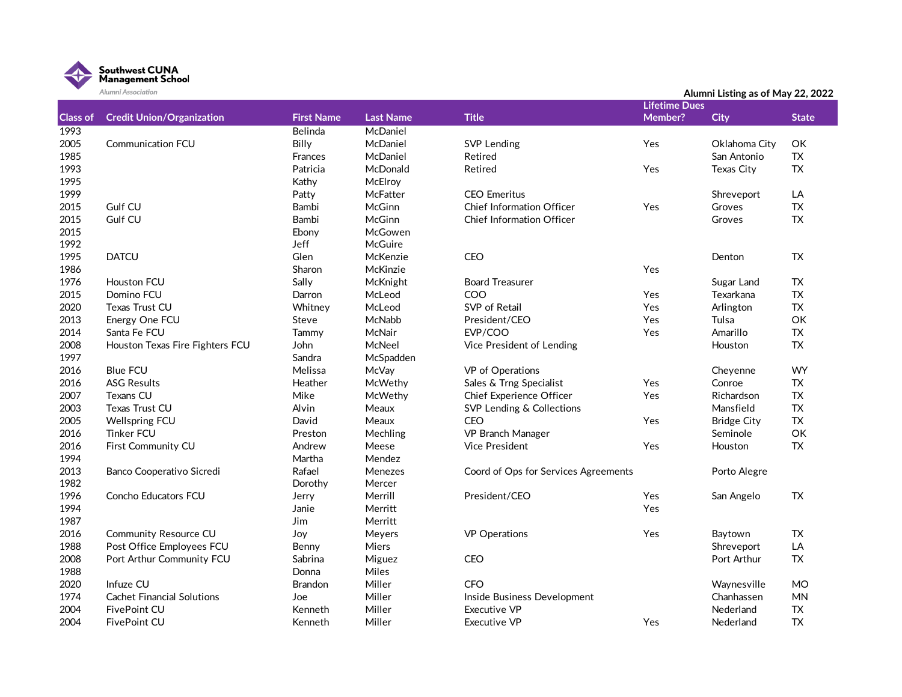

|                 | Alumni Association                |                   |                  |                                      |                      | Alumni Listing as of May 22, 2022 |              |  |  |
|-----------------|-----------------------------------|-------------------|------------------|--------------------------------------|----------------------|-----------------------------------|--------------|--|--|
|                 |                                   |                   |                  |                                      | <b>Lifetime Dues</b> |                                   |              |  |  |
| <b>Class of</b> | <b>Credit Union/Organization</b>  | <b>First Name</b> | <b>Last Name</b> | <b>Title</b>                         | Member?              | <b>City</b>                       | <b>State</b> |  |  |
| 1993            |                                   | Belinda           | McDaniel         |                                      |                      |                                   |              |  |  |
| 2005            | <b>Communication FCU</b>          | Billy             | McDaniel         | <b>SVP Lending</b>                   | Yes                  | Oklahoma City                     | OK           |  |  |
| 1985            |                                   | Frances           | McDaniel         | Retired                              |                      | San Antonio                       | <b>TX</b>    |  |  |
| 1993            |                                   | Patricia          | McDonald         | Retired                              | Yes                  | <b>Texas City</b>                 | <b>TX</b>    |  |  |
| 1995            |                                   | Kathy             | McElroy          |                                      |                      |                                   |              |  |  |
| 1999            |                                   | Patty             | McFatter         | <b>CEO</b> Emeritus                  |                      | Shreveport                        | LA           |  |  |
| 2015            | Gulf CU                           | Bambi             | McGinn           | <b>Chief Information Officer</b>     | Yes                  | Groves                            | <b>TX</b>    |  |  |
| 2015            | Gulf CU                           | Bambi             | McGinn           | <b>Chief Information Officer</b>     |                      | Groves                            | <b>TX</b>    |  |  |
| 2015            |                                   | Ebony             | McGowen          |                                      |                      |                                   |              |  |  |
| 1992            |                                   | Jeff              | McGuire          |                                      |                      |                                   |              |  |  |
| 1995            | <b>DATCU</b>                      | Glen              | McKenzie         | CEO                                  |                      | Denton                            | <b>TX</b>    |  |  |
| 1986            |                                   | Sharon            | McKinzie         |                                      | Yes                  |                                   |              |  |  |
| 1976            | <b>Houston FCU</b>                | Sally             | McKnight         | <b>Board Treasurer</b>               |                      | Sugar Land                        | <b>TX</b>    |  |  |
| 2015            | Domino FCU                        | Darron            | McLeod           | COO                                  | Yes                  | Texarkana                         | <b>TX</b>    |  |  |
| 2020            | Texas Trust CU                    | Whitney           | McLeod           | SVP of Retail                        | Yes                  | Arlington                         | <b>TX</b>    |  |  |
| 2013            | Energy One FCU                    | Steve             | McNabb           | President/CEO                        | Yes                  | Tulsa                             | OK           |  |  |
| 2014            | Santa Fe FCU                      | Tammy             | McNair           | EVP/COO                              | Yes                  | Amarillo                          | <b>TX</b>    |  |  |
| 2008            | Houston Texas Fire Fighters FCU   | John              | McNeel           | Vice President of Lending            |                      | Houston                           | <b>TX</b>    |  |  |
| 1997            |                                   | Sandra            | McSpadden        |                                      |                      |                                   |              |  |  |
| 2016            | <b>Blue FCU</b>                   | Melissa           | McVay            | VP of Operations                     |                      | Cheyenne                          | <b>WY</b>    |  |  |
| 2016            | <b>ASG Results</b>                | Heather           | McWethy          | Sales & Trng Specialist              | Yes                  | Conroe                            | <b>TX</b>    |  |  |
| 2007            | <b>Texans CU</b>                  | Mike              | McWethy          | Chief Experience Officer             | Yes                  | Richardson                        | <b>TX</b>    |  |  |
| 2003            | Texas Trust CU                    | Alvin             | Meaux            | SVP Lending & Collections            |                      | Mansfield                         | <b>TX</b>    |  |  |
| 2005            | <b>Wellspring FCU</b>             | David             | Meaux            | CEO                                  | Yes                  | <b>Bridge City</b>                | <b>TX</b>    |  |  |
| 2016            | <b>Tinker FCU</b>                 | Preston           | Mechling         | VP Branch Manager                    |                      | Seminole                          | OK           |  |  |
| 2016            | First Community CU                | Andrew            | Meese            | <b>Vice President</b>                | Yes                  | Houston                           | <b>TX</b>    |  |  |
| 1994            |                                   | Martha            | Mendez           |                                      |                      |                                   |              |  |  |
| 2013            | Banco Cooperativo Sicredi         | Rafael            | Menezes          | Coord of Ops for Services Agreements |                      | Porto Alegre                      |              |  |  |
| 1982            |                                   | Dorothy           | Mercer           |                                      |                      |                                   |              |  |  |
| 1996            | Concho Educators FCU              | Jerry             | Merrill          | President/CEO                        | Yes                  | San Angelo                        | <b>TX</b>    |  |  |
| 1994            |                                   | Janie             | Merritt          |                                      | Yes                  |                                   |              |  |  |
| 1987            |                                   | Jim               | Merritt          |                                      |                      |                                   |              |  |  |
| 2016            | <b>Community Resource CU</b>      | Joy               | Meyers           | <b>VP</b> Operations                 | Yes                  | Baytown                           | <b>TX</b>    |  |  |
| 1988            | Post Office Employees FCU         | Benny             | Miers            |                                      |                      | Shreveport                        | LA           |  |  |
| 2008            | Port Arthur Community FCU         | Sabrina           | Miguez           | CEO                                  |                      | Port Arthur                       | <b>TX</b>    |  |  |
| 1988            |                                   | Donna             | Miles            |                                      |                      |                                   |              |  |  |
| 2020            | Infuze CU                         | <b>Brandon</b>    | Miller           | <b>CFO</b>                           |                      | Waynesville                       | <b>MO</b>    |  |  |
| 1974            | <b>Cachet Financial Solutions</b> | Joe               | Miller           | Inside Business Development          |                      | Chanhassen                        | <b>MN</b>    |  |  |
| 2004            | FivePoint CU                      | Kenneth           | Miller           | Executive VP                         |                      | Nederland                         | <b>TX</b>    |  |  |
| 2004            | FivePoint CU                      | Kenneth           | Miller           | Executive VP                         | Yes                  | Nederland                         | <b>TX</b>    |  |  |
|                 |                                   |                   |                  |                                      |                      |                                   |              |  |  |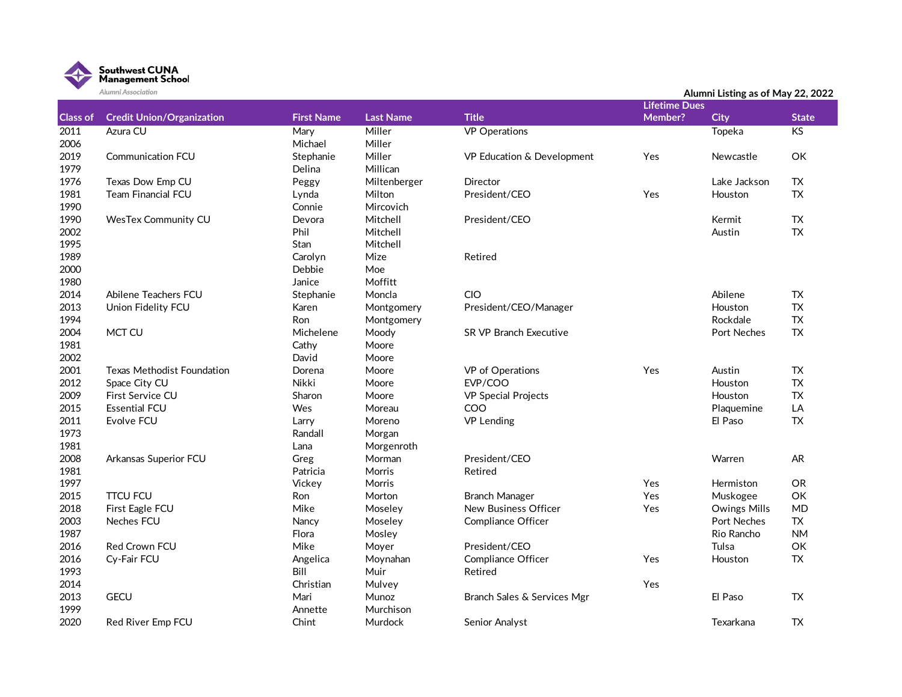

|                   | Alumni Association                |                   |                  |                             |                      | Alumni Listing as of May 22, 2022 |              |
|-------------------|-----------------------------------|-------------------|------------------|-----------------------------|----------------------|-----------------------------------|--------------|
|                   |                                   |                   |                  |                             | <b>Lifetime Dues</b> |                                   |              |
| <b>Class of</b>   | <b>Credit Union/Organization</b>  | <b>First Name</b> | <b>Last Name</b> | <b>Title</b>                | Member?              | <b>City</b>                       | <b>State</b> |
| $\overline{2011}$ | Azura CU                          | Mary              | Miller           | <b>VP</b> Operations        |                      | Topeka                            | KS           |
| 2006              |                                   | Michael           | Miller           |                             |                      |                                   |              |
| 2019              | <b>Communication FCU</b>          | Stephanie         | Miller           | VP Education & Development  | Yes                  | Newcastle                         | OK           |
| 1979              |                                   | Delina            | Millican         |                             |                      |                                   |              |
| 1976              | Texas Dow Emp CU                  | Peggy             | Miltenberger     | Director                    |                      | Lake Jackson                      | <b>TX</b>    |
| 1981              | <b>Team Financial FCU</b>         | Lynda             | Milton           | President/CEO               | Yes                  | Houston                           | <b>TX</b>    |
| 1990              |                                   | Connie            | Mircovich        |                             |                      |                                   |              |
| 1990              | <b>WesTex Community CU</b>        | Devora            | Mitchell         | President/CEO               |                      | Kermit                            | <b>TX</b>    |
| 2002              |                                   | Phil              | Mitchell         |                             |                      | Austin                            | <b>TX</b>    |
| 1995              |                                   | Stan              | Mitchell         |                             |                      |                                   |              |
| 1989              |                                   | Carolyn           | Mize             | Retired                     |                      |                                   |              |
| 2000              |                                   | Debbie            | Moe              |                             |                      |                                   |              |
| 1980              |                                   | Janice            | Moffitt          |                             |                      |                                   |              |
| 2014              | Abilene Teachers FCU              | Stephanie         | Moncla           | CIO                         |                      | Abilene                           | <b>TX</b>    |
| 2013              | Union Fidelity FCU                | Karen             | Montgomery       | President/CEO/Manager       |                      | Houston                           | TX           |
| 1994              |                                   | Ron               | Montgomery       |                             |                      | Rockdale                          | <b>TX</b>    |
| 2004              | MCT CU                            | Michelene         | Moody            | SR VP Branch Executive      |                      | Port Neches                       | ${\sf TX}$   |
| 1981              |                                   | Cathy             | Moore            |                             |                      |                                   |              |
| 2002              |                                   | David             | Moore            |                             |                      |                                   |              |
| 2001              | <b>Texas Methodist Foundation</b> | Dorena            | Moore            | VP of Operations            | Yes                  | Austin                            | <b>TX</b>    |
| 2012              | Space City CU                     | Nikki             | Moore            | EVP/COO                     |                      | Houston                           | <b>TX</b>    |
| 2009              | First Service CU                  | Sharon            | Moore            | <b>VP Special Projects</b>  |                      | Houston                           | <b>TX</b>    |
| 2015              | <b>Essential FCU</b>              | Wes               | Moreau           | COO                         |                      | Plaquemine                        | LA           |
| 2011              | Evolve FCU                        | Larry             | Moreno           | <b>VP Lending</b>           |                      | El Paso                           | ${\sf TX}$   |
| 1973              |                                   | Randall           | Morgan           |                             |                      |                                   |              |
| 1981              |                                   | Lana              | Morgenroth       |                             |                      |                                   |              |
| 2008              | Arkansas Superior FCU             | Greg              | Morman           | President/CEO               |                      | Warren                            | AR.          |
| 1981              |                                   | Patricia          | Morris           | Retired                     |                      |                                   |              |
| 1997              |                                   | Vickey            | <b>Morris</b>    |                             | Yes                  | Hermiston                         | OR.          |
| 2015              | <b>TTCU FCU</b>                   | Ron               | Morton           | <b>Branch Manager</b>       | Yes                  | Muskogee                          | OK           |
| 2018              | First Eagle FCU                   | Mike              | Moseley          | New Business Officer        | Yes                  | <b>Owings Mills</b>               | <b>MD</b>    |
| 2003              | <b>Neches FCU</b>                 | Nancy             | Moseley          | <b>Compliance Officer</b>   |                      | <b>Port Neches</b>                | <b>TX</b>    |
| 1987              |                                   | Flora             | Mosley           |                             |                      | Rio Rancho                        | <b>NM</b>    |
| 2016              | Red Crown FCU                     | Mike              | Moyer            | President/CEO               |                      | Tulsa                             | OK           |
| 2016              | Cy-Fair FCU                       | Angelica          | Moynahan         | <b>Compliance Officer</b>   | Yes                  | Houston                           | <b>TX</b>    |
| 1993              |                                   | Bill              | Muir             | Retired                     |                      |                                   |              |
| 2014              |                                   | Christian         | Mulvey           |                             | Yes                  |                                   |              |
| 2013              | <b>GECU</b>                       | Mari              | Munoz            | Branch Sales & Services Mgr |                      | El Paso                           | <b>TX</b>    |
| 1999              |                                   | Annette           | Murchison        |                             |                      |                                   |              |
| 2020              | Red River Emp FCU                 | Chint             | Murdock          | Senior Analyst              |                      | Texarkana                         | TX           |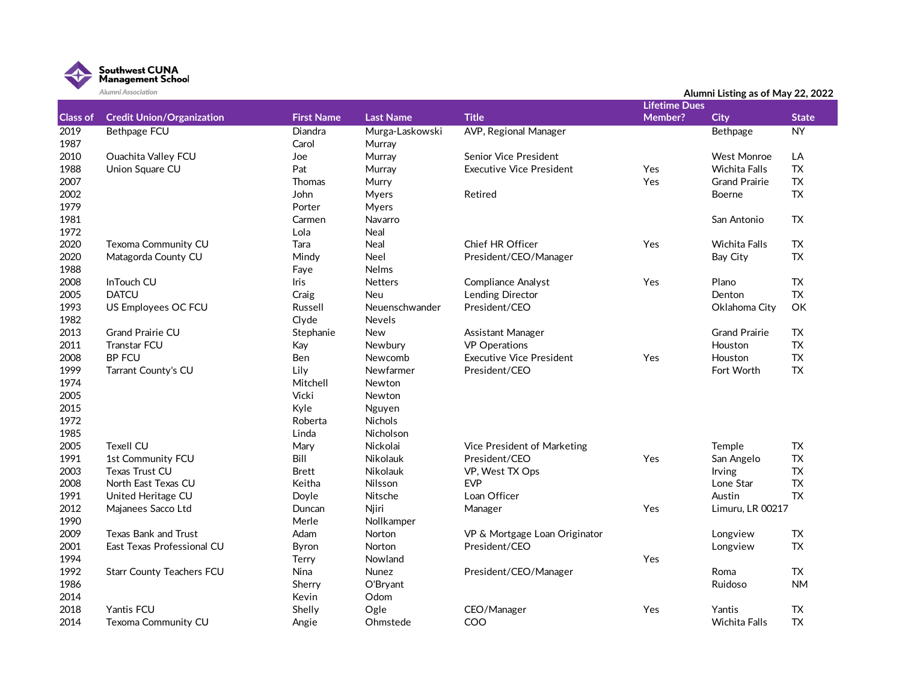

|                 | Alumni Association               |                   |                  |                                 |                      | Alumni Listing as of May 22, 2022 |              |
|-----------------|----------------------------------|-------------------|------------------|---------------------------------|----------------------|-----------------------------------|--------------|
|                 |                                  |                   |                  |                                 | <b>Lifetime Dues</b> |                                   |              |
| <b>Class of</b> | <b>Credit Union/Organization</b> | <b>First Name</b> | <b>Last Name</b> | <b>Title</b>                    | Member?              | <b>City</b>                       | <b>State</b> |
| 2019            | <b>Bethpage FCU</b>              | Diandra           | Murga-Laskowski  | AVP, Regional Manager           |                      | Bethpage                          | NY           |
| 1987            |                                  | Carol             | Murray           |                                 |                      |                                   |              |
| 2010            | <b>Ouachita Valley FCU</b>       | Joe               | Murray           | <b>Senior Vice President</b>    |                      | <b>West Monroe</b>                | LA           |
| 1988            | Union Square CU                  | Pat               | Murray           | <b>Executive Vice President</b> | Yes                  | Wichita Falls                     | <b>TX</b>    |
| 2007            |                                  | <b>Thomas</b>     | Murry            |                                 | Yes                  | <b>Grand Prairie</b>              | ${\sf TX}$   |
| 2002            |                                  | John              | <b>Myers</b>     | Retired                         |                      | Boerne                            | <b>TX</b>    |
| 1979            |                                  | Porter            | <b>Myers</b>     |                                 |                      |                                   |              |
| 1981            |                                  | Carmen            | Navarro          |                                 |                      | San Antonio                       | TX           |
| 1972            |                                  | Lola              | <b>Neal</b>      |                                 |                      |                                   |              |
| 2020            | Texoma Community CU              | Tara              | Neal             | <b>Chief HR Officer</b>         | Yes                  | Wichita Falls                     | TX           |
| 2020            | Matagorda County CU              | Mindy             | <b>Neel</b>      | President/CEO/Manager           |                      | Bay City                          | <b>TX</b>    |
| 1988            |                                  | Faye              | Nelms            |                                 |                      |                                   |              |
| 2008            | InTouch CU                       | Iris              | <b>Netters</b>   | Compliance Analyst              | Yes                  | Plano                             | ${\sf TX}$   |
| 2005            | <b>DATCU</b>                     | Craig             | <b>Neu</b>       | <b>Lending Director</b>         |                      | Denton                            | <b>TX</b>    |
| 1993            | US Employees OC FCU              | Russell           | Neuenschwander   | President/CEO                   |                      | Oklahoma City                     | OK           |
| 1982            |                                  | Clyde             | <b>Nevels</b>    |                                 |                      |                                   |              |
| 2013            | <b>Grand Prairie CU</b>          | Stephanie         | New              | Assistant Manager               |                      | <b>Grand Prairie</b>              | TX           |
| 2011            | <b>Transtar FCU</b>              | Kay               | Newbury          | <b>VP</b> Operations            |                      | Houston                           | <b>TX</b>    |
| 2008            | <b>BP FCU</b>                    | <b>Ben</b>        | Newcomb          | <b>Executive Vice President</b> | Yes                  | Houston                           | <b>TX</b>    |
| 1999            | Tarrant County's CU              | Lily              | Newfarmer        | President/CEO                   |                      | Fort Worth                        | TX           |
| 1974            |                                  | Mitchell          | Newton           |                                 |                      |                                   |              |
| 2005            |                                  | Vicki             | Newton           |                                 |                      |                                   |              |
| 2015            |                                  | Kyle              | Nguyen           |                                 |                      |                                   |              |
| 1972            |                                  | Roberta           | Nichols          |                                 |                      |                                   |              |
| 1985            |                                  | Linda             | Nicholson        |                                 |                      |                                   |              |
| 2005            | <b>Texell CU</b>                 | Mary              | Nickolai         | Vice President of Marketing     |                      | Temple                            | TX           |
| 1991            | 1st Community FCU                | Bill              | Nikolauk         | President/CEO                   | Yes                  | San Angelo                        | <b>TX</b>    |
| 2003            | Texas Trust CU                   | <b>Brett</b>      | <b>Nikolauk</b>  | VP, West TX Ops                 |                      | <b>Irving</b>                     | <b>TX</b>    |
| 2008            | North East Texas CU              | Keitha            | Nilsson          | <b>EVP</b>                      |                      | Lone Star                         | <b>TX</b>    |
| 1991            | United Heritage CU               | Doyle             | Nitsche          | Loan Officer                    |                      | Austin                            | <b>TX</b>    |
| 2012            | Majanees Sacco Ltd               | Duncan            | Njiri            | Manager                         | Yes                  | Limuru, LR 00217                  |              |
| 1990            |                                  | Merle             | Nollkamper       |                                 |                      |                                   |              |
| 2009            | <b>Texas Bank and Trust</b>      | Adam              | Norton           | VP & Mortgage Loan Originator   |                      | Longview                          | TX           |
| 2001            | East Texas Professional CU       | Byron             | Norton           | President/CEO                   |                      | Longview                          | <b>TX</b>    |
| 1994            |                                  | Terry             | Nowland          |                                 | Yes                  |                                   |              |
| 1992            | <b>Starr County Teachers FCU</b> | Nina              | Nunez            | President/CEO/Manager           |                      | Roma                              | <b>TX</b>    |
| 1986            |                                  | Sherry            | O'Bryant         |                                 |                      | Ruidoso                           | <b>NM</b>    |
| 2014            |                                  | Kevin             | Odom             |                                 |                      |                                   |              |
| 2018            | Yantis FCU                       | Shelly            | Ogle             | CEO/Manager                     | Yes                  | Yantis                            | <b>TX</b>    |
| 2014            | Texoma Community CU              | Angie             | Ohmstede         | COO                             |                      | <b>Wichita Falls</b>              | <b>TX</b>    |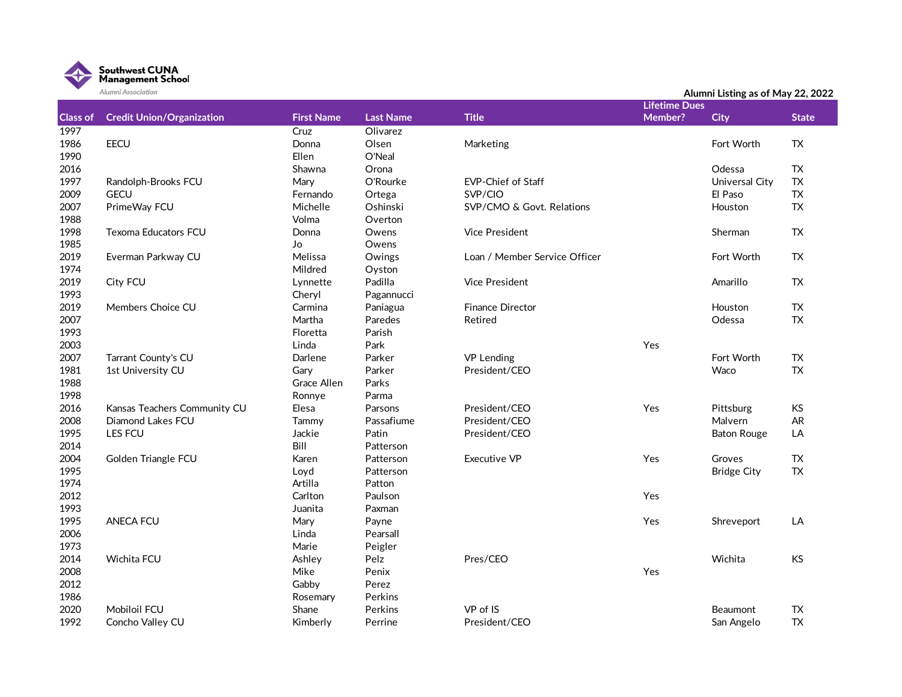

|                 | Alumni Association               |                   |                  |                               |                      | Alumni Listing as of May 22, 2022 |              |
|-----------------|----------------------------------|-------------------|------------------|-------------------------------|----------------------|-----------------------------------|--------------|
|                 |                                  |                   |                  |                               | <b>Lifetime Dues</b> |                                   |              |
| <b>Class of</b> | <b>Credit Union/Organization</b> | <b>First Name</b> | <b>Last Name</b> | <b>Title</b>                  | Member?              | <b>City</b>                       | <b>State</b> |
| 1997            |                                  | Cruz              | Olivarez         |                               |                      |                                   |              |
| 1986            | <b>EECU</b>                      | Donna             | Olsen            | Marketing                     |                      | Fort Worth                        | TX.          |
| 1990            |                                  | Ellen             | O'Neal           |                               |                      |                                   |              |
| 2016            |                                  | Shawna            | Orona            |                               |                      | Odessa                            | <b>TX</b>    |
| 1997            | Randolph-Brooks FCU              | Mary              | O'Rourke         | <b>EVP-Chief of Staff</b>     |                      | Universal City                    | <b>TX</b>    |
| 2009            | <b>GECU</b>                      | Fernando          | Ortega           | SVP/CIO                       |                      | El Paso                           | <b>TX</b>    |
| 2007            | PrimeWay FCU                     | Michelle          | Oshinski         | SVP/CMO & Govt. Relations     |                      | Houston                           | ${\sf TX}$   |
| 1988            |                                  | Volma             | Overton          |                               |                      |                                   |              |
| 1998            | Texoma Educators FCU             | Donna             | Owens            | <b>Vice President</b>         |                      | Sherman                           | <b>TX</b>    |
| 1985            |                                  | Jo                | Owens            |                               |                      |                                   |              |
| 2019            | Everman Parkway CU               | Melissa           | Owings           | Loan / Member Service Officer |                      | Fort Worth                        | <b>TX</b>    |
| 1974            |                                  | Mildred           | Oyston           |                               |                      |                                   |              |
| 2019            | City FCU                         | Lynnette          | Padilla          | <b>Vice President</b>         |                      | Amarillo                          | <b>TX</b>    |
| 1993            |                                  | Cheryl            | Pagannucci       |                               |                      |                                   |              |
| 2019            | Members Choice CU                | Carmina           | Paniagua         | <b>Finance Director</b>       |                      | Houston                           | <b>TX</b>    |
| 2007            |                                  | Martha            | Paredes          | Retired                       |                      | Odessa                            | <b>TX</b>    |
| 1993            |                                  | Floretta          | Parish           |                               |                      |                                   |              |
| 2003            |                                  | Linda             | Park             |                               | Yes                  |                                   |              |
| 2007            | Tarrant County's CU              | Darlene           | Parker           | <b>VP Lending</b>             |                      | Fort Worth                        | <b>TX</b>    |
| 1981            | 1st University CU                | Gary              | Parker           | President/CEO                 |                      | Waco                              | <b>TX</b>    |
| 1988            |                                  | Grace Allen       | Parks            |                               |                      |                                   |              |
| 1998            |                                  | Ronnye            | Parma            |                               |                      |                                   |              |
| 2016            | Kansas Teachers Community CU     | Elesa             | Parsons          | President/CEO                 | Yes                  | Pittsburg                         | <b>KS</b>    |
| 2008            | Diamond Lakes FCU                | Tammy             | Passafiume       | President/CEO                 |                      | Malvern                           | AR           |
| 1995            | LES FCU                          | Jackie            | Patin            | President/CEO                 |                      | <b>Baton Rouge</b>                | LA           |
| 2014            |                                  | Bill              | Patterson        |                               |                      |                                   |              |
| 2004            | Golden Triangle FCU              | Karen             | Patterson        | Executive VP                  | Yes                  | Groves                            | <b>TX</b>    |
| 1995            |                                  | Loyd              | Patterson        |                               |                      | <b>Bridge City</b>                | <b>TX</b>    |
| 1974            |                                  | Artilla           | Patton           |                               |                      |                                   |              |
| 2012            |                                  | Carlton           | Paulson          |                               | Yes                  |                                   |              |
| 1993            |                                  | Juanita           | Paxman           |                               |                      |                                   |              |
| 1995            | <b>ANECA FCU</b>                 | Mary              | Payne            |                               | Yes                  | Shreveport                        | LA           |
| 2006            |                                  | Linda             | Pearsall         |                               |                      |                                   |              |
| 1973            |                                  | Marie             | Peigler          |                               |                      |                                   |              |
| 2014            | Wichita FCU                      | Ashley            | Pelz             | Pres/CEO                      |                      | Wichita                           | KS           |
| 2008            |                                  | Mike              | Penix            |                               | Yes                  |                                   |              |
| 2012            |                                  | Gabby             | Perez            |                               |                      |                                   |              |
| 1986            |                                  |                   | Perkins          |                               |                      |                                   |              |
| 2020            | <b>Mobiloil FCU</b>              | Rosemary<br>Shane |                  | VP of IS                      |                      | <b>Beaumont</b>                   | <b>TX</b>    |
| 1992            |                                  |                   | Perkins          |                               |                      |                                   | <b>TX</b>    |
|                 | Concho Valley CU                 | Kimberly          | Perrine          | President/CEO                 |                      | San Angelo                        |              |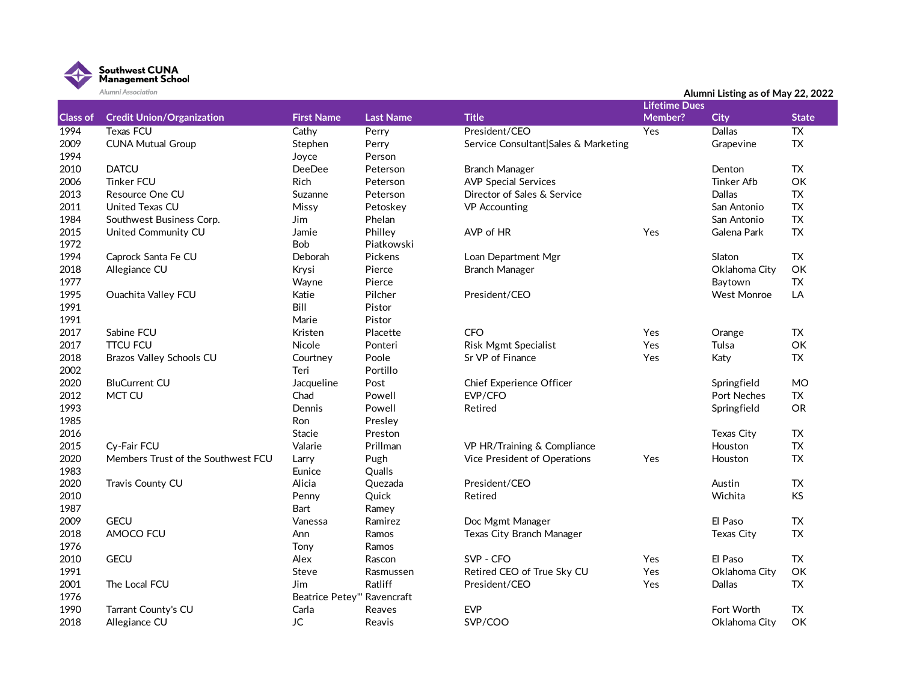

|                 | Alumni Association                 |                             |                  |                                      | Alumni Listing as of May 22, 2022 |                    |              |  |  |
|-----------------|------------------------------------|-----------------------------|------------------|--------------------------------------|-----------------------------------|--------------------|--------------|--|--|
| <b>Class of</b> | <b>Credit Union/Organization</b>   | <b>First Name</b>           | <b>Last Name</b> | <b>Title</b>                         | <b>Lifetime Dues</b><br>Member?   |                    | <b>State</b> |  |  |
|                 |                                    |                             |                  |                                      |                                   | <b>City</b>        |              |  |  |
| 1994            | Texas FCU                          | Cathy                       | Perry            | President/CEO                        | Yes                               | Dallas             | <b>TX</b>    |  |  |
| 2009            | <b>CUNA Mutual Group</b>           | Stephen                     | Perry            | Service Consultant Sales & Marketing |                                   | Grapevine          | <b>TX</b>    |  |  |
| 1994            |                                    | Joyce                       | Person           |                                      |                                   |                    |              |  |  |
| 2010            | <b>DATCU</b>                       | <b>DeeDee</b>               | Peterson         | <b>Branch Manager</b>                |                                   | Denton             | <b>TX</b>    |  |  |
| 2006            | <b>Tinker FCU</b>                  | Rich                        | Peterson         | <b>AVP Special Services</b>          |                                   | <b>Tinker Afb</b>  | OK           |  |  |
| 2013            | Resource One CU                    | Suzanne                     | Peterson         | Director of Sales & Service          |                                   | Dallas             | <b>TX</b>    |  |  |
| 2011            | United Texas CU                    | Missy                       | Petoskey         | <b>VP</b> Accounting                 |                                   | San Antonio        | <b>TX</b>    |  |  |
| 1984            | Southwest Business Corp.           | Jim                         | Phelan           |                                      |                                   | San Antonio        | <b>TX</b>    |  |  |
| 2015            | United Community CU                | Jamie                       | Philley          | AVP of HR                            | Yes                               | Galena Park        | <b>TX</b>    |  |  |
| 1972            |                                    | Bob                         | Piatkowski       |                                      |                                   |                    |              |  |  |
| 1994            | Caprock Santa Fe CU                | Deborah                     | Pickens          | Loan Department Mgr                  |                                   | Slaton             | <b>TX</b>    |  |  |
| 2018            | Allegiance CU                      | Krysi                       | Pierce           | <b>Branch Manager</b>                |                                   | Oklahoma City      | OK           |  |  |
| 1977            |                                    | Wayne                       | Pierce           |                                      |                                   | Baytown            | <b>TX</b>    |  |  |
| 1995            | <b>Ouachita Valley FCU</b>         | Katie                       | Pilcher          | President/CEO                        |                                   | <b>West Monroe</b> | LA           |  |  |
| 1991            |                                    | Bill                        | Pistor           |                                      |                                   |                    |              |  |  |
| 1991            |                                    | Marie                       | Pistor           |                                      |                                   |                    |              |  |  |
| 2017            | Sabine FCU                         | Kristen                     | Placette         | <b>CFO</b>                           | Yes                               | Orange             | <b>TX</b>    |  |  |
| 2017            | <b>TTCU FCU</b>                    | Nicole                      | Ponteri          | <b>Risk Mgmt Specialist</b>          | Yes                               | Tulsa              | OK           |  |  |
| 2018            | Brazos Valley Schools CU           | Courtney                    | Poole            | Sr VP of Finance                     | Yes                               | Katy               | <b>TX</b>    |  |  |
| 2002            |                                    | Teri                        | Portillo         |                                      |                                   |                    |              |  |  |
| 2020            | <b>BluCurrent CU</b>               | Jacqueline                  | Post             | Chief Experience Officer             |                                   | Springfield        | <b>MO</b>    |  |  |
| 2012            | MCT CU                             | Chad                        | Powell           | EVP/CFO                              |                                   | Port Neches        | <b>TX</b>    |  |  |
| 1993            |                                    | Dennis                      | Powell           | Retired                              |                                   | Springfield        | <b>OR</b>    |  |  |
| 1985            |                                    | Ron                         | Presley          |                                      |                                   |                    |              |  |  |
| 2016            |                                    | Stacie                      | Preston          |                                      |                                   | Texas City         | TX           |  |  |
|                 |                                    |                             | Prillman         |                                      |                                   |                    | <b>TX</b>    |  |  |
| 2015            | Cv-Fair FCU                        | Valarie                     |                  | VP HR/Training & Compliance          |                                   | Houston            |              |  |  |
| 2020            | Members Trust of the Southwest FCU | Larry                       | Pugh             | Vice President of Operations         | Yes                               | Houston            | <b>TX</b>    |  |  |
| 1983            |                                    | Eunice                      | Qualls           |                                      |                                   |                    |              |  |  |
| 2020            | Travis County CU                   | Alicia                      | Quezada          | President/CEO                        |                                   | Austin             | <b>TX</b>    |  |  |
| 2010            |                                    | Penny                       | Quick            | Retired                              |                                   | Wichita            | KS           |  |  |
| 1987            |                                    | Bart                        | Ramey            |                                      |                                   |                    |              |  |  |
| 2009            | <b>GECU</b>                        | Vanessa                     | Ramirez          | Doc Mgmt Manager                     |                                   | El Paso            | <b>TX</b>    |  |  |
| 2018            | AMOCO FCU                          | Ann                         | Ramos            | Texas City Branch Manager            |                                   | Texas City         | <b>TX</b>    |  |  |
| 1976            |                                    | Tony                        | Ramos            |                                      |                                   |                    |              |  |  |
| 2010            | <b>GECU</b>                        | Alex                        | Rascon           | SVP - CFO                            | Yes                               | El Paso            | <b>TX</b>    |  |  |
| 1991            |                                    | Steve                       | Rasmussen        | Retired CEO of True Sky CU           | Yes                               | Oklahoma City      | OK           |  |  |
| 2001            | The Local FCU                      | Jim                         | Ratliff          | President/CEO                        | Yes                               | <b>Dallas</b>      | <b>TX</b>    |  |  |
| 1976            |                                    | Beatrice Petey"' Ravencraft |                  |                                      |                                   |                    |              |  |  |
| 1990            | Tarrant County's CU                | Carla                       | Reaves           | <b>EVP</b>                           |                                   | Fort Worth         | TX           |  |  |

2018 Allegiance CU COM JC Reavis SVP/COO COM SOUPLES Allegiance CU OK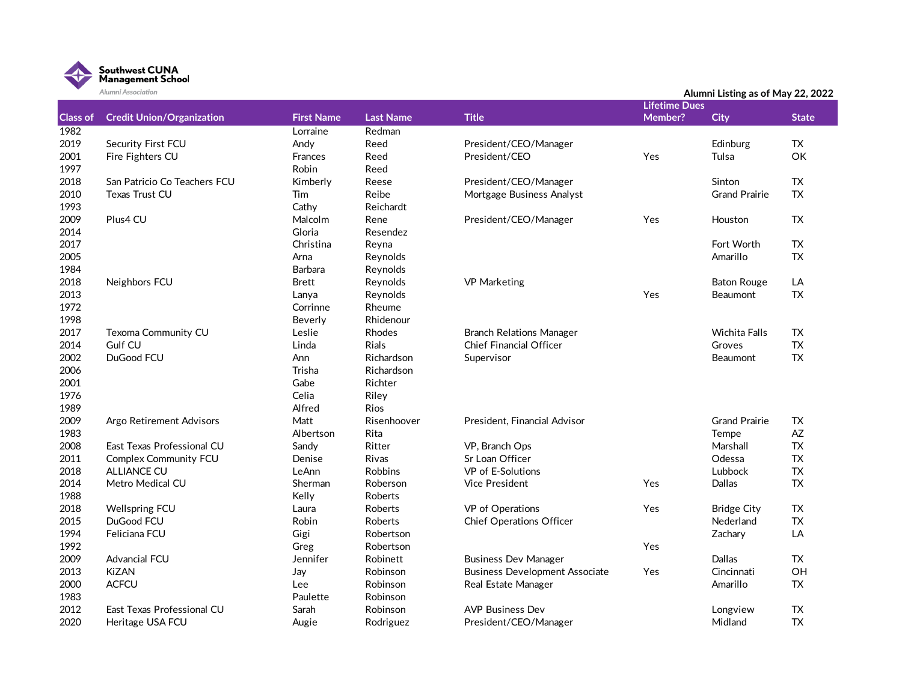

| <b>Lifetime Dues</b><br><b>Class of</b><br><b>Credit Union/Organization</b><br><b>Title</b><br>Member?<br><b>First Name</b><br><b>Last Name</b><br><b>City</b><br><b>State</b><br>1982<br>Redman<br>Lorraine<br>2019<br>Security First FCU<br>Andy<br>Reed<br>President/CEO/Manager<br>Edinburg<br>TX<br>2001<br>Fire Fighters CU<br>Frances<br>Yes<br>Tulsa<br>OK<br>Reed<br>President/CEO<br>1997<br>Robin<br>Reed<br>2018<br>San Patricio Co Teachers FCU<br>Kimberly<br>Sinton<br>TX.<br>Reese<br>President/CEO/Manager<br>Reibe<br>2010<br>Tim<br><b>Grand Prairie</b><br><b>TX</b><br>Texas Trust CU<br>Mortgage Business Analyst<br>1993<br>Cathy<br>Reichardt<br>Plus4 CU<br><b>TX</b><br>2009<br>Malcolm<br>President/CEO/Manager<br>Yes<br>Rene<br>Houston<br>Gloria<br>2014<br>Resendez<br>2017<br>Christina<br><b>TX</b><br>Reyna<br>Fort Worth<br><b>TX</b><br>2005<br>Arna<br>Reynolds<br>Amarillo<br>1984<br><b>Barbara</b><br>Reynolds<br>2018<br>Reynolds<br>LA<br>Neighbors FCU<br><b>Brett</b><br><b>VP Marketing</b><br><b>Baton Rouge</b><br>2013<br>Yes<br><b>TX</b><br>Reynolds<br><b>Beaumont</b><br>Lanya<br>1972<br>Corrinne<br>Rheume<br>Rhidenour<br>Beverly |      | Alumni Association |  |  | Alumni Listing as of May 22, 2022 |  |  |  |
|------------------------------------------------------------------------------------------------------------------------------------------------------------------------------------------------------------------------------------------------------------------------------------------------------------------------------------------------------------------------------------------------------------------------------------------------------------------------------------------------------------------------------------------------------------------------------------------------------------------------------------------------------------------------------------------------------------------------------------------------------------------------------------------------------------------------------------------------------------------------------------------------------------------------------------------------------------------------------------------------------------------------------------------------------------------------------------------------------------------------------------------------------------------------------------------|------|--------------------|--|--|-----------------------------------|--|--|--|
|                                                                                                                                                                                                                                                                                                                                                                                                                                                                                                                                                                                                                                                                                                                                                                                                                                                                                                                                                                                                                                                                                                                                                                                          |      |                    |  |  |                                   |  |  |  |
|                                                                                                                                                                                                                                                                                                                                                                                                                                                                                                                                                                                                                                                                                                                                                                                                                                                                                                                                                                                                                                                                                                                                                                                          |      |                    |  |  |                                   |  |  |  |
|                                                                                                                                                                                                                                                                                                                                                                                                                                                                                                                                                                                                                                                                                                                                                                                                                                                                                                                                                                                                                                                                                                                                                                                          |      |                    |  |  |                                   |  |  |  |
|                                                                                                                                                                                                                                                                                                                                                                                                                                                                                                                                                                                                                                                                                                                                                                                                                                                                                                                                                                                                                                                                                                                                                                                          |      |                    |  |  |                                   |  |  |  |
|                                                                                                                                                                                                                                                                                                                                                                                                                                                                                                                                                                                                                                                                                                                                                                                                                                                                                                                                                                                                                                                                                                                                                                                          |      |                    |  |  |                                   |  |  |  |
|                                                                                                                                                                                                                                                                                                                                                                                                                                                                                                                                                                                                                                                                                                                                                                                                                                                                                                                                                                                                                                                                                                                                                                                          |      |                    |  |  |                                   |  |  |  |
|                                                                                                                                                                                                                                                                                                                                                                                                                                                                                                                                                                                                                                                                                                                                                                                                                                                                                                                                                                                                                                                                                                                                                                                          |      |                    |  |  |                                   |  |  |  |
|                                                                                                                                                                                                                                                                                                                                                                                                                                                                                                                                                                                                                                                                                                                                                                                                                                                                                                                                                                                                                                                                                                                                                                                          |      |                    |  |  |                                   |  |  |  |
|                                                                                                                                                                                                                                                                                                                                                                                                                                                                                                                                                                                                                                                                                                                                                                                                                                                                                                                                                                                                                                                                                                                                                                                          |      |                    |  |  |                                   |  |  |  |
|                                                                                                                                                                                                                                                                                                                                                                                                                                                                                                                                                                                                                                                                                                                                                                                                                                                                                                                                                                                                                                                                                                                                                                                          |      |                    |  |  |                                   |  |  |  |
|                                                                                                                                                                                                                                                                                                                                                                                                                                                                                                                                                                                                                                                                                                                                                                                                                                                                                                                                                                                                                                                                                                                                                                                          |      |                    |  |  |                                   |  |  |  |
|                                                                                                                                                                                                                                                                                                                                                                                                                                                                                                                                                                                                                                                                                                                                                                                                                                                                                                                                                                                                                                                                                                                                                                                          |      |                    |  |  |                                   |  |  |  |
|                                                                                                                                                                                                                                                                                                                                                                                                                                                                                                                                                                                                                                                                                                                                                                                                                                                                                                                                                                                                                                                                                                                                                                                          |      |                    |  |  |                                   |  |  |  |
|                                                                                                                                                                                                                                                                                                                                                                                                                                                                                                                                                                                                                                                                                                                                                                                                                                                                                                                                                                                                                                                                                                                                                                                          |      |                    |  |  |                                   |  |  |  |
|                                                                                                                                                                                                                                                                                                                                                                                                                                                                                                                                                                                                                                                                                                                                                                                                                                                                                                                                                                                                                                                                                                                                                                                          |      |                    |  |  |                                   |  |  |  |
|                                                                                                                                                                                                                                                                                                                                                                                                                                                                                                                                                                                                                                                                                                                                                                                                                                                                                                                                                                                                                                                                                                                                                                                          |      |                    |  |  |                                   |  |  |  |
|                                                                                                                                                                                                                                                                                                                                                                                                                                                                                                                                                                                                                                                                                                                                                                                                                                                                                                                                                                                                                                                                                                                                                                                          |      |                    |  |  |                                   |  |  |  |
|                                                                                                                                                                                                                                                                                                                                                                                                                                                                                                                                                                                                                                                                                                                                                                                                                                                                                                                                                                                                                                                                                                                                                                                          | 1998 |                    |  |  |                                   |  |  |  |
| 2017<br>Leslie<br>Texoma Community CU<br>Rhodes<br><b>Branch Relations Manager</b><br><b>Wichita Falls</b><br><b>TX</b>                                                                                                                                                                                                                                                                                                                                                                                                                                                                                                                                                                                                                                                                                                                                                                                                                                                                                                                                                                                                                                                                  |      |                    |  |  |                                   |  |  |  |
| TX<br>2014<br>Gulf CU<br>Linda<br>Rials<br><b>Chief Financial Officer</b><br>Groves                                                                                                                                                                                                                                                                                                                                                                                                                                                                                                                                                                                                                                                                                                                                                                                                                                                                                                                                                                                                                                                                                                      |      |                    |  |  |                                   |  |  |  |
| 2002<br>${\sf TX}$<br>DuGood FCU<br>Ann<br>Richardson<br>Supervisor<br>Beaumont                                                                                                                                                                                                                                                                                                                                                                                                                                                                                                                                                                                                                                                                                                                                                                                                                                                                                                                                                                                                                                                                                                          |      |                    |  |  |                                   |  |  |  |
| 2006<br>Trisha<br>Richardson                                                                                                                                                                                                                                                                                                                                                                                                                                                                                                                                                                                                                                                                                                                                                                                                                                                                                                                                                                                                                                                                                                                                                             |      |                    |  |  |                                   |  |  |  |
| 2001<br>Gabe<br>Richter                                                                                                                                                                                                                                                                                                                                                                                                                                                                                                                                                                                                                                                                                                                                                                                                                                                                                                                                                                                                                                                                                                                                                                  |      |                    |  |  |                                   |  |  |  |
| 1976<br>Celia<br>Riley                                                                                                                                                                                                                                                                                                                                                                                                                                                                                                                                                                                                                                                                                                                                                                                                                                                                                                                                                                                                                                                                                                                                                                   |      |                    |  |  |                                   |  |  |  |
| 1989<br>Alfred<br><b>Rios</b>                                                                                                                                                                                                                                                                                                                                                                                                                                                                                                                                                                                                                                                                                                                                                                                                                                                                                                                                                                                                                                                                                                                                                            |      |                    |  |  |                                   |  |  |  |
| 2009<br>Matt<br>Risenhoover<br>President, Financial Advisor<br><b>Grand Prairie</b><br><b>TX</b><br>Argo Retirement Advisors                                                                                                                                                                                                                                                                                                                                                                                                                                                                                                                                                                                                                                                                                                                                                                                                                                                                                                                                                                                                                                                             |      |                    |  |  |                                   |  |  |  |
| 1983<br>$A\!Z$<br>Rita<br>Albertson<br>Tempe                                                                                                                                                                                                                                                                                                                                                                                                                                                                                                                                                                                                                                                                                                                                                                                                                                                                                                                                                                                                                                                                                                                                             |      |                    |  |  |                                   |  |  |  |
| 2008<br>Sandy<br>Ritter<br>Marshall<br><b>TX</b><br>East Texas Professional CU<br>VP, Branch Ops                                                                                                                                                                                                                                                                                                                                                                                                                                                                                                                                                                                                                                                                                                                                                                                                                                                                                                                                                                                                                                                                                         |      |                    |  |  |                                   |  |  |  |
| 2011<br><b>TX</b><br><b>Complex Community FCU</b><br>Denise<br><b>Rivas</b><br>Sr Loan Officer<br>Odessa                                                                                                                                                                                                                                                                                                                                                                                                                                                                                                                                                                                                                                                                                                                                                                                                                                                                                                                                                                                                                                                                                 |      |                    |  |  |                                   |  |  |  |
| 2018<br>VP of E-Solutions<br>Lubbock<br>TX<br><b>ALLIANCE CU</b><br>LeAnn<br><b>Robbins</b>                                                                                                                                                                                                                                                                                                                                                                                                                                                                                                                                                                                                                                                                                                                                                                                                                                                                                                                                                                                                                                                                                              |      |                    |  |  |                                   |  |  |  |
| <b>TX</b><br>2014<br>Metro Medical CU<br><b>Vice President</b><br>Sherman<br>Roberson<br>Yes<br><b>Dallas</b>                                                                                                                                                                                                                                                                                                                                                                                                                                                                                                                                                                                                                                                                                                                                                                                                                                                                                                                                                                                                                                                                            |      |                    |  |  |                                   |  |  |  |
| 1988<br>Kelly<br>Roberts                                                                                                                                                                                                                                                                                                                                                                                                                                                                                                                                                                                                                                                                                                                                                                                                                                                                                                                                                                                                                                                                                                                                                                 |      |                    |  |  |                                   |  |  |  |
| 2018<br><b>Wellspring FCU</b><br>Roberts<br>VP of Operations<br>Yes<br><b>TX</b><br>Laura<br><b>Bridge City</b>                                                                                                                                                                                                                                                                                                                                                                                                                                                                                                                                                                                                                                                                                                                                                                                                                                                                                                                                                                                                                                                                          |      |                    |  |  |                                   |  |  |  |
| ${\sf TX}$<br>2015<br>DuGood FCU<br>Robin<br>Nederland<br>Roberts<br><b>Chief Operations Officer</b>                                                                                                                                                                                                                                                                                                                                                                                                                                                                                                                                                                                                                                                                                                                                                                                                                                                                                                                                                                                                                                                                                     |      |                    |  |  |                                   |  |  |  |
| 1994<br>LA<br>Feliciana FCU<br>Gigi<br>Robertson<br>Zachary                                                                                                                                                                                                                                                                                                                                                                                                                                                                                                                                                                                                                                                                                                                                                                                                                                                                                                                                                                                                                                                                                                                              |      |                    |  |  |                                   |  |  |  |
| 1992<br>Greg<br>Robertson<br>Yes                                                                                                                                                                                                                                                                                                                                                                                                                                                                                                                                                                                                                                                                                                                                                                                                                                                                                                                                                                                                                                                                                                                                                         |      |                    |  |  |                                   |  |  |  |
| 2009<br><b>Advancial FCU</b><br>Jennifer<br>Dallas<br>TX<br>Robinett<br><b>Business Dev Manager</b>                                                                                                                                                                                                                                                                                                                                                                                                                                                                                                                                                                                                                                                                                                                                                                                                                                                                                                                                                                                                                                                                                      |      |                    |  |  |                                   |  |  |  |
| 2013<br><b>KiZAN</b><br>OH<br>Robinson<br><b>Business Development Associate</b><br>Yes<br>Cincinnati<br>Jay                                                                                                                                                                                                                                                                                                                                                                                                                                                                                                                                                                                                                                                                                                                                                                                                                                                                                                                                                                                                                                                                              |      |                    |  |  |                                   |  |  |  |
| 2000<br><b>ACFCU</b><br><b>TX</b><br>Robinson<br>Amarillo<br>Lee<br>Real Estate Manager                                                                                                                                                                                                                                                                                                                                                                                                                                                                                                                                                                                                                                                                                                                                                                                                                                                                                                                                                                                                                                                                                                  |      |                    |  |  |                                   |  |  |  |
| 1983<br>Paulette<br>Robinson                                                                                                                                                                                                                                                                                                                                                                                                                                                                                                                                                                                                                                                                                                                                                                                                                                                                                                                                                                                                                                                                                                                                                             |      |                    |  |  |                                   |  |  |  |
| 2012<br><b>AVP Business Dev</b><br><b>TX</b><br>East Texas Professional CU<br>Sarah<br>Robinson<br>Longview                                                                                                                                                                                                                                                                                                                                                                                                                                                                                                                                                                                                                                                                                                                                                                                                                                                                                                                                                                                                                                                                              |      |                    |  |  |                                   |  |  |  |
| 2020<br><b>TX</b><br>President/CEO/Manager<br>Midland<br>Heritage USA FCU<br>Augie<br>Rodriguez                                                                                                                                                                                                                                                                                                                                                                                                                                                                                                                                                                                                                                                                                                                                                                                                                                                                                                                                                                                                                                                                                          |      |                    |  |  |                                   |  |  |  |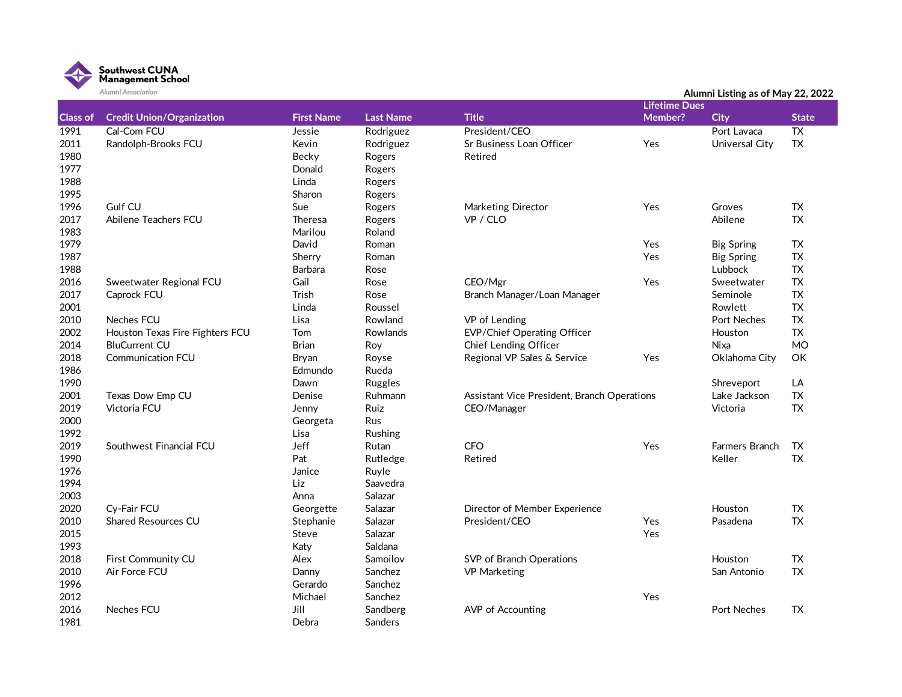

|                 | Alumni Association               |                   |                  |                                             | Alumni Listing as of May 22, 2022 |                       |                 |  |
|-----------------|----------------------------------|-------------------|------------------|---------------------------------------------|-----------------------------------|-----------------------|-----------------|--|
|                 |                                  |                   |                  |                                             | <b>Lifetime Dues</b>              |                       |                 |  |
| <b>Class of</b> | <b>Credit Union/Organization</b> | <b>First Name</b> | <b>Last Name</b> | <b>Title</b>                                | Member?                           | <b>City</b>           | <b>State</b>    |  |
| 1991            | Cal-Com FCU                      | Jessie            | Rodriguez        | President/CEO                               |                                   | Port Lavaca           | $\overline{TX}$ |  |
| 2011            | Randolph-Brooks FCU              | Kevin             | Rodriguez        | Sr Business Loan Officer                    | Yes                               | Universal City        | <b>TX</b>       |  |
| 1980            |                                  | Becky             | Rogers           | Retired                                     |                                   |                       |                 |  |
| 1977            |                                  | Donald            | Rogers           |                                             |                                   |                       |                 |  |
| 1988            |                                  | Linda             | Rogers           |                                             |                                   |                       |                 |  |
| 1995            |                                  | Sharon            | Rogers           |                                             |                                   |                       |                 |  |
| 1996            | Gulf CU                          | Sue               | Rogers           | Marketing Director                          | Yes                               | Groves                | <b>TX</b>       |  |
| 2017            | Abilene Teachers FCU             | <b>Theresa</b>    | Rogers           | VP / CLO                                    |                                   | Abilene               | <b>TX</b>       |  |
| 1983            |                                  | Marilou           | Roland           |                                             |                                   |                       |                 |  |
| 1979            |                                  | David             | Roman            |                                             | Yes                               | <b>Big Spring</b>     | <b>TX</b>       |  |
| 1987            |                                  | Sherry            | Roman            |                                             | Yes                               | <b>Big Spring</b>     | <b>TX</b>       |  |
| 1988            |                                  | Barbara           | Rose             |                                             |                                   | Lubbock               | <b>TX</b>       |  |
| 2016            | Sweetwater Regional FCU          | Gail              | Rose             | CEO/Mgr                                     | Yes                               | Sweetwater            | <b>TX</b>       |  |
| 2017            | Caprock FCU                      | Trish             | Rose             | Branch Manager/Loan Manager                 |                                   | Seminole              | <b>TX</b>       |  |
| 2001            |                                  | Linda             | Roussel          |                                             |                                   | Rowlett               | <b>TX</b>       |  |
| 2010            | <b>Neches FCU</b>                | Lisa              | Rowland          | VP of Lending                               |                                   | <b>Port Neches</b>    | <b>TX</b>       |  |
| 2002            | Houston Texas Fire Fighters FCU  | Tom               | Rowlands         | EVP/Chief Operating Officer                 |                                   | Houston               | <b>TX</b>       |  |
| 2014            | <b>BluCurrent CU</b>             | <b>Brian</b>      | Roy              | Chief Lending Officer                       |                                   | <b>Nixa</b>           | <b>MO</b>       |  |
| 2018            | <b>Communication FCU</b>         | Bryan             | Royse            | Regional VP Sales & Service                 | Yes                               | Oklahoma City         | OK              |  |
| 1986            |                                  | Edmundo           | Rueda            |                                             |                                   |                       |                 |  |
| 1990            |                                  | Dawn              | Ruggles          |                                             |                                   | Shreveport            | LA              |  |
| 2001            | Texas Dow Emp CU                 | Denise            | Ruhmann          | Assistant Vice President, Branch Operations |                                   | Lake Jackson          | <b>TX</b>       |  |
| 2019            | Victoria FCU                     | Jenny             | Ruiz             | CEO/Manager                                 |                                   | Victoria              | <b>TX</b>       |  |
| 2000            |                                  | Georgeta          | Rus              |                                             |                                   |                       |                 |  |
| 1992            |                                  | Lisa              | Rushing          |                                             |                                   |                       |                 |  |
| 2019            | Southwest Financial FCU          | Jeff              | Rutan            | <b>CFO</b>                                  | Yes                               | <b>Farmers Branch</b> | TX              |  |
| 1990            |                                  | Pat               | Rutledge         | Retired                                     |                                   | Keller                | <b>TX</b>       |  |
| 1976            |                                  | Janice            | Ruyle            |                                             |                                   |                       |                 |  |
| 1994            |                                  | Liz               | Saavedra         |                                             |                                   |                       |                 |  |
| 2003            |                                  | Anna              | Salazar          |                                             |                                   |                       |                 |  |
| 2020            | Cv-Fair FCU                      | Georgette         | Salazar          | Director of Member Experience               |                                   | Houston               | <b>TX</b>       |  |
| 2010            | <b>Shared Resources CU</b>       | Stephanie         | Salazar          | President/CEO                               | Yes                               | Pasadena              | <b>TX</b>       |  |
| 2015            |                                  | Steve             | Salazar          |                                             | Yes                               |                       |                 |  |
| 1993            |                                  | Katy              | Saldana          |                                             |                                   |                       |                 |  |
| 2018            | First Community CU               | Alex              | Samoilov         | SVP of Branch Operations                    |                                   | Houston               | <b>TX</b>       |  |
| 2010            | Air Force FCU                    | Danny             | Sanchez          | <b>VP Marketing</b>                         |                                   | San Antonio           | <b>TX</b>       |  |
| 1996            |                                  | Gerardo           | Sanchez          |                                             |                                   |                       |                 |  |
| 2012            |                                  | Michael           | Sanchez          |                                             | Yes                               |                       |                 |  |
| 2016            | Neches FCU                       | Jill              | Sandberg         | <b>AVP</b> of Accounting                    |                                   | <b>Port Neches</b>    | <b>TX</b>       |  |
| 1981            |                                  | Debra             | Sanders          |                                             |                                   |                       |                 |  |
|                 |                                  |                   |                  |                                             |                                   |                       |                 |  |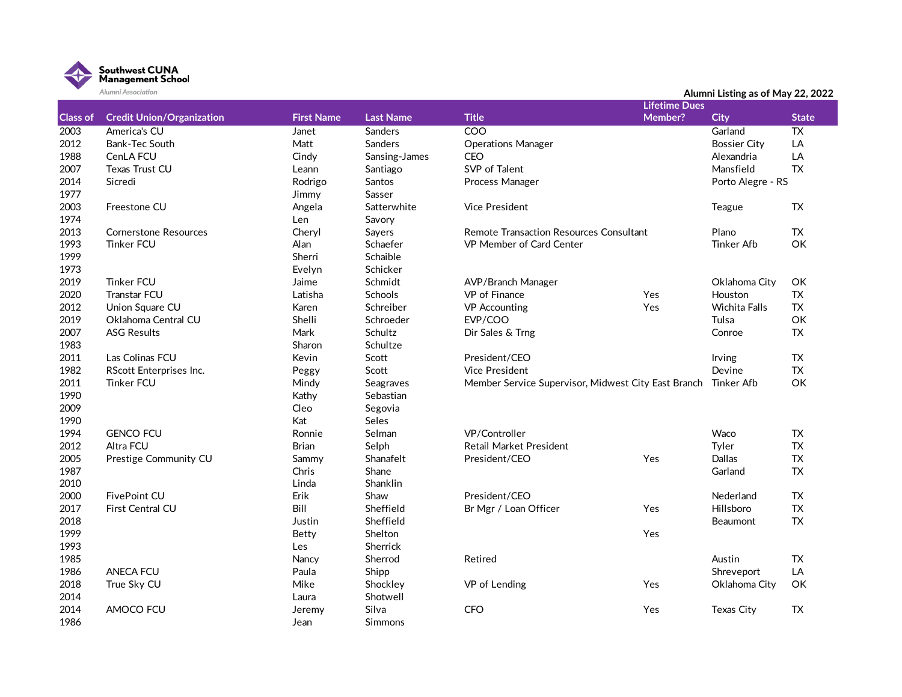

| <b>Lifetime Dues</b><br><b>Class of</b><br><b>First Name</b><br><b>Last Name</b><br><b>Credit Union/Organization</b><br><b>Title</b><br>Member?<br><b>City</b><br><b>State</b><br>COO<br>2003<br>America's CU<br><b>Sanders</b><br>Garland<br>TX<br>Janet<br>2012<br>Bank-Tec South<br>Matt<br>Sanders<br><b>Operations Manager</b><br><b>Bossier City</b><br>LA<br>1988<br>CenLA FCU<br><b>CEO</b><br>LA<br>Cindy<br>Sansing-James<br>Alexandria<br>2007<br>SVP of Talent<br>Mansfield<br><b>TX</b><br><b>Texas Trust CU</b><br>Santiago<br>Leann<br>Sicredi<br>Rodrigo<br>2014<br><b>Santos</b><br>Process Manager<br>Porto Alegre - RS<br>1977<br>Jimmy<br>Sasser<br>2003<br>Freestone CU<br>Vice President<br>TX<br>Angela<br>Satterwhite<br>Teague<br>1974<br>Len<br>Savory<br>2013<br><b>TX</b><br><b>Cornerstone Resources</b><br>Cheryl<br>Remote Transaction Resources Consultant<br>Plano<br>Sayers<br>1993<br><b>Tinker FCU</b><br>Alan<br>Schaefer<br>VP Member of Card Center<br>OK<br>Tinker Afb<br>Sherri<br>Schaible<br>Evelyn<br>Schicker<br><b>Tinker FCU</b><br>Jaime<br>Schmidt<br>OK<br>AVP/Branch Manager<br>Oklahoma City<br><b>TX</b><br>Transtar FCU<br>Latisha<br>Schools<br>VP of Finance<br>Yes<br>Houston<br><b>TX</b><br>Union Square CU<br>Karen<br>Schreiber<br><b>VP</b> Accounting<br>Yes<br><b>Wichita Falls</b><br>Oklahoma Central CU<br>Shelli<br>EVP/COO<br>OK<br>Schroeder<br>Tulsa<br>Mark<br><b>ASG Results</b><br>Schultz<br>Dir Sales & Trng<br>Conroe<br>TX<br>Sharon<br>Schultze<br>Las Colinas FCU<br>Kevin<br>President/CEO<br><b>TX</b><br>Scott<br>Irving<br><b>TX</b><br>RScott Enterprises Inc.<br>Scott<br><b>Vice President</b><br>Devine<br>Peggy<br>OK<br>Tinker FCU<br>Mindy<br>Seagraves<br>Member Service Supervisor, Midwest City East Branch Tinker Afb<br>Kathy<br>Sebastian<br>Cleo<br>Segovia<br>Kat<br>Seles<br><b>GENCO FCU</b><br>Selman<br><b>TX</b><br>Ronnie<br>VP/Controller<br>Waco<br>${\sf TX}$<br>2012<br>Altra FCU<br><b>Brian</b><br>Selph<br>Tyler<br><b>Retail Market President</b><br><b>TX</b><br>2005<br>Shanafelt<br>Dallas<br>Prestige Community CU<br>Sammy<br>President/CEO<br>Yes<br>1987<br><b>TX</b><br>Chris<br>Shane<br>Garland<br>Linda<br>2010<br>Shanklin<br><b>FivePoint CU</b><br>Erik<br><b>TX</b><br>2000<br>Shaw<br>President/CEO<br>Nederland<br>2017<br>Bill<br>Hillsboro<br><b>TX</b><br><b>First Central CU</b><br>Sheffield<br>Br Mgr / Loan Officer<br>Yes<br><b>TX</b><br>2018<br>Justin<br>Sheffield<br><b>Beaumont</b><br>1999<br>Betty<br>Shelton<br>Yes<br>1993<br>Les<br>Sherrick<br>1985<br>Nancy<br>Sherrod<br>Retired<br>Austin<br>TX.<br>1986<br><b>ANECA FCU</b><br>Paula<br>LA<br>Shipp<br>Shreveport<br>2018<br>Mike<br>Shockley<br>True Sky CU<br>VP of Lending<br>Yes<br>Oklahoma City<br>OK<br>2014<br>Shotwell<br>Laura |      | Alumni Association |  | Alumni Listing as of May 22, 2022 |  |  |  |
|---------------------------------------------------------------------------------------------------------------------------------------------------------------------------------------------------------------------------------------------------------------------------------------------------------------------------------------------------------------------------------------------------------------------------------------------------------------------------------------------------------------------------------------------------------------------------------------------------------------------------------------------------------------------------------------------------------------------------------------------------------------------------------------------------------------------------------------------------------------------------------------------------------------------------------------------------------------------------------------------------------------------------------------------------------------------------------------------------------------------------------------------------------------------------------------------------------------------------------------------------------------------------------------------------------------------------------------------------------------------------------------------------------------------------------------------------------------------------------------------------------------------------------------------------------------------------------------------------------------------------------------------------------------------------------------------------------------------------------------------------------------------------------------------------------------------------------------------------------------------------------------------------------------------------------------------------------------------------------------------------------------------------------------------------------------------------------------------------------------------------------------------------------------------------------------------------------------------------------------------------------------------------------------------------------------------------------------------------------------------------------------------------------------------------------------------------------------------------------------------------------------------------------------------------------------------------------------------------------------------------------------------------------------------------------------------------------------------------------------------------------------------------------------------------------------------------------------------------|------|--------------------|--|-----------------------------------|--|--|--|
|                                                                                                                                                                                                                                                                                                                                                                                                                                                                                                                                                                                                                                                                                                                                                                                                                                                                                                                                                                                                                                                                                                                                                                                                                                                                                                                                                                                                                                                                                                                                                                                                                                                                                                                                                                                                                                                                                                                                                                                                                                                                                                                                                                                                                                                                                                                                                                                                                                                                                                                                                                                                                                                                                                                                                                                                                                                   |      |                    |  |                                   |  |  |  |
|                                                                                                                                                                                                                                                                                                                                                                                                                                                                                                                                                                                                                                                                                                                                                                                                                                                                                                                                                                                                                                                                                                                                                                                                                                                                                                                                                                                                                                                                                                                                                                                                                                                                                                                                                                                                                                                                                                                                                                                                                                                                                                                                                                                                                                                                                                                                                                                                                                                                                                                                                                                                                                                                                                                                                                                                                                                   |      |                    |  |                                   |  |  |  |
|                                                                                                                                                                                                                                                                                                                                                                                                                                                                                                                                                                                                                                                                                                                                                                                                                                                                                                                                                                                                                                                                                                                                                                                                                                                                                                                                                                                                                                                                                                                                                                                                                                                                                                                                                                                                                                                                                                                                                                                                                                                                                                                                                                                                                                                                                                                                                                                                                                                                                                                                                                                                                                                                                                                                                                                                                                                   |      |                    |  |                                   |  |  |  |
|                                                                                                                                                                                                                                                                                                                                                                                                                                                                                                                                                                                                                                                                                                                                                                                                                                                                                                                                                                                                                                                                                                                                                                                                                                                                                                                                                                                                                                                                                                                                                                                                                                                                                                                                                                                                                                                                                                                                                                                                                                                                                                                                                                                                                                                                                                                                                                                                                                                                                                                                                                                                                                                                                                                                                                                                                                                   |      |                    |  |                                   |  |  |  |
|                                                                                                                                                                                                                                                                                                                                                                                                                                                                                                                                                                                                                                                                                                                                                                                                                                                                                                                                                                                                                                                                                                                                                                                                                                                                                                                                                                                                                                                                                                                                                                                                                                                                                                                                                                                                                                                                                                                                                                                                                                                                                                                                                                                                                                                                                                                                                                                                                                                                                                                                                                                                                                                                                                                                                                                                                                                   |      |                    |  |                                   |  |  |  |
|                                                                                                                                                                                                                                                                                                                                                                                                                                                                                                                                                                                                                                                                                                                                                                                                                                                                                                                                                                                                                                                                                                                                                                                                                                                                                                                                                                                                                                                                                                                                                                                                                                                                                                                                                                                                                                                                                                                                                                                                                                                                                                                                                                                                                                                                                                                                                                                                                                                                                                                                                                                                                                                                                                                                                                                                                                                   |      |                    |  |                                   |  |  |  |
|                                                                                                                                                                                                                                                                                                                                                                                                                                                                                                                                                                                                                                                                                                                                                                                                                                                                                                                                                                                                                                                                                                                                                                                                                                                                                                                                                                                                                                                                                                                                                                                                                                                                                                                                                                                                                                                                                                                                                                                                                                                                                                                                                                                                                                                                                                                                                                                                                                                                                                                                                                                                                                                                                                                                                                                                                                                   |      |                    |  |                                   |  |  |  |
|                                                                                                                                                                                                                                                                                                                                                                                                                                                                                                                                                                                                                                                                                                                                                                                                                                                                                                                                                                                                                                                                                                                                                                                                                                                                                                                                                                                                                                                                                                                                                                                                                                                                                                                                                                                                                                                                                                                                                                                                                                                                                                                                                                                                                                                                                                                                                                                                                                                                                                                                                                                                                                                                                                                                                                                                                                                   |      |                    |  |                                   |  |  |  |
|                                                                                                                                                                                                                                                                                                                                                                                                                                                                                                                                                                                                                                                                                                                                                                                                                                                                                                                                                                                                                                                                                                                                                                                                                                                                                                                                                                                                                                                                                                                                                                                                                                                                                                                                                                                                                                                                                                                                                                                                                                                                                                                                                                                                                                                                                                                                                                                                                                                                                                                                                                                                                                                                                                                                                                                                                                                   |      |                    |  |                                   |  |  |  |
|                                                                                                                                                                                                                                                                                                                                                                                                                                                                                                                                                                                                                                                                                                                                                                                                                                                                                                                                                                                                                                                                                                                                                                                                                                                                                                                                                                                                                                                                                                                                                                                                                                                                                                                                                                                                                                                                                                                                                                                                                                                                                                                                                                                                                                                                                                                                                                                                                                                                                                                                                                                                                                                                                                                                                                                                                                                   |      |                    |  |                                   |  |  |  |
|                                                                                                                                                                                                                                                                                                                                                                                                                                                                                                                                                                                                                                                                                                                                                                                                                                                                                                                                                                                                                                                                                                                                                                                                                                                                                                                                                                                                                                                                                                                                                                                                                                                                                                                                                                                                                                                                                                                                                                                                                                                                                                                                                                                                                                                                                                                                                                                                                                                                                                                                                                                                                                                                                                                                                                                                                                                   |      |                    |  |                                   |  |  |  |
|                                                                                                                                                                                                                                                                                                                                                                                                                                                                                                                                                                                                                                                                                                                                                                                                                                                                                                                                                                                                                                                                                                                                                                                                                                                                                                                                                                                                                                                                                                                                                                                                                                                                                                                                                                                                                                                                                                                                                                                                                                                                                                                                                                                                                                                                                                                                                                                                                                                                                                                                                                                                                                                                                                                                                                                                                                                   |      |                    |  |                                   |  |  |  |
|                                                                                                                                                                                                                                                                                                                                                                                                                                                                                                                                                                                                                                                                                                                                                                                                                                                                                                                                                                                                                                                                                                                                                                                                                                                                                                                                                                                                                                                                                                                                                                                                                                                                                                                                                                                                                                                                                                                                                                                                                                                                                                                                                                                                                                                                                                                                                                                                                                                                                                                                                                                                                                                                                                                                                                                                                                                   | 1999 |                    |  |                                   |  |  |  |
|                                                                                                                                                                                                                                                                                                                                                                                                                                                                                                                                                                                                                                                                                                                                                                                                                                                                                                                                                                                                                                                                                                                                                                                                                                                                                                                                                                                                                                                                                                                                                                                                                                                                                                                                                                                                                                                                                                                                                                                                                                                                                                                                                                                                                                                                                                                                                                                                                                                                                                                                                                                                                                                                                                                                                                                                                                                   | 1973 |                    |  |                                   |  |  |  |
|                                                                                                                                                                                                                                                                                                                                                                                                                                                                                                                                                                                                                                                                                                                                                                                                                                                                                                                                                                                                                                                                                                                                                                                                                                                                                                                                                                                                                                                                                                                                                                                                                                                                                                                                                                                                                                                                                                                                                                                                                                                                                                                                                                                                                                                                                                                                                                                                                                                                                                                                                                                                                                                                                                                                                                                                                                                   | 2019 |                    |  |                                   |  |  |  |
|                                                                                                                                                                                                                                                                                                                                                                                                                                                                                                                                                                                                                                                                                                                                                                                                                                                                                                                                                                                                                                                                                                                                                                                                                                                                                                                                                                                                                                                                                                                                                                                                                                                                                                                                                                                                                                                                                                                                                                                                                                                                                                                                                                                                                                                                                                                                                                                                                                                                                                                                                                                                                                                                                                                                                                                                                                                   | 2020 |                    |  |                                   |  |  |  |
|                                                                                                                                                                                                                                                                                                                                                                                                                                                                                                                                                                                                                                                                                                                                                                                                                                                                                                                                                                                                                                                                                                                                                                                                                                                                                                                                                                                                                                                                                                                                                                                                                                                                                                                                                                                                                                                                                                                                                                                                                                                                                                                                                                                                                                                                                                                                                                                                                                                                                                                                                                                                                                                                                                                                                                                                                                                   | 2012 |                    |  |                                   |  |  |  |
|                                                                                                                                                                                                                                                                                                                                                                                                                                                                                                                                                                                                                                                                                                                                                                                                                                                                                                                                                                                                                                                                                                                                                                                                                                                                                                                                                                                                                                                                                                                                                                                                                                                                                                                                                                                                                                                                                                                                                                                                                                                                                                                                                                                                                                                                                                                                                                                                                                                                                                                                                                                                                                                                                                                                                                                                                                                   | 2019 |                    |  |                                   |  |  |  |
|                                                                                                                                                                                                                                                                                                                                                                                                                                                                                                                                                                                                                                                                                                                                                                                                                                                                                                                                                                                                                                                                                                                                                                                                                                                                                                                                                                                                                                                                                                                                                                                                                                                                                                                                                                                                                                                                                                                                                                                                                                                                                                                                                                                                                                                                                                                                                                                                                                                                                                                                                                                                                                                                                                                                                                                                                                                   | 2007 |                    |  |                                   |  |  |  |
|                                                                                                                                                                                                                                                                                                                                                                                                                                                                                                                                                                                                                                                                                                                                                                                                                                                                                                                                                                                                                                                                                                                                                                                                                                                                                                                                                                                                                                                                                                                                                                                                                                                                                                                                                                                                                                                                                                                                                                                                                                                                                                                                                                                                                                                                                                                                                                                                                                                                                                                                                                                                                                                                                                                                                                                                                                                   | 1983 |                    |  |                                   |  |  |  |
|                                                                                                                                                                                                                                                                                                                                                                                                                                                                                                                                                                                                                                                                                                                                                                                                                                                                                                                                                                                                                                                                                                                                                                                                                                                                                                                                                                                                                                                                                                                                                                                                                                                                                                                                                                                                                                                                                                                                                                                                                                                                                                                                                                                                                                                                                                                                                                                                                                                                                                                                                                                                                                                                                                                                                                                                                                                   | 2011 |                    |  |                                   |  |  |  |
|                                                                                                                                                                                                                                                                                                                                                                                                                                                                                                                                                                                                                                                                                                                                                                                                                                                                                                                                                                                                                                                                                                                                                                                                                                                                                                                                                                                                                                                                                                                                                                                                                                                                                                                                                                                                                                                                                                                                                                                                                                                                                                                                                                                                                                                                                                                                                                                                                                                                                                                                                                                                                                                                                                                                                                                                                                                   | 1982 |                    |  |                                   |  |  |  |
|                                                                                                                                                                                                                                                                                                                                                                                                                                                                                                                                                                                                                                                                                                                                                                                                                                                                                                                                                                                                                                                                                                                                                                                                                                                                                                                                                                                                                                                                                                                                                                                                                                                                                                                                                                                                                                                                                                                                                                                                                                                                                                                                                                                                                                                                                                                                                                                                                                                                                                                                                                                                                                                                                                                                                                                                                                                   | 2011 |                    |  |                                   |  |  |  |
|                                                                                                                                                                                                                                                                                                                                                                                                                                                                                                                                                                                                                                                                                                                                                                                                                                                                                                                                                                                                                                                                                                                                                                                                                                                                                                                                                                                                                                                                                                                                                                                                                                                                                                                                                                                                                                                                                                                                                                                                                                                                                                                                                                                                                                                                                                                                                                                                                                                                                                                                                                                                                                                                                                                                                                                                                                                   | 1990 |                    |  |                                   |  |  |  |
|                                                                                                                                                                                                                                                                                                                                                                                                                                                                                                                                                                                                                                                                                                                                                                                                                                                                                                                                                                                                                                                                                                                                                                                                                                                                                                                                                                                                                                                                                                                                                                                                                                                                                                                                                                                                                                                                                                                                                                                                                                                                                                                                                                                                                                                                                                                                                                                                                                                                                                                                                                                                                                                                                                                                                                                                                                                   | 2009 |                    |  |                                   |  |  |  |
|                                                                                                                                                                                                                                                                                                                                                                                                                                                                                                                                                                                                                                                                                                                                                                                                                                                                                                                                                                                                                                                                                                                                                                                                                                                                                                                                                                                                                                                                                                                                                                                                                                                                                                                                                                                                                                                                                                                                                                                                                                                                                                                                                                                                                                                                                                                                                                                                                                                                                                                                                                                                                                                                                                                                                                                                                                                   | 1990 |                    |  |                                   |  |  |  |
|                                                                                                                                                                                                                                                                                                                                                                                                                                                                                                                                                                                                                                                                                                                                                                                                                                                                                                                                                                                                                                                                                                                                                                                                                                                                                                                                                                                                                                                                                                                                                                                                                                                                                                                                                                                                                                                                                                                                                                                                                                                                                                                                                                                                                                                                                                                                                                                                                                                                                                                                                                                                                                                                                                                                                                                                                                                   | 1994 |                    |  |                                   |  |  |  |
|                                                                                                                                                                                                                                                                                                                                                                                                                                                                                                                                                                                                                                                                                                                                                                                                                                                                                                                                                                                                                                                                                                                                                                                                                                                                                                                                                                                                                                                                                                                                                                                                                                                                                                                                                                                                                                                                                                                                                                                                                                                                                                                                                                                                                                                                                                                                                                                                                                                                                                                                                                                                                                                                                                                                                                                                                                                   |      |                    |  |                                   |  |  |  |
|                                                                                                                                                                                                                                                                                                                                                                                                                                                                                                                                                                                                                                                                                                                                                                                                                                                                                                                                                                                                                                                                                                                                                                                                                                                                                                                                                                                                                                                                                                                                                                                                                                                                                                                                                                                                                                                                                                                                                                                                                                                                                                                                                                                                                                                                                                                                                                                                                                                                                                                                                                                                                                                                                                                                                                                                                                                   |      |                    |  |                                   |  |  |  |
|                                                                                                                                                                                                                                                                                                                                                                                                                                                                                                                                                                                                                                                                                                                                                                                                                                                                                                                                                                                                                                                                                                                                                                                                                                                                                                                                                                                                                                                                                                                                                                                                                                                                                                                                                                                                                                                                                                                                                                                                                                                                                                                                                                                                                                                                                                                                                                                                                                                                                                                                                                                                                                                                                                                                                                                                                                                   |      |                    |  |                                   |  |  |  |
|                                                                                                                                                                                                                                                                                                                                                                                                                                                                                                                                                                                                                                                                                                                                                                                                                                                                                                                                                                                                                                                                                                                                                                                                                                                                                                                                                                                                                                                                                                                                                                                                                                                                                                                                                                                                                                                                                                                                                                                                                                                                                                                                                                                                                                                                                                                                                                                                                                                                                                                                                                                                                                                                                                                                                                                                                                                   |      |                    |  |                                   |  |  |  |
|                                                                                                                                                                                                                                                                                                                                                                                                                                                                                                                                                                                                                                                                                                                                                                                                                                                                                                                                                                                                                                                                                                                                                                                                                                                                                                                                                                                                                                                                                                                                                                                                                                                                                                                                                                                                                                                                                                                                                                                                                                                                                                                                                                                                                                                                                                                                                                                                                                                                                                                                                                                                                                                                                                                                                                                                                                                   |      |                    |  |                                   |  |  |  |
|                                                                                                                                                                                                                                                                                                                                                                                                                                                                                                                                                                                                                                                                                                                                                                                                                                                                                                                                                                                                                                                                                                                                                                                                                                                                                                                                                                                                                                                                                                                                                                                                                                                                                                                                                                                                                                                                                                                                                                                                                                                                                                                                                                                                                                                                                                                                                                                                                                                                                                                                                                                                                                                                                                                                                                                                                                                   |      |                    |  |                                   |  |  |  |
|                                                                                                                                                                                                                                                                                                                                                                                                                                                                                                                                                                                                                                                                                                                                                                                                                                                                                                                                                                                                                                                                                                                                                                                                                                                                                                                                                                                                                                                                                                                                                                                                                                                                                                                                                                                                                                                                                                                                                                                                                                                                                                                                                                                                                                                                                                                                                                                                                                                                                                                                                                                                                                                                                                                                                                                                                                                   |      |                    |  |                                   |  |  |  |
|                                                                                                                                                                                                                                                                                                                                                                                                                                                                                                                                                                                                                                                                                                                                                                                                                                                                                                                                                                                                                                                                                                                                                                                                                                                                                                                                                                                                                                                                                                                                                                                                                                                                                                                                                                                                                                                                                                                                                                                                                                                                                                                                                                                                                                                                                                                                                                                                                                                                                                                                                                                                                                                                                                                                                                                                                                                   |      |                    |  |                                   |  |  |  |
|                                                                                                                                                                                                                                                                                                                                                                                                                                                                                                                                                                                                                                                                                                                                                                                                                                                                                                                                                                                                                                                                                                                                                                                                                                                                                                                                                                                                                                                                                                                                                                                                                                                                                                                                                                                                                                                                                                                                                                                                                                                                                                                                                                                                                                                                                                                                                                                                                                                                                                                                                                                                                                                                                                                                                                                                                                                   |      |                    |  |                                   |  |  |  |
|                                                                                                                                                                                                                                                                                                                                                                                                                                                                                                                                                                                                                                                                                                                                                                                                                                                                                                                                                                                                                                                                                                                                                                                                                                                                                                                                                                                                                                                                                                                                                                                                                                                                                                                                                                                                                                                                                                                                                                                                                                                                                                                                                                                                                                                                                                                                                                                                                                                                                                                                                                                                                                                                                                                                                                                                                                                   |      |                    |  |                                   |  |  |  |
|                                                                                                                                                                                                                                                                                                                                                                                                                                                                                                                                                                                                                                                                                                                                                                                                                                                                                                                                                                                                                                                                                                                                                                                                                                                                                                                                                                                                                                                                                                                                                                                                                                                                                                                                                                                                                                                                                                                                                                                                                                                                                                                                                                                                                                                                                                                                                                                                                                                                                                                                                                                                                                                                                                                                                                                                                                                   |      |                    |  |                                   |  |  |  |
|                                                                                                                                                                                                                                                                                                                                                                                                                                                                                                                                                                                                                                                                                                                                                                                                                                                                                                                                                                                                                                                                                                                                                                                                                                                                                                                                                                                                                                                                                                                                                                                                                                                                                                                                                                                                                                                                                                                                                                                                                                                                                                                                                                                                                                                                                                                                                                                                                                                                                                                                                                                                                                                                                                                                                                                                                                                   |      |                    |  |                                   |  |  |  |
|                                                                                                                                                                                                                                                                                                                                                                                                                                                                                                                                                                                                                                                                                                                                                                                                                                                                                                                                                                                                                                                                                                                                                                                                                                                                                                                                                                                                                                                                                                                                                                                                                                                                                                                                                                                                                                                                                                                                                                                                                                                                                                                                                                                                                                                                                                                                                                                                                                                                                                                                                                                                                                                                                                                                                                                                                                                   |      |                    |  |                                   |  |  |  |
| AMOCO FCU<br>Silva<br><b>CFO</b><br>TX<br>Jeremy<br>Yes<br>Texas City                                                                                                                                                                                                                                                                                                                                                                                                                                                                                                                                                                                                                                                                                                                                                                                                                                                                                                                                                                                                                                                                                                                                                                                                                                                                                                                                                                                                                                                                                                                                                                                                                                                                                                                                                                                                                                                                                                                                                                                                                                                                                                                                                                                                                                                                                                                                                                                                                                                                                                                                                                                                                                                                                                                                                                             | 2014 |                    |  |                                   |  |  |  |
| Simmons<br>Jean                                                                                                                                                                                                                                                                                                                                                                                                                                                                                                                                                                                                                                                                                                                                                                                                                                                                                                                                                                                                                                                                                                                                                                                                                                                                                                                                                                                                                                                                                                                                                                                                                                                                                                                                                                                                                                                                                                                                                                                                                                                                                                                                                                                                                                                                                                                                                                                                                                                                                                                                                                                                                                                                                                                                                                                                                                   | 1986 |                    |  |                                   |  |  |  |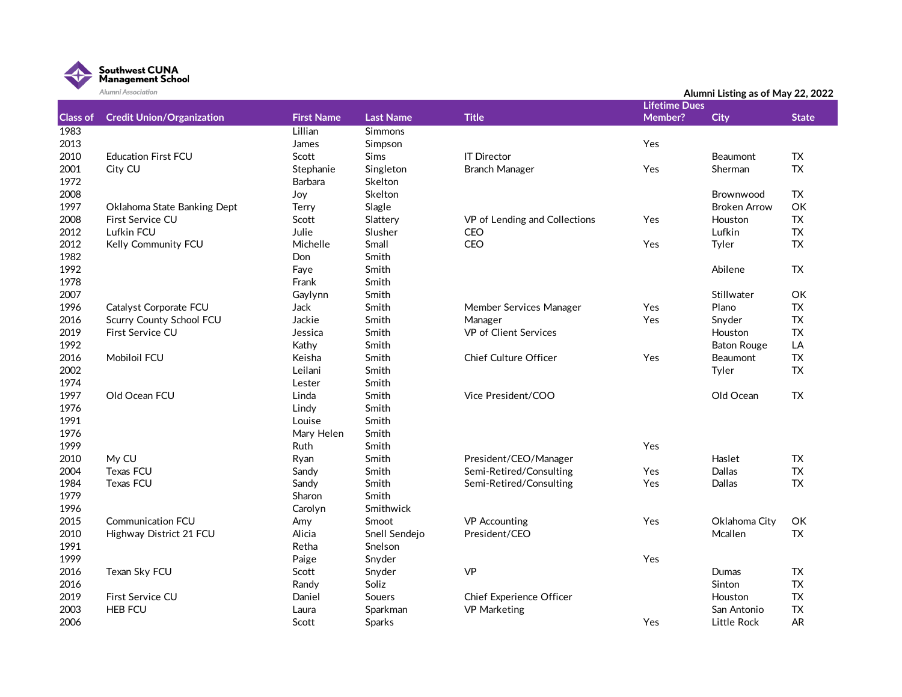

|                 | Alumni Association               |                   |                  |                               |                      | Alumni Listing as of May 22, 2022 |              |
|-----------------|----------------------------------|-------------------|------------------|-------------------------------|----------------------|-----------------------------------|--------------|
|                 |                                  |                   |                  |                               | <b>Lifetime Dues</b> |                                   |              |
| <b>Class of</b> | <b>Credit Union/Organization</b> | <b>First Name</b> | <b>Last Name</b> | <b>Title</b>                  | Member?              | <b>City</b>                       | <b>State</b> |
| 1983            |                                  | Lillian           | <b>Simmons</b>   |                               |                      |                                   |              |
| 2013            |                                  | James             | Simpson          |                               | Yes                  |                                   |              |
| 2010            | <b>Education First FCU</b>       | Scott             | <b>Sims</b>      | <b>IT Director</b>            |                      | Beaumont                          | TX.          |
| 2001            | City CU                          | Stephanie         | Singleton        | <b>Branch Manager</b>         | Yes                  | Sherman                           | <b>TX</b>    |
| 1972            |                                  | Barbara           | Skelton          |                               |                      |                                   |              |
| 2008            |                                  | Joy               | Skelton          |                               |                      | Brownwood                         | <b>TX</b>    |
| 1997            | Oklahoma State Banking Dept      | Terry             | Slagle           |                               |                      | <b>Broken Arrow</b>               | OK           |
| 2008            | First Service CU                 | Scott             | Slattery         | VP of Lending and Collections | Yes                  | Houston                           | <b>TX</b>    |
| 2012            | Lufkin FCU                       | Julie             | Slusher          | CEO                           |                      | Lufkin                            | ${\sf TX}$   |
| 2012            | Kelly Community FCU              | Michelle          | Small            | <b>CEO</b>                    | Yes                  | Tyler                             | <b>TX</b>    |
| 1982            |                                  | Don               | Smith            |                               |                      |                                   |              |
| 1992            |                                  | Faye              | Smith            |                               |                      | Abilene                           | TX           |
| 1978            |                                  | Frank             | Smith            |                               |                      |                                   |              |
| 2007            |                                  | Gaylynn           | Smith            |                               |                      | Stillwater                        | OK           |
| 1996            | Catalyst Corporate FCU           | Jack              | Smith            | Member Services Manager       | Yes                  | Plano                             | TX           |
| 2016            | <b>Scurry County School FCU</b>  | Jackie            | Smith            | Manager                       | Yes                  | Snyder                            | ${\sf TX}$   |
| 2019            | First Service CU                 | Jessica           | Smith            | VP of Client Services         |                      | Houston                           | <b>TX</b>    |
| 1992            |                                  | Kathy             | Smith            |                               |                      | <b>Baton Rouge</b>                | LA           |
| 2016            | Mobiloil FCU                     | Keisha            | Smith            | Chief Culture Officer         | Yes                  | Beaumont                          | TX           |
| 2002            |                                  | Leilani           | Smith            |                               |                      | Tyler                             | <b>TX</b>    |
| 1974            |                                  | Lester            | Smith            |                               |                      |                                   |              |
| 1997            | Old Ocean FCU                    | Linda             | Smith            | Vice President/COO            |                      | Old Ocean                         | <b>TX</b>    |
| 1976            |                                  | Lindy             | Smith            |                               |                      |                                   |              |
| 1991            |                                  | Louise            | Smith            |                               |                      |                                   |              |
| 1976            |                                  | Mary Helen        | Smith            |                               |                      |                                   |              |
| 1999            |                                  | Ruth              | Smith            |                               | Yes                  |                                   |              |
| 2010            | My CU                            | Ryan              | Smith            | President/CEO/Manager         |                      | Haslet                            | TX           |
| 2004            | <b>Texas FCU</b>                 | Sandy             | Smith            | Semi-Retired/Consulting       | Yes                  | Dallas                            | TX           |
| 1984            | <b>Texas FCU</b>                 | Sandy             | Smith            | Semi-Retired/Consulting       | Yes                  | Dallas                            | <b>TX</b>    |
| 1979            |                                  | Sharon            | Smith            |                               |                      |                                   |              |
| 1996            |                                  | Carolyn           | Smithwick        |                               |                      |                                   |              |
| 2015            | <b>Communication FCU</b>         | Amy               | Smoot            | <b>VP</b> Accounting          | Yes                  | Oklahoma City                     | OK           |
| 2010            | Highway District 21 FCU          | Alicia            | Snell Sendejo    | President/CEO                 |                      | Mcallen                           | <b>TX</b>    |
| 1991            |                                  | Retha             | Snelson          |                               |                      |                                   |              |
| 1999            |                                  | Paige             | Snyder           |                               | Yes                  |                                   |              |
| 2016            | Texan Sky FCU                    | Scott             | Snyder           | <b>VP</b>                     |                      | <b>Dumas</b>                      | TX           |
| 2016            |                                  | Randy             | Soliz            |                               |                      | Sinton                            | <b>TX</b>    |
| 2019            | First Service CU                 | Daniel            | Souers           | Chief Experience Officer      |                      | Houston                           | <b>TX</b>    |
| 2003            | <b>HEB FCU</b>                   | Laura             | Sparkman         | <b>VP Marketing</b>           |                      | San Antonio                       | <b>TX</b>    |
| 2006            |                                  | Scott             | Sparks           |                               | Yes                  | Little Rock                       | <b>AR</b>    |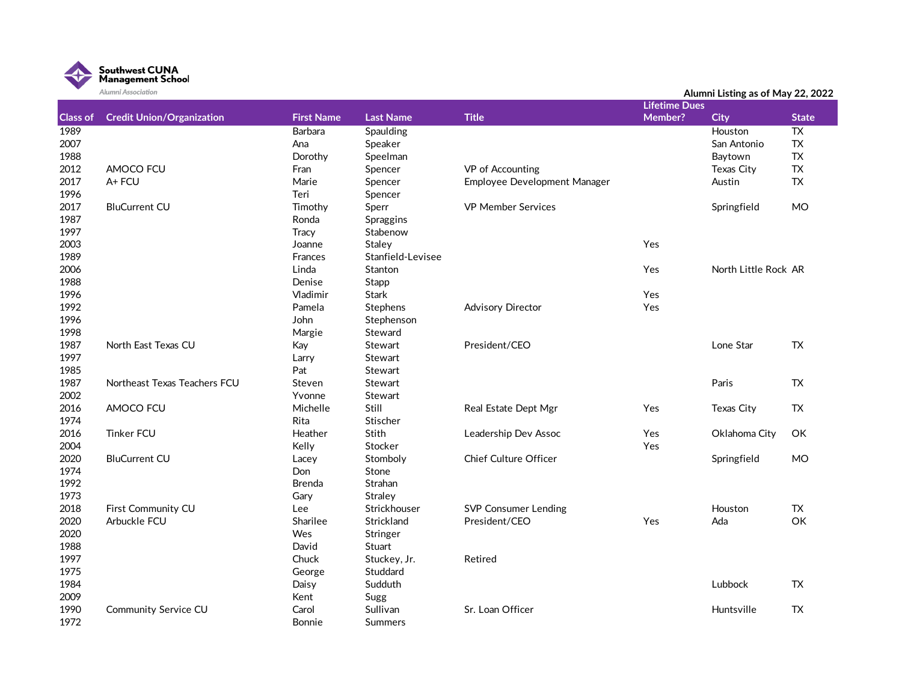

|                 | Alumni Association               |                   |                   |                              | <b>Lifetime Dues</b> | Alumni Listing as of May 22, 2022 |                 |
|-----------------|----------------------------------|-------------------|-------------------|------------------------------|----------------------|-----------------------------------|-----------------|
| <b>Class of</b> | <b>Credit Union/Organization</b> | <b>First Name</b> | <b>Last Name</b>  | <b>Title</b>                 | Member?              | <b>City</b>                       | <b>State</b>    |
| 1989            |                                  | <b>Barbara</b>    | Spaulding         |                              |                      | Houston                           | $\overline{TX}$ |
| 2007            |                                  | Ana               | Speaker           |                              |                      | San Antonio                       | <b>TX</b>       |
| 1988            |                                  | Dorothy           | Speelman          |                              |                      | Baytown                           | ${\sf TX}$      |
| 2012            | AMOCO FCU                        | Fran              | Spencer           | VP of Accounting             |                      | <b>Texas City</b>                 | <b>TX</b>       |
| 2017            | A+FCU                            | Marie             | Spencer           | Employee Development Manager |                      | Austin                            | <b>TX</b>       |
| 1996            |                                  | Teri              | Spencer           |                              |                      |                                   |                 |
| 2017            | <b>BluCurrent CU</b>             | Timothy           | Sperr             | <b>VP Member Services</b>    |                      | Springfield                       | <b>MO</b>       |
| 1987            |                                  | Ronda             | Spraggins         |                              |                      |                                   |                 |
| 1997            |                                  | <b>Tracy</b>      | Stabenow          |                              |                      |                                   |                 |
| 2003            |                                  | Joanne            | Staley            |                              | Yes                  |                                   |                 |
| 1989            |                                  | <b>Frances</b>    | Stanfield-Levisee |                              |                      |                                   |                 |
| 2006            |                                  | Linda             | Stanton           |                              | Yes                  | North Little Rock AR              |                 |
| 1988            |                                  | Denise            | Stapp             |                              |                      |                                   |                 |
| 1996            |                                  | Vladimir          | Stark             |                              | Yes                  |                                   |                 |
| 1992            |                                  | Pamela            | Stephens          | <b>Advisory Director</b>     | Yes                  |                                   |                 |
| 1996            |                                  | John              | Stephenson        |                              |                      |                                   |                 |
| 1998            |                                  | Margie            | Steward           |                              |                      |                                   |                 |
| 1987            | North East Texas CU              | Kay               | Stewart           | President/CEO                |                      | Lone Star                         | <b>TX</b>       |
| 1997            |                                  | Larry             | Stewart           |                              |                      |                                   |                 |
| 1985            |                                  | Pat               | Stewart           |                              |                      |                                   |                 |
| 1987            | Northeast Texas Teachers FCU     | Steven            | Stewart           |                              |                      | Paris                             | TX.             |
| 2002            |                                  | Yvonne            | Stewart           |                              |                      |                                   |                 |
| 2016            | AMOCO FCU                        | Michelle          | Still             | Real Estate Dept Mgr         | Yes                  | Texas City                        | <b>TX</b>       |
| 1974            |                                  | Rita              | Stischer          |                              |                      |                                   |                 |
| 2016            | <b>Tinker FCU</b>                | Heather           | Stith             | Leadership Dev Assoc         | Yes                  | Oklahoma City                     | OK              |
| 2004            |                                  | Kelly             | Stocker           |                              | Yes                  |                                   |                 |
| 2020            | <b>BluCurrent CU</b>             | Lacey             | Stomboly          | Chief Culture Officer        |                      | Springfield                       | <b>MO</b>       |
| 1974            |                                  | Don               | Stone             |                              |                      |                                   |                 |
| 1992            |                                  | <b>Brenda</b>     | Strahan           |                              |                      |                                   |                 |
| 1973            |                                  | Gary              | Straley           |                              |                      |                                   |                 |
| 2018            | First Community CU               | Lee               | Strickhouser      | <b>SVP Consumer Lending</b>  |                      | Houston                           | <b>TX</b>       |
| 2020            | Arbuckle FCU                     | Sharilee          | Strickland        | President/CEO                | Yes                  | Ada                               | OK              |
| 2020            |                                  | Wes               | Stringer          |                              |                      |                                   |                 |
| 1988            |                                  | David             | Stuart            |                              |                      |                                   |                 |
| 1997            |                                  | Chuck             | Stuckey, Jr.      | Retired                      |                      |                                   |                 |
| 1975            |                                  | George            | Studdard          |                              |                      |                                   |                 |
| 1984            |                                  | Daisy             | Sudduth           |                              |                      | Lubbock                           | TX.             |
| 2009            |                                  | Kent              | Sugg              |                              |                      |                                   |                 |
| 1990            | <b>Community Service CU</b>      | Carol             | Sullivan          | Sr. Loan Officer             |                      | Huntsville                        | <b>TX</b>       |
| 1972            |                                  | Bonnie            | <b>Summers</b>    |                              |                      |                                   |                 |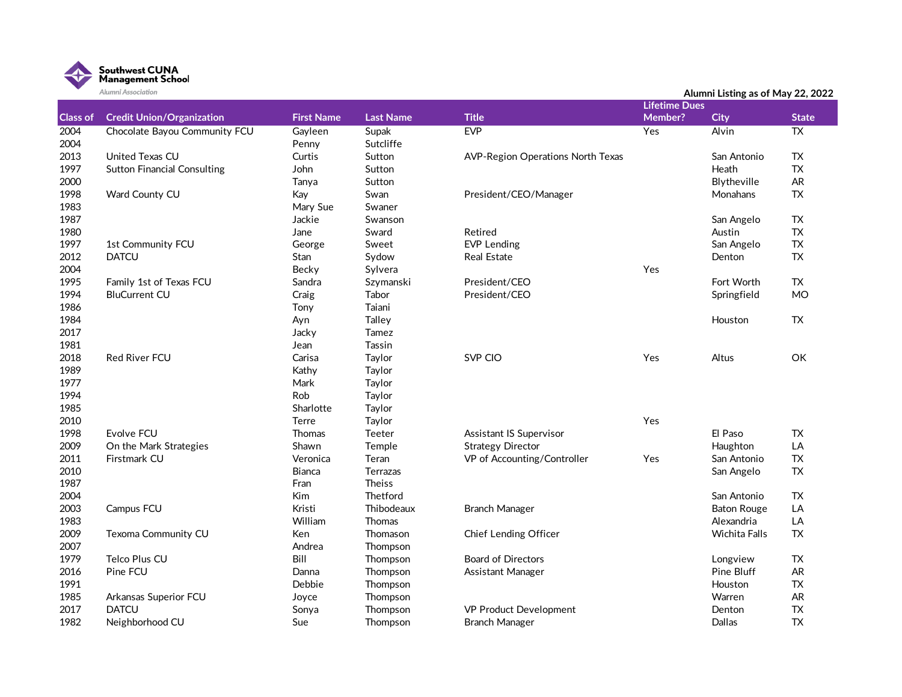

|                 | Alumni Association                 |                   |                  |                                          |                      | Alumni Listing as of May 22, 2022 |                 |
|-----------------|------------------------------------|-------------------|------------------|------------------------------------------|----------------------|-----------------------------------|-----------------|
|                 |                                    |                   |                  |                                          | <b>Lifetime Dues</b> |                                   |                 |
| <b>Class of</b> | <b>Credit Union/Organization</b>   | <b>First Name</b> | <b>Last Name</b> | <b>Title</b>                             | Member?              | <b>City</b>                       | <b>State</b>    |
| 2004            | Chocolate Bayou Community FCU      | Gayleen           | Supak            | <b>EVP</b>                               | Yes                  | <b>Alvin</b>                      | $\overline{TX}$ |
| 2004            |                                    | Penny             | Sutcliffe        |                                          |                      |                                   |                 |
| 2013            | United Texas CU                    | Curtis            | Sutton           | <b>AVP-Region Operations North Texas</b> |                      | San Antonio                       | <b>TX</b>       |
| 1997            | <b>Sutton Financial Consulting</b> | John              | Sutton           |                                          |                      | Heath                             | <b>TX</b>       |
| 2000            |                                    | Tanya             | Sutton           |                                          |                      | Blytheville                       | AR              |
| 1998            | Ward County CU                     | Kay               | Swan             | President/CEO/Manager                    |                      | Monahans                          | ${\sf TX}$      |
| 1983            |                                    | Mary Sue          | Swaner           |                                          |                      |                                   |                 |
| 1987            |                                    | Jackie            | Swanson          |                                          |                      | San Angelo                        | TX              |
| 1980            |                                    | Jane              | Sward            | Retired                                  |                      | Austin                            | <b>TX</b>       |
| 1997            | 1st Community FCU                  | George            | Sweet            | <b>EVP Lending</b>                       |                      | San Angelo                        | ${\sf TX}$      |
| 2012            | <b>DATCU</b>                       | <b>Stan</b>       | Sydow            | <b>Real Estate</b>                       |                      | Denton                            | <b>TX</b>       |
| 2004            |                                    | Becky             | Sylvera          |                                          | Yes                  |                                   |                 |
| 1995            | Family 1st of Texas FCU            | Sandra            | Szymanski        | President/CEO                            |                      | Fort Worth                        | <b>TX</b>       |
| 1994            | <b>BluCurrent CU</b>               | Craig             | Tabor            | President/CEO                            |                      | Springfield                       | <b>MO</b>       |
| 1986            |                                    | Tony              | Taiani           |                                          |                      |                                   |                 |
| 1984            |                                    | Ayn               | Talley           |                                          |                      | Houston                           | ${\sf TX}$      |
| 2017            |                                    | Jacky             | Tamez            |                                          |                      |                                   |                 |
| 1981            |                                    | Jean              | Tassin           |                                          |                      |                                   |                 |
| 2018            | <b>Red River FCU</b>               | Carisa            | Taylor           | SVP CIO                                  | Yes                  | Altus                             | OK              |
| 1989            |                                    | Kathy             | Taylor           |                                          |                      |                                   |                 |
| 1977            |                                    | Mark              | Taylor           |                                          |                      |                                   |                 |
| 1994            |                                    | Rob               | Taylor           |                                          |                      |                                   |                 |
| 1985            |                                    | Sharlotte         | Taylor           |                                          |                      |                                   |                 |
| 2010            |                                    | Terre             | Taylor           |                                          | Yes                  |                                   |                 |
| 1998            | Evolve FCU                         | <b>Thomas</b>     | <b>Teeter</b>    | Assistant IS Supervisor                  |                      | El Paso                           | <b>TX</b>       |
| 2009            | On the Mark Strategies             | Shawn             | Temple           | <b>Strategy Director</b>                 |                      | Haughton                          | LA              |
| 2011            | Firstmark CU                       | Veronica          | Teran            | VP of Accounting/Controller              | Yes                  | San Antonio                       | <b>TX</b>       |
| 2010            |                                    | <b>Bianca</b>     | <b>Terrazas</b>  |                                          |                      | San Angelo                        | <b>TX</b>       |
| 1987            |                                    | Fran              | <b>Theiss</b>    |                                          |                      |                                   |                 |
| 2004            |                                    | Kim               | Thetford         |                                          |                      | San Antonio                       | <b>TX</b>       |
| 2003            | Campus FCU                         | Kristi            | Thibodeaux       | <b>Branch Manager</b>                    |                      | <b>Baton Rouge</b>                | LA              |
| 1983            |                                    | William           | Thomas           |                                          |                      | Alexandria                        | LA              |
| 2009            | Texoma Community CU                | Ken               | Thomason         | Chief Lending Officer                    |                      | Wichita Falls                     | <b>TX</b>       |
| 2007            |                                    | Andrea            | Thompson         |                                          |                      |                                   |                 |
| 1979            | Telco Plus CU                      | Bill              | Thompson         | <b>Board of Directors</b>                |                      | Longview                          | TX              |
| 2016            | Pine FCU                           | Danna             | Thompson         | Assistant Manager                        |                      | Pine Bluff                        | AR              |
| 1991            |                                    | Debbie            | Thompson         |                                          |                      | Houston                           | TX              |
| 1985            | Arkansas Superior FCU              | Joyce             | Thompson         |                                          |                      | Warren                            | AR              |
| 2017            | <b>DATCU</b>                       | Sonya             | Thompson         | VP Product Development                   |                      | Denton                            | <b>TX</b>       |
| 1982            | Neighborhood CU                    | Sue               | Thompson         | Branch Manager                           |                      | <b>Dallas</b>                     | <b>TX</b>       |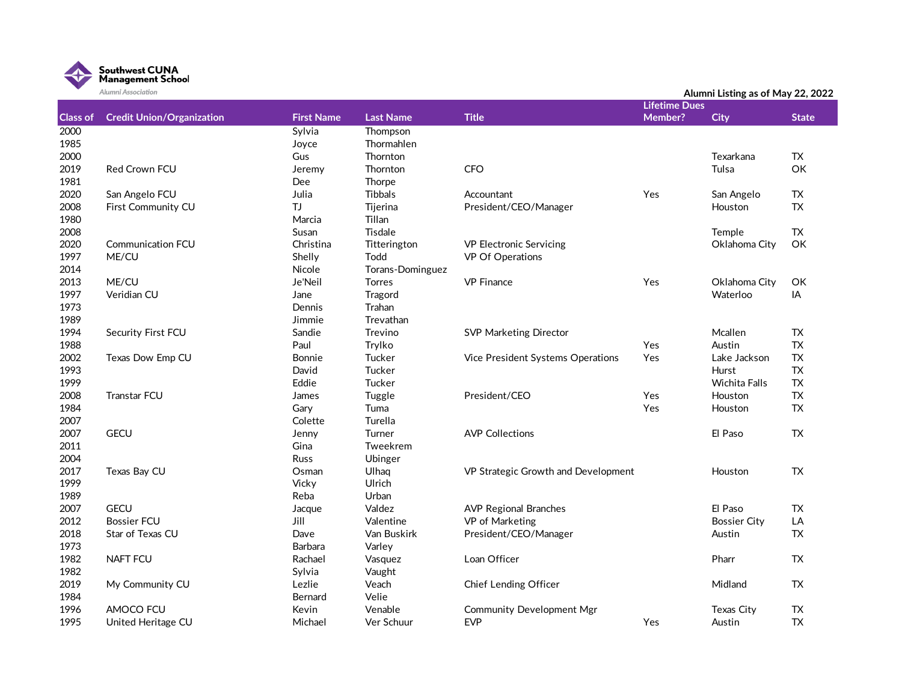

|                 | Alumni Association               |                   |                  |                                     |                      | Alumni Listing as of May 22, 2022 |              |
|-----------------|----------------------------------|-------------------|------------------|-------------------------------------|----------------------|-----------------------------------|--------------|
|                 |                                  |                   |                  |                                     | <b>Lifetime Dues</b> |                                   |              |
| <b>Class of</b> | <b>Credit Union/Organization</b> | <b>First Name</b> | <b>Last Name</b> | <b>Title</b>                        | Member?              | <b>City</b>                       | <b>State</b> |
| 2000            |                                  | Sylvia            | Thompson         |                                     |                      |                                   |              |
| 1985            |                                  | Joyce             | Thormahlen       |                                     |                      |                                   |              |
| 2000            |                                  | Gus               | Thornton         |                                     |                      | Texarkana                         | TX           |
| 2019            | Red Crown FCU                    | Jeremy            | Thornton         | <b>CFO</b>                          |                      | Tulsa                             | OK           |
| 1981            |                                  | Dee               | Thorpe           |                                     |                      |                                   |              |
| 2020            | San Angelo FCU                   | Julia             | <b>Tibbals</b>   | Accountant                          | Yes                  | San Angelo                        | TX           |
| 2008            | First Community CU               | TJ                | Tijerina         | President/CEO/Manager               |                      | Houston                           | <b>TX</b>    |
| 1980            |                                  | Marcia            | Tillan           |                                     |                      |                                   |              |
| 2008            |                                  | Susan             | Tisdale          |                                     |                      | Temple                            | TX           |
| 2020            | <b>Communication FCU</b>         | Christina         | Titterington     | <b>VP Electronic Servicing</b>      |                      | Oklahoma City                     | OK           |
| 1997            | ME/CU                            | Shelly            | Todd             | VP Of Operations                    |                      |                                   |              |
| 2014            |                                  | Nicole            | Torans-Dominguez |                                     |                      |                                   |              |
| 2013            | ME/CU                            | Je'Neil           | <b>Torres</b>    | <b>VP Finance</b>                   | Yes                  | Oklahoma City                     | OK           |
| 1997            | Veridian CU                      | Jane              | Tragord          |                                     |                      | Waterloo                          | IA           |
| 1973            |                                  | Dennis            | Trahan           |                                     |                      |                                   |              |
| 1989            |                                  | Jimmie            | Trevathan        |                                     |                      |                                   |              |
| 1994            | Security First FCU               | Sandie            | Trevino          | <b>SVP Marketing Director</b>       |                      | Mcallen                           | TX           |
| 1988            |                                  | Paul              | Trylko           |                                     | Yes                  | Austin                            | <b>TX</b>    |
| 2002            | Texas Dow Emp CU                 | <b>Bonnie</b>     | Tucker           | Vice President Systems Operations   | Yes                  | Lake Jackson                      | <b>TX</b>    |
| 1993            |                                  | David             | Tucker           |                                     |                      | Hurst                             | <b>TX</b>    |
| 1999            |                                  | Eddie             | Tucker           |                                     |                      | Wichita Falls                     | <b>TX</b>    |
| 2008            | <b>Transtar FCU</b>              | James             | Tuggle           | President/CEO                       | Yes                  | Houston                           | TX           |
| 1984            |                                  | Gary              | Tuma             |                                     | Yes                  | Houston                           | TX           |
| 2007            |                                  | Colette           | Turella          |                                     |                      |                                   |              |
| 2007            | <b>GECU</b>                      | Jenny             | Turner           | <b>AVP Collections</b>              |                      | El Paso                           | TX           |
| 2011            |                                  | Gina              | Tweekrem         |                                     |                      |                                   |              |
| 2004            |                                  | <b>Russ</b>       | Ubinger          |                                     |                      |                                   |              |
| 2017            | Texas Bay CU                     | Osman             | Ulhaq            | VP Strategic Growth and Development |                      | Houston                           | TX           |
| 1999            |                                  | Vicky             | Ulrich           |                                     |                      |                                   |              |
| 1989            |                                  | Reba              | Urban            |                                     |                      |                                   |              |
| 2007            | <b>GECU</b>                      | Jacque            | Valdez           | <b>AVP Regional Branches</b>        |                      | El Paso                           | TX           |
| 2012            | <b>Bossier FCU</b>               | Jill              | Valentine        | VP of Marketing                     |                      | <b>Bossier City</b>               | LA           |
| 2018            | Star of Texas CU                 | Dave              | Van Buskirk      | President/CEO/Manager               |                      | Austin                            | TX           |
| 1973            |                                  | Barbara           | Varley           |                                     |                      |                                   |              |
| 1982            | <b>NAFT FCU</b>                  | Rachael           | Vasquez          | Loan Officer                        |                      | Pharr                             | TX           |
| 1982            |                                  | Sylvia            | Vaught           |                                     |                      |                                   |              |
| 2019            | My Community CU                  | Lezlie            | Veach            | Chief Lending Officer               |                      | Midland                           | TX           |
| 1984            |                                  | Bernard           | Velie            |                                     |                      |                                   |              |
| 1996            | AMOCO FCU                        | Kevin             | Venable          | Community Development Mgr           |                      | Texas City                        | TX           |
| 1995            | United Heritage CU               | Michael           | Ver Schuur       | <b>EVP</b>                          | Yes                  | Austin                            | <b>TX</b>    |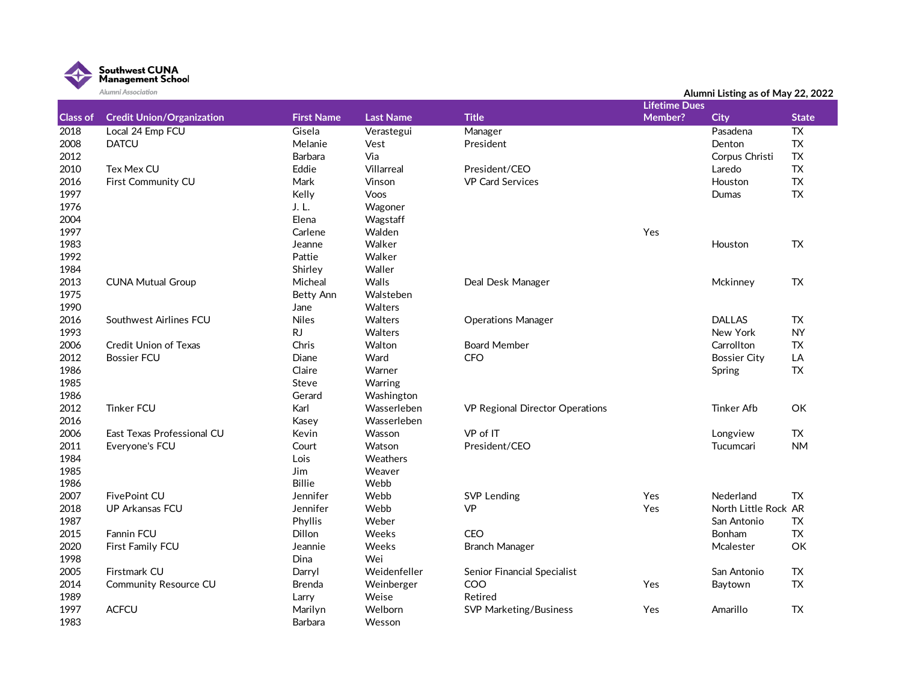

| Alumni Association |                                  |                   |                  |                                 |                      | Alumni Listing as of May 22, 2022 |                 |
|--------------------|----------------------------------|-------------------|------------------|---------------------------------|----------------------|-----------------------------------|-----------------|
|                    |                                  |                   |                  |                                 | <b>Lifetime Dues</b> |                                   |                 |
| <b>Class of</b>    | <b>Credit Union/Organization</b> | <b>First Name</b> | <b>Last Name</b> | <b>Title</b>                    | Member?              | <b>City</b>                       | <b>State</b>    |
| 2018               | Local 24 Emp FCU                 | Gisela            | Verastegui       | Manager                         |                      | Pasadena                          | $\overline{TX}$ |
| 2008               | <b>DATCU</b>                     | Melanie           | Vest             | President                       |                      | Denton                            | TX              |
| 2012               |                                  | Barbara           | Via              |                                 |                      | Corpus Christi                    | TX              |
| 2010               | Tex Mex CU                       | Eddie             | Villarreal       | President/CEO                   |                      | Laredo                            | TX              |
| 2016               | First Community CU               | Mark              | Vinson           | <b>VP Card Services</b>         |                      | Houston                           | ${\sf TX}$      |
| 1997               |                                  | Kelly             | Voos             |                                 |                      | <b>Dumas</b>                      | TX              |
| 1976               |                                  | J. L.             | Wagoner          |                                 |                      |                                   |                 |
| 2004               |                                  | Elena             | Wagstaff         |                                 |                      |                                   |                 |
| 1997               |                                  | Carlene           | Walden           |                                 | Yes                  |                                   |                 |
| 1983               |                                  | Jeanne            | Walker           |                                 |                      | Houston                           | <b>TX</b>       |
| 1992               |                                  | Pattie            | Walker           |                                 |                      |                                   |                 |
| 1984               |                                  | Shirley           | Waller           |                                 |                      |                                   |                 |
| 2013               | <b>CUNA Mutual Group</b>         | Micheal           | Walls            | Deal Desk Manager               |                      | Mckinney                          | <b>TX</b>       |
| 1975               |                                  | Betty Ann         | Walsteben        |                                 |                      |                                   |                 |
| 1990               |                                  | Jane              | Walters          |                                 |                      |                                   |                 |
| 2016               | Southwest Airlines FCU           | <b>Niles</b>      | Walters          | <b>Operations Manager</b>       |                      | <b>DALLAS</b>                     | <b>TX</b>       |
| 1993               |                                  | <b>RJ</b>         | Walters          |                                 |                      | New York                          | <b>NY</b>       |
| 2006               | <b>Credit Union of Texas</b>     | Chris             | Walton           | <b>Board Member</b>             |                      | Carrollton                        | TX              |
| 2012               | <b>Bossier FCU</b>               | Diane             | Ward             | <b>CFO</b>                      |                      | <b>Bossier City</b>               | LA              |
| 1986               |                                  | Claire            | Warner           |                                 |                      | Spring                            | <b>TX</b>       |
| 1985               |                                  | Steve             | Warring          |                                 |                      |                                   |                 |
| 1986               |                                  | Gerard            | Washington       |                                 |                      |                                   |                 |
| 2012               | <b>Tinker FCU</b>                | Karl              | Wasserleben      | VP Regional Director Operations |                      | <b>Tinker Afb</b>                 | OK              |
| 2016               |                                  | Kasey             | Wasserleben      |                                 |                      |                                   |                 |
| 2006               | East Texas Professional CU       | Kevin             | Wasson           | VP of IT                        |                      | Longview                          | TX              |
| 2011               | Everyone's FCU                   | Court             | Watson           | President/CEO                   |                      | Tucumcari                         | <b>NM</b>       |
| 1984               |                                  | Lois              | Weathers         |                                 |                      |                                   |                 |
| 1985               |                                  | Jim               | Weaver           |                                 |                      |                                   |                 |
| 1986               |                                  | Billie            | Webb             |                                 |                      |                                   |                 |
| 2007               | <b>FivePoint CU</b>              | Jennifer          | Webb             | <b>SVP Lending</b>              | Yes                  | Nederland                         | <b>TX</b>       |
| 2018               | UP Arkansas FCU                  | Jennifer          | Webb             | VP                              | Yes                  | North Little Rock AR              |                 |
| 1987               |                                  | Phyllis           | Weber            |                                 |                      | San Antonio                       | TX              |
| 2015               | Fannin FCU                       | Dillon            | Weeks            | CEO                             |                      | Bonham                            | TX              |
| 2020               | First Family FCU                 | Jeannie           | Weeks            | <b>Branch Manager</b>           |                      | Mcalester                         | OK              |
| 1998               |                                  | <b>Dina</b>       | Wei              |                                 |                      |                                   |                 |
| 2005               | Firstmark CU                     | Darryl            | Weidenfeller     | Senior Financial Specialist     |                      | San Antonio                       | TX              |
| 2014               | <b>Community Resource CU</b>     | Brenda            | Weinberger       | COO                             | Yes                  | Baytown                           | TX              |
| 1989               |                                  | Larry             | Weise            | Retired                         |                      |                                   |                 |
| 1997               | <b>ACFCU</b>                     | Marilyn           | Welborn          | <b>SVP Marketing/Business</b>   | Yes                  | Amarillo                          | <b>TX</b>       |
| 1983               |                                  | <b>Barbara</b>    | Wesson           |                                 |                      |                                   |                 |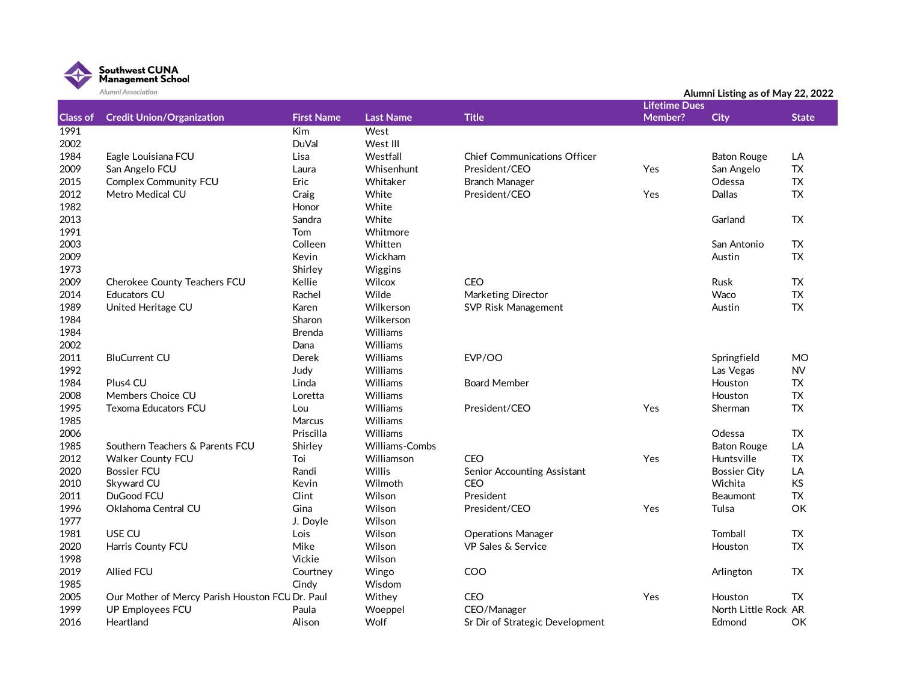

|                         | Alumni Association                               |                          | Alumni Listing as of May 22, 2022 |                                        |                      |                      |                 |
|-------------------------|--------------------------------------------------|--------------------------|-----------------------------------|----------------------------------------|----------------------|----------------------|-----------------|
|                         |                                                  |                          |                                   |                                        | <b>Lifetime Dues</b> |                      |                 |
| <b>Class of</b><br>1991 | <b>Credit Union/Organization</b>                 | <b>First Name</b><br>Kim | <b>Last Name</b><br>West          | <b>Title</b>                           | <b>Member?</b>       | <b>City</b>          | <b>State</b>    |
| 2002                    |                                                  | <b>DuVal</b>             | West III                          |                                        |                      |                      |                 |
| 1984                    | Eagle Louisiana FCU                              | Lisa                     | Westfall                          | <b>Chief Communications Officer</b>    |                      |                      |                 |
| 2009                    | San Angelo FCU                                   | Laura                    | Whisenhunt                        | President/CEO                          | Yes                  | <b>Baton Rouge</b>   | LA<br><b>TX</b> |
| 2015                    |                                                  | Eric                     |                                   |                                        |                      | San Angelo           | <b>TX</b>       |
| 2012                    | <b>Complex Community FCU</b><br>Metro Medical CU |                          | Whitaker<br>White                 | <b>Branch Manager</b><br>President/CEO | Yes                  | Odessa<br>Dallas     | <b>TX</b>       |
| 1982                    |                                                  | Craig                    |                                   |                                        |                      |                      |                 |
|                         |                                                  | Honor<br>Sandra          | White                             |                                        |                      | Garland              | <b>TX</b>       |
| 2013<br>1991            |                                                  |                          | White<br>Whitmore                 |                                        |                      |                      |                 |
|                         |                                                  | Tom<br>Colleen           |                                   |                                        |                      |                      |                 |
| 2003                    |                                                  |                          | Whitten                           |                                        |                      | San Antonio          | TX              |
| 2009<br>1973            |                                                  | Kevin<br>Shirley         | Wickham<br>Wiggins                |                                        |                      | Austin               | <b>TX</b>       |
| 2009                    | Cherokee County Teachers FCU                     | Kellie                   | Wilcox                            | <b>CEO</b>                             |                      | Rusk                 | TX              |
| 2014                    | <b>Educators CU</b>                              | Rachel                   | Wilde                             | Marketing Director                     |                      | Waco                 | TX              |
| 1989                    | United Heritage CU                               | Karen                    | Wilkerson                         | SVP Risk Management                    |                      | Austin               | <b>TX</b>       |
| 1984                    |                                                  | Sharon                   | Wilkerson                         |                                        |                      |                      |                 |
| 1984                    |                                                  | <b>Brenda</b>            | <b>Williams</b>                   |                                        |                      |                      |                 |
| 2002                    |                                                  | Dana                     | Williams                          |                                        |                      |                      |                 |
| 2011                    | <b>BluCurrent CU</b>                             | Derek                    | Williams                          | EVP/OO                                 |                      | Springfield          | <b>MO</b>       |
| 1992                    |                                                  | Judy                     | Williams                          |                                        |                      | Las Vegas            | <b>NV</b>       |
| 1984                    | Plus4 CU                                         | Linda                    | Williams                          | <b>Board Member</b>                    |                      | Houston              | TX              |
| 2008                    | Members Choice CU                                | Loretta                  | <b>Williams</b>                   |                                        |                      | Houston              | ${\sf TX}$      |
| 1995                    | <b>Texoma Educators FCU</b>                      | Lou                      | <b>Williams</b>                   | President/CEO                          | Yes                  | Sherman              | <b>TX</b>       |
| 1985                    |                                                  | Marcus                   | Williams                          |                                        |                      |                      |                 |
| 2006                    |                                                  | Priscilla                | Williams                          |                                        |                      | Odessa               | TX              |
| 1985                    | Southern Teachers & Parents FCU                  | Shirley                  | <b>Williams-Combs</b>             |                                        |                      | <b>Baton Rouge</b>   | LA              |
| 2012                    | <b>Walker County FCU</b>                         | Toi                      | Williamson                        | CEO                                    | Yes                  | Huntsville           | <b>TX</b>       |
| 2020                    | <b>Bossier FCU</b>                               | Randi                    | Willis                            | Senior Accounting Assistant            |                      | <b>Bossier City</b>  | LA              |
| 2010                    | Skyward CU                                       | Kevin                    | Wilmoth                           | CEO                                    |                      | Wichita              | KS              |
| 2011                    | DuGood FCU                                       | Clint                    | Wilson                            | President                              |                      | <b>Beaumont</b>      | <b>TX</b>       |
| 1996                    | Oklahoma Central CU                              | Gina                     | Wilson                            |                                        |                      | Tulsa                | OK              |
| 1977                    |                                                  | J. Doyle                 | Wilson                            | President/CEO                          | Yes                  |                      |                 |
| 1981                    | USE CU                                           | Lois                     | Wilson                            | <b>Operations Manager</b>              |                      | Tomball              | <b>TX</b>       |
| 2020                    | Harris County FCU                                | Mike                     | Wilson                            | <b>VP Sales &amp; Service</b>          |                      | Houston              | <b>TX</b>       |
| 1998                    |                                                  | Vickie                   | Wilson                            |                                        |                      |                      |                 |
| 2019                    | <b>Allied FCU</b>                                | Courtney                 | Wingo                             | COO                                    |                      | Arlington            | TX.             |
| 1985                    |                                                  | Cindy                    | Wisdom                            |                                        |                      |                      |                 |
| 2005                    | Our Mother of Mercy Parish Houston FCU Dr. Paul  |                          | Withey                            | <b>CEO</b>                             | Yes                  | Houston              | TX.             |
| 1999                    |                                                  |                          |                                   | CEO/Manager                            |                      | North Little Rock AR |                 |
| 2016                    | <b>UP Employees FCU</b><br>Heartland             | Paula<br>Alison          | Woeppel<br>Wolf                   | Sr Dir of Strategic Development        |                      |                      | OK              |
|                         |                                                  |                          |                                   |                                        |                      | Edmond               |                 |